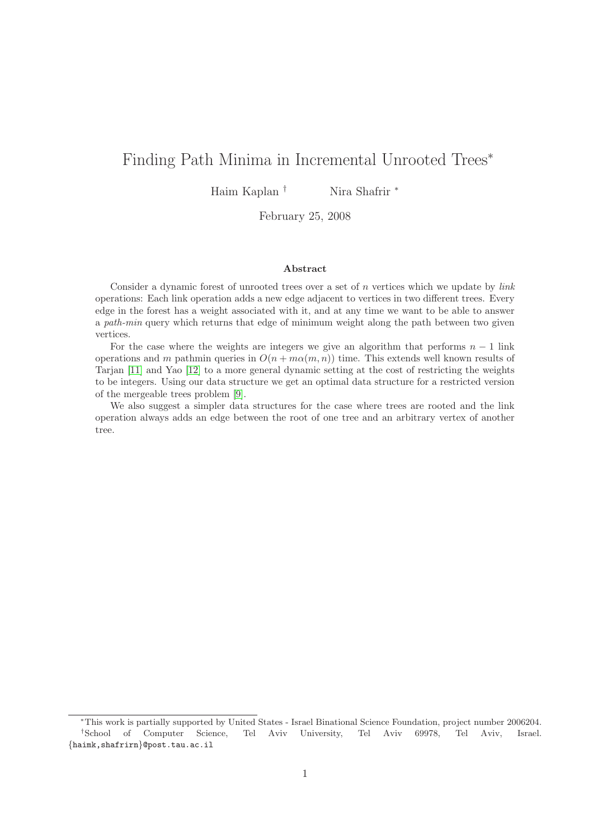# Finding Path Minima in Incremental Unrooted Trees<sup>∗</sup>

Haim Kaplan † Nira Shafrir <sup>∗</sup>

February 25, 2008

## Abstract

Consider a dynamic forest of unrooted trees over a set of  $n$  vertices which we update by *link* operations: Each link operation adds a new edge adjacent to vertices in two different trees. Every edge in the forest has a weight associated with it, and at any time we want to be able to answer a path-min query which returns that edge of minimum weight along the path between two given vertices.

For the case where the weights are integers we give an algorithm that performs  $n - 1$  link operations and m pathmin queries in  $O(n + m\alpha(m,n))$  time. This extends well known results of Tarjan [\[11\]](#page-31-0) and Yao [\[12\]](#page-31-1) to a more general dynamic setting at the cost of restricting the weights to be integers. Using our data structure we get an optimal data structure for a restricted version of the mergeable trees problem [\[9\]](#page-31-2).

We also suggest a simpler data structures for the case where trees are rooted and the link operation always adds an edge between the root of one tree and an arbitrary vertex of another tree.

<sup>∗</sup>This work is partially supported by United States - Israel Binational Science Foundation, project number 2006204. †School of Computer Science, Tel Aviv University, Tel Aviv 69978, Tel Aviv, Israel. {haimk,shafrirn}@post.tau.ac.il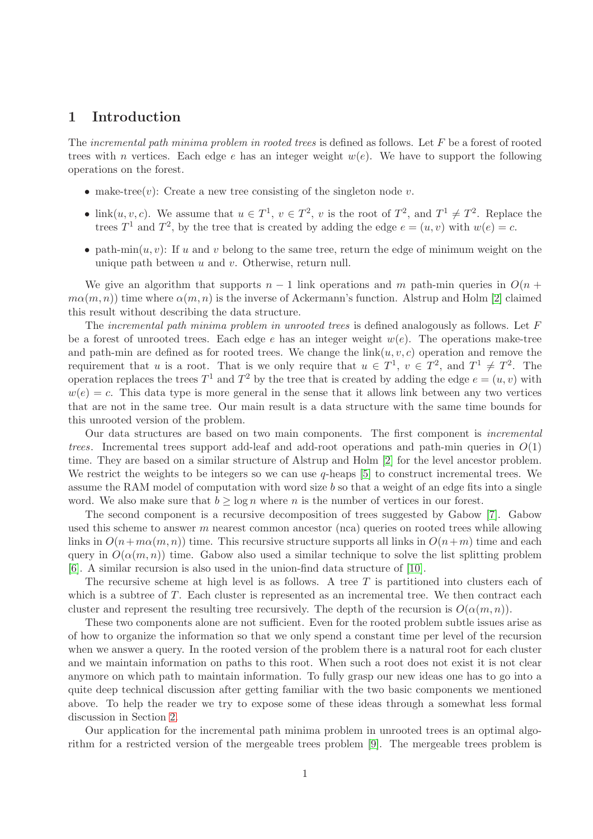# 1 Introduction

The incremental path minima problem in rooted trees is defined as follows. Let  $F$  be a forest of rooted trees with n vertices. Each edge e has an integer weight  $w(e)$ . We have to support the following operations on the forest.

- make-tree(v): Create a new tree consisting of the singleton node v.
- link $(u, v, c)$ . We assume that  $u \in T^1$ ,  $v \in T^2$ , v is the root of  $T^2$ , and  $T^1 \neq T^2$ . Replace the trees  $T^1$  and  $T^2$ , by the tree that is created by adding the edge  $e = (u, v)$  with  $w(e) = c$ .
- path-min $(u, v)$ : If u and v belong to the same tree, return the edge of minimum weight on the unique path between  $u$  and  $v$ . Otherwise, return null.

We give an algorithm that supports  $n-1$  link operations and m path-min queries in  $O(n + 1)$  $m\alpha(m, n)$ ) time where  $\alpha(m, n)$  is the inverse of Ackermann's function. Alstrup and Holm [\[2\]](#page-31-3) claimed this result without describing the data structure.

The incremental path minima problem in unrooted trees is defined analogously as follows. Let  $F$ be a forest of unrooted trees. Each edge e has an integer weight  $w(e)$ . The operations make-tree and path-min are defined as for rooted trees. We change the  $\text{link}(u, v, c)$  operation and remove the requirement that u is a root. That is we only require that  $u \in T^1$ ,  $v \in T^2$ , and  $T^1 \neq T^2$ . The operation replaces the trees  $T^1$  and  $T^2$  by the tree that is created by adding the edge  $e = (u, v)$  with  $w(e) = c$ . This data type is more general in the sense that it allows link between any two vertices that are not in the same tree. Our main result is a data structure with the same time bounds for this unrooted version of the problem.

Our data structures are based on two main components. The first component is incremental trees. Incremental trees support add-leaf and add-root operations and path-min queries in  $O(1)$ time. They are based on a similar structure of Alstrup and Holm [\[2\]](#page-31-3) for the level ancestor problem. We restrict the weights to be integers so we can use  $q$ -heaps [\[5\]](#page-31-4) to construct incremental trees. We assume the RAM model of computation with word size b so that a weight of an edge fits into a single word. We also make sure that  $b \ge \log n$  where n is the number of vertices in our forest.

The second component is a recursive decomposition of trees suggested by Gabow [\[7\]](#page-31-5). Gabow used this scheme to answer  $m$  nearest common ancestor (nca) queries on rooted trees while allowing links in  $O(n+m\alpha(m,n))$  time. This recursive structure supports all links in  $O(n+m)$  time and each query in  $O(\alpha(m, n))$  time. Gabow also used a similar technique to solve the list splitting problem [\[6\]](#page-31-6). A similar recursion is also used in the union-find data structure of [\[10\]](#page-31-7).

The recursive scheme at high level is as follows. A tree  $T$  is partitioned into clusters each of which is a subtree of  $T$ . Each cluster is represented as an incremental tree. We then contract each cluster and represent the resulting tree recursively. The depth of the recursion is  $O(\alpha(m, n))$ .

These two components alone are not sufficient. Even for the rooted problem subtle issues arise as of how to organize the information so that we only spend a constant time per level of the recursion when we answer a query. In the rooted version of the problem there is a natural root for each cluster and we maintain information on paths to this root. When such a root does not exist it is not clear anymore on which path to maintain information. To fully grasp our new ideas one has to go into a quite deep technical discussion after getting familiar with the two basic components we mentioned above. To help the reader we try to expose some of these ideas through a somewhat less formal discussion in Section [2.](#page-3-0)

Our application for the incremental path minima problem in unrooted trees is an optimal algorithm for a restricted version of the mergeable trees problem [\[9\]](#page-31-2). The mergeable trees problem is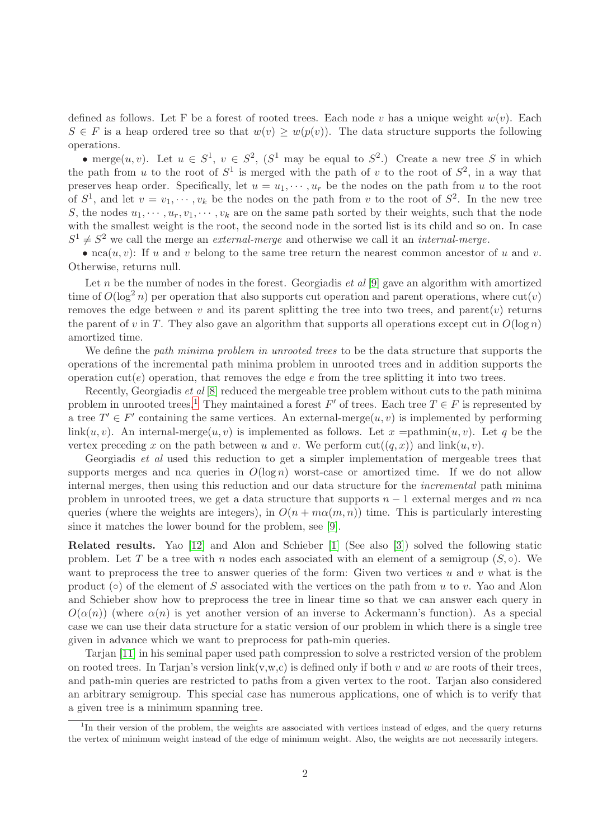defined as follows. Let F be a forest of rooted trees. Each node v has a unique weight  $w(v)$ . Each  $S \in F$  is a heap ordered tree so that  $w(v) \geq w(p(v))$ . The data structure supports the following operations.

• merge $(u, v)$ . Let  $u \in S^1$ ,  $v \in S^2$ ,  $(S^1$  may be equal to  $S^2$ .) Create a new tree S in which the path from u to the root of  $S^1$  is merged with the path of v to the root of  $S^2$ , in a way that preserves heap order. Specifically, let  $u = u_1, \dots, u_r$  be the nodes on the path from u to the root of  $S^1$ , and let  $v = v_1, \dots, v_k$  be the nodes on the path from v to the root of  $S^2$ . In the new tree S, the nodes  $u_1, \dots, u_r, v_1, \dots, v_k$  are on the same path sorted by their weights, such that the node with the smallest weight is the root, the second node in the sorted list is its child and so on. In case  $S^1 \neq S^2$  we call the merge an *external-merge* and otherwise we call it an *internal-merge*.

• nca $(u, v)$ : If u and v belong to the same tree return the nearest common ancestor of u and v. Otherwise, returns null.

Let n be the number of nodes in the forest. Georgiadis  $et al [9]$  $et al [9]$  gave an algorithm with amortized time of  $O(\log^2 n)$  per operation that also supports cut operation and parent operations, where  $\text{cut}(v)$ removes the edge between  $v$  and its parent splitting the tree into two trees, and parent $(v)$  returns the parent of v in T. They also gave an algorithm that supports all operations except cut in  $O(\log n)$ amortized time.

We define the *path minima problem in unrooted trees* to be the data structure that supports the operations of the incremental path minima problem in unrooted trees and in addition supports the operation cut(e) operation, that removes the edge  $e$  from the tree splitting it into two trees.

Recently, Georgiadis et al [\[8\]](#page-31-8) reduced the mergeable tree problem without cuts to the path minima problem in unrooted trees.<sup>[1](#page-2-0)</sup> They maintained a forest  $F'$  of trees. Each tree  $T \in F$  is represented by a tree  $T' \in F'$  containing the same vertices. An external-merge $(u, v)$  is implemented by performing  $\lim k(u, v)$ . An internal-merge $(u, v)$  is implemented as follows. Let x =pathmin $(u, v)$ . Let q be the vertex preceding x on the path between u and v. We perform  $\text{cut}((q, x))$  and  $\text{link}(u, v)$ .

Georgiadis *et al* used this reduction to get a simpler implementation of mergeable trees that supports merges and nca queries in  $O(\log n)$  worst-case or amortized time. If we do not allow internal merges, then using this reduction and our data structure for the incremental path minima problem in unrooted trees, we get a data structure that supports  $n-1$  external merges and m nca queries (where the weights are integers), in  $O(n + m\alpha(m, n))$  time. This is particularly interesting since it matches the lower bound for the problem, see [\[9\]](#page-31-2).

Related results. Yao [\[12\]](#page-31-1) and Alon and Schieber [\[1\]](#page-31-9) (See also [\[3\]](#page-31-10)) solved the following static problem. Let T be a tree with n nodes each associated with an element of a semigroup  $(S, \circ)$ . We want to preprocess the tree to answer queries of the form: Given two vertices u and v what is the product ( $\circ$ ) of the element of S associated with the vertices on the path from u to v. Yao and Alon and Schieber show how to preprocess the tree in linear time so that we can answer each query in  $O(\alpha(n))$  (where  $\alpha(n)$  is yet another version of an inverse to Ackermann's function). As a special case we can use their data structure for a static version of our problem in which there is a single tree given in advance which we want to preprocess for path-min queries.

Tarjan [\[11\]](#page-31-0) in his seminal paper used path compression to solve a restricted version of the problem on rooted trees. In Tarjan's version link $(v,w,c)$  is defined only if both v and w are roots of their trees, and path-min queries are restricted to paths from a given vertex to the root. Tarjan also considered an arbitrary semigroup. This special case has numerous applications, one of which is to verify that a given tree is a minimum spanning tree.

<span id="page-2-0"></span><sup>&</sup>lt;sup>1</sup>In their version of the problem, the weights are associated with vertices instead of edges, and the query returns the vertex of minimum weight instead of the edge of minimum weight. Also, the weights are not necessarily integers.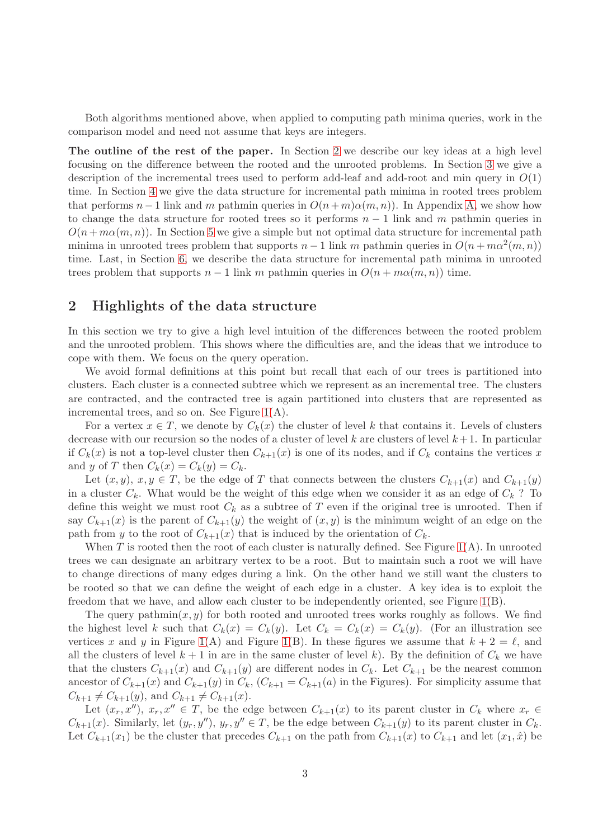Both algorithms mentioned above, when applied to computing path minima queries, work in the comparison model and need not assume that keys are integers.

The outline of the rest of the paper. In Section [2](#page-3-0) we describe our key ideas at a high level focusing on the difference between the rooted and the unrooted problems. In Section [3](#page-5-0) we give a description of the incremental trees used to perform add-leaf and add-root and min query in  $O(1)$ time. In Section [4](#page-10-0) we give the data structure for incremental path minima in rooted trees problem that performs  $n-1$  link and m pathmin queries in  $O(n+m)\alpha(m,n)$ ). In Appendix [A,](#page-32-0) we show how to change the data structure for rooted trees so it performs  $n-1$  link and m pathmin queries in  $O(n + m\alpha(m, n))$ . In Section [5](#page-20-0) we give a simple but not optimal data structure for incremental path minima in unrooted trees problem that supports  $n-1$  link m pathmin queries in  $O(n + m\alpha^2(m, n))$ time. Last, in Section [6,](#page-22-0) we describe the data structure for incremental path minima in unrooted trees problem that supports  $n-1$  link m pathmin queries in  $O(n + m\alpha(m, n))$  time.

# <span id="page-3-0"></span>2 Highlights of the data structure

In this section we try to give a high level intuition of the differences between the rooted problem and the unrooted problem. This shows where the difficulties are, and the ideas that we introduce to cope with them. We focus on the query operation.

We avoid formal definitions at this point but recall that each of our trees is partitioned into clusters. Each cluster is a connected subtree which we represent as an incremental tree. The clusters are contracted, and the contracted tree is again partitioned into clusters that are represented as incremental trees, and so on. See Figure  $1(A)$ .

For a vertex  $x \in T$ , we denote by  $C_k(x)$  the cluster of level k that contains it. Levels of clusters decrease with our recursion so the nodes of a cluster of level k are clusters of level  $k+1$ . In particular if  $C_k(x)$  is not a top-level cluster then  $C_{k+1}(x)$  is one of its nodes, and if  $C_k$  contains the vertices x and y of T then  $C_k(x) = C_k(y) = C_k$ .

Let  $(x, y), x, y \in T$ , be the edge of T that connects between the clusters  $C_{k+1}(x)$  and  $C_{k+1}(y)$ in a cluster  $C_k$ . What would be the weight of this edge when we consider it as an edge of  $C_k$ ? To define this weight we must root  $C_k$  as a subtree of T even if the original tree is unrooted. Then if say  $C_{k+1}(x)$  is the parent of  $C_{k+1}(y)$  the weight of  $(x, y)$  is the minimum weight of an edge on the path from y to the root of  $C_{k+1}(x)$  that is induced by the orientation of  $C_k$ .

When T is rooted then the root of each cluster is naturally defined. See Figure  $1(A)$ . In unrooted trees we can designate an arbitrary vertex to be a root. But to maintain such a root we will have to change directions of many edges during a link. On the other hand we still want the clusters to be rooted so that we can define the weight of each edge in a cluster. A key idea is to exploit the freedom that we have, and allow each cluster to be independently oriented, see Figure [1\(](#page-4-0)B).

The query pathmin $(x, y)$  for both rooted and unrooted trees works roughly as follows. We find the highest level k such that  $C_k(x) = C_k(y)$ . Let  $C_k = C_k(x) = C_k(y)$ . (For an illustration see vertices x and y in Figure [1\(](#page-4-0)A) and Figure 1(B). In these figures we assume that  $k + 2 = \ell$ , and all the clusters of level  $k + 1$  in are in the same cluster of level k). By the definition of  $C_k$  we have that the clusters  $C_{k+1}(x)$  and  $C_{k+1}(y)$  are different nodes in  $C_k$ . Let  $C_{k+1}$  be the nearest common ancestor of  $C_{k+1}(x)$  and  $C_{k+1}(y)$  in  $C_k$ ,  $(C_{k+1} = C_{k+1}(a)$  in the Figures). For simplicity assume that  $C_{k+1} \neq C_{k+1}(y)$ , and  $C_{k+1} \neq C_{k+1}(x)$ .

Let  $(x_r, x'')$ ,  $x_r, x'' \in T$ , be the edge between  $C_{k+1}(x)$  to its parent cluster in  $C_k$  where  $x_r \in$  $C_{k+1}(x)$ . Similarly, let  $(y_r, y'')$ ,  $y_r, y'' \in T$ , be the edge between  $C_{k+1}(y)$  to its parent cluster in  $C_k$ . Let  $C_{k+1}(x_1)$  be the cluster that precedes  $C_{k+1}$  on the path from  $C_{k+1}(x)$  to  $C_{k+1}$  and let  $(x_1, \hat{x})$  be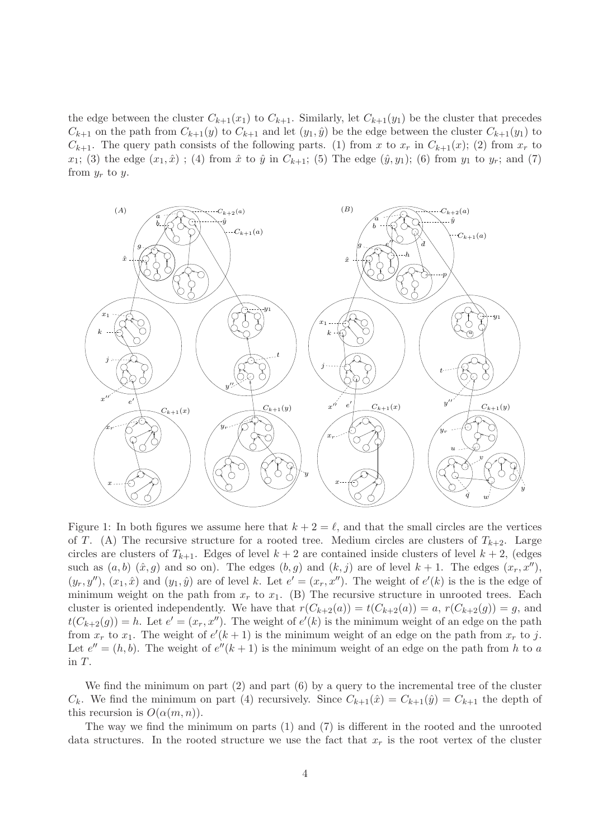the edge between the cluster  $C_{k+1}(x_1)$  to  $C_{k+1}$ . Similarly, let  $C_{k+1}(y_1)$  be the cluster that precedes  $C_{k+1}$  on the path from  $C_{k+1}(y)$  to  $C_{k+1}$  and let  $(y_1, \hat{y})$  be the edge between the cluster  $C_{k+1}(y_1)$  to  $C_{k+1}$ . The query path consists of the following parts. (1) from x to  $x_r$  in  $C_{k+1}(x)$ ; (2) from  $x_r$  to  $x_1$ ; (3) the edge  $(x_1, \hat{x})$ ; (4) from  $\hat{x}$  to  $\hat{y}$  in  $C_{k+1}$ ; (5) The edge  $(\hat{y}, y_1)$ ; (6) from  $y_1$  to  $y_r$ ; and (7) from  $y_r$  to  $y$ .



<span id="page-4-0"></span>Figure 1: In both figures we assume here that  $k + 2 = \ell$ , and that the small circles are the vertices of T. (A) The recursive structure for a rooted tree. Medium circles are clusters of  $T_{k+2}$ . Large circles are clusters of  $T_{k+1}$ . Edges of level  $k+2$  are contained inside clusters of level  $k+2$ , (edges such as  $(a, b)$   $(\hat{x}, g)$  and so on). The edges  $(b, g)$  and  $(k, j)$  are of level  $k + 1$ . The edges  $(x_r, x'')$ ,  $(y_r, y'')$ ,  $(x_1, \hat{x})$  and  $(y_1, \hat{y})$  are of level k. Let  $e' = (x_r, x'')$ . The weight of  $e'(k)$  is the is the edge of minimum weight on the path from  $x_r$  to  $x_1$ . (B) The recursive structure in unrooted trees. Each cluster is oriented independently. We have that  $r(C_{k+2}(a)) = t(C_{k+2}(a)) = a, r(C_{k+2}(g)) = g$ , and  $t(C_{k+2}(g)) = h$ . Let  $e' = (x_r, x'')$ . The weight of  $e'(k)$  is the minimum weight of an edge on the path from  $x_r$  to  $x_1$ . The weight of  $e'(k+1)$  is the minimum weight of an edge on the path from  $x_r$  to j. Let  $e'' = (h, b)$ . The weight of  $e''(k+1)$  is the minimum weight of an edge on the path from h to a in T.

We find the minimum on part  $(2)$  and part  $(6)$  by a query to the incremental tree of the cluster  $C_k$ . We find the minimum on part (4) recursively. Since  $C_{k+1}(\hat{x}) = C_{k+1}(\hat{y}) = C_{k+1}$  the depth of this recursion is  $O(\alpha(m, n))$ .

The way we find the minimum on parts (1) and (7) is different in the rooted and the unrooted data structures. In the rooted structure we use the fact that  $x_r$  is the root vertex of the cluster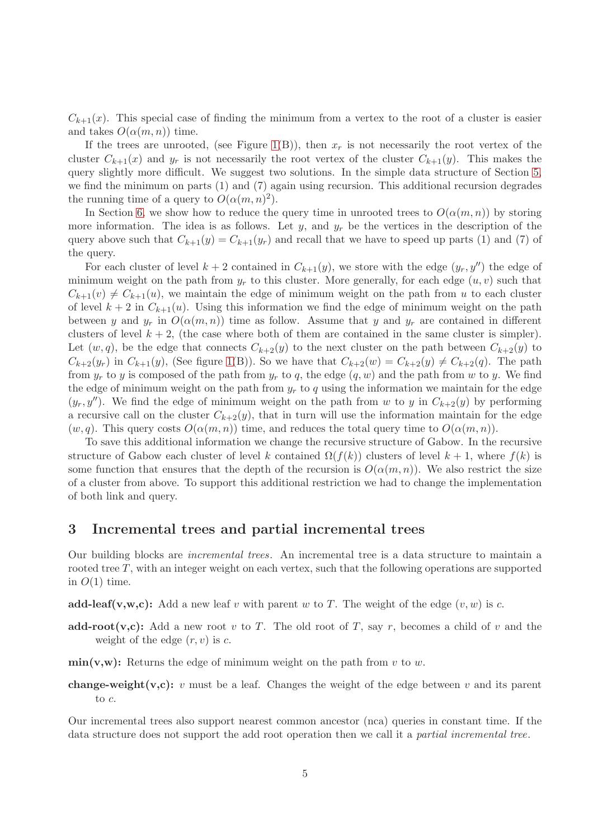$C_{k+1}(x)$ . This special case of finding the minimum from a vertex to the root of a cluster is easier and takes  $O(\alpha(m, n))$  time.

If the trees are unrooted, (see Figure [1\(](#page-4-0)B)), then  $x_r$  is not necessarily the root vertex of the cluster  $C_{k+1}(x)$  and  $y_r$  is not necessarily the root vertex of the cluster  $C_{k+1}(y)$ . This makes the query slightly more difficult. We suggest two solutions. In the simple data structure of Section [5,](#page-20-0) we find the minimum on parts (1) and (7) again using recursion. This additional recursion degrades the running time of a query to  $O(\alpha(m,n)^2)$ .

In Section [6,](#page-22-0) we show how to reduce the query time in unrooted trees to  $O(\alpha(m,n))$  by storing more information. The idea is as follows. Let  $y$ , and  $y_r$  be the vertices in the description of the query above such that  $C_{k+1}(y) = C_{k+1}(y_r)$  and recall that we have to speed up parts (1) and (7) of the query.

For each cluster of level  $k + 2$  contained in  $C_{k+1}(y)$ , we store with the edge  $(y_r, y'')$  the edge of minimum weight on the path from  $y_r$  to this cluster. More generally, for each edge  $(u, v)$  such that  $C_{k+1}(v) \neq C_{k+1}(u)$ , we maintain the edge of minimum weight on the path from u to each cluster of level  $k + 2$  in  $C_{k+1}(u)$ . Using this information we find the edge of minimum weight on the path between y and  $y_r$  in  $O(\alpha(m,n))$  time as follow. Assume that y and  $y_r$  are contained in different clusters of level  $k + 2$ , (the case where both of them are contained in the same cluster is simpler). Let  $(w, q)$ , be the edge that connects  $C_{k+2}(y)$  to the next cluster on the path between  $C_{k+2}(y)$  to  $C_{k+2}(y_r)$  in  $C_{k+1}(y)$ , (See figure [1\(](#page-4-0)B)). So we have that  $C_{k+2}(w) = C_{k+2}(y) \neq C_{k+2}(q)$ . The path from  $y_r$  to y is composed of the path from  $y_r$  to q, the edge  $(q, w)$  and the path from w to y. We find the edge of minimum weight on the path from  $y_r$  to q using the information we maintain for the edge  $(y_r, y'')$ . We find the edge of minimum weight on the path from w to y in  $C_{k+2}(y)$  by performing a recursive call on the cluster  $C_{k+2}(y)$ , that in turn will use the information maintain for the edge  $(w, q)$ . This query costs  $O(\alpha(m, n))$  time, and reduces the total query time to  $O(\alpha(m, n))$ .

To save this additional information we change the recursive structure of Gabow. In the recursive structure of Gabow each cluster of level k contained  $\Omega(f(k))$  clusters of level  $k + 1$ , where  $f(k)$  is some function that ensures that the depth of the recursion is  $O(\alpha(m, n))$ . We also restrict the size of a cluster from above. To support this additional restriction we had to change the implementation of both link and query.

## <span id="page-5-0"></span>3 Incremental trees and partial incremental trees

Our building blocks are incremental trees. An incremental tree is a data structure to maintain a rooted tree T, with an integer weight on each vertex, such that the following operations are supported in  $O(1)$  time.

add-leaf(v,w,c): Add a new leaf v with parent w to T. The weight of the edge  $(v, w)$  is c.

add-root(v,c): Add a new root v to T. The old root of T, say r, becomes a child of v and the weight of the edge  $(r, v)$  is c.

 $\min(v,w)$ : Returns the edge of minimum weight on the path from v to w.

**change-weight(v,c):** v must be a leaf. Changes the weight of the edge between v and its parent to c.

Our incremental trees also support nearest common ancestor (nca) queries in constant time. If the data structure does not support the add root operation then we call it a partial incremental tree.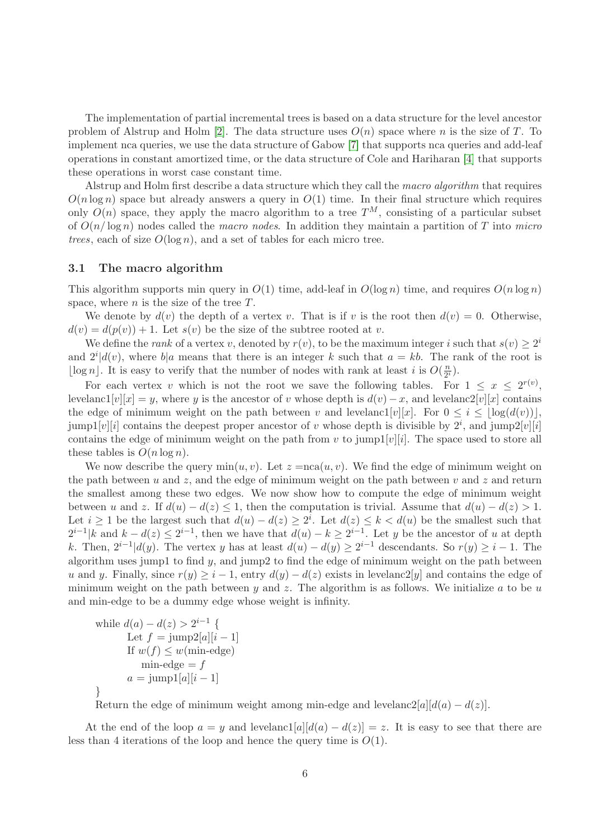The implementation of partial incremental trees is based on a data structure for the level ancestor problem of Alstrup and Holm [\[2\]](#page-31-3). The data structure uses  $O(n)$  space where n is the size of T. To implement nca queries, we use the data structure of Gabow [\[7\]](#page-31-5) that supports nca queries and add-leaf operations in constant amortized time, or the data structure of Cole and Hariharan [\[4\]](#page-31-11) that supports these operations in worst case constant time.

Alstrup and Holm first describe a data structure which they call the macro algorithm that requires  $O(n \log n)$  space but already answers a query in  $O(1)$  time. In their final structure which requires only  $O(n)$  space, they apply the macro algorithm to a tree  $T^M$ , consisting of a particular subset of  $O(n/\log n)$  nodes called the *macro nodes*. In addition they maintain a partition of T into micro trees, each of size  $O(\log n)$ , and a set of tables for each micro tree.

## 3.1 The macro algorithm

This algorithm supports min query in  $O(1)$  time, add-leaf in  $O(\log n)$  time, and requires  $O(n \log n)$ space, where  $n$  is the size of the tree  $T$ .

We denote by  $d(v)$  the depth of a vertex v. That is if v is the root then  $d(v) = 0$ . Otherwise,  $d(v) = d(p(v)) + 1$ . Let  $s(v)$  be the size of the subtree rooted at v.

We define the *rank* of a vertex v, denoted by  $r(v)$ , to be the maximum integer i such that  $s(v) \geq 2^i$ and  $2^{i}|d(v)$ , where  $b|a$  means that there is an integer k such that  $a = kb$ . The rank of the root is [ $\log n$ ]. It is easy to verify that the number of nodes with rank at least *i* is  $O(\frac{n}{2^i})$  $\frac{n}{2^i}).$ 

For each vertex v which is not the root we save the following tables. For  $1 \leq x \leq 2^{r(v)}$ , levelanc1[v][x] = y, where y is the ancestor of v whose depth is  $d(v) - x$ , and levelanc2[v][x] contains the edge of minimum weight on the path between v and levelanc1[v][x]. For  $0 \leq i \leq |\log(d(v))|$ , jump1[v][i] contains the deepest proper ancestor of v whose depth is divisible by  $2^i$ , and jump2[v][i] contains the edge of minimum weight on the path from v to jump $1[v][i]$ . The space used to store all these tables is  $O(n \log n)$ .

We now describe the query  $\min(u, v)$ . Let  $z = \text{nca}(u, v)$ . We find the edge of minimum weight on the path between u and z, and the edge of minimum weight on the path between  $v$  and z and return the smallest among these two edges. We now show how to compute the edge of minimum weight between u and z. If  $d(u) - d(z) \leq 1$ , then the computation is trivial. Assume that  $d(u) - d(z) > 1$ . Let  $i \geq 1$  be the largest such that  $d(u) - d(z) \geq 2^i$ . Let  $d(z) \leq k < d(u)$  be the smallest such that  $2^{i-1}|k$  and  $k - d(z) \leq 2^{i-1}$ , then we have that  $d(u) - k \geq 2^{i-1}$ . Let y be the ancestor of u at depth k. Then,  $2^{i-1}|d(y)$ . The vertex y has at least  $d(u) - d(y) \ge 2^{i-1}$  descendants. So  $r(y) \ge i - 1$ . The algorithm uses jump1 to find  $y$ , and jump2 to find the edge of minimum weight on the path between u and y. Finally, since  $r(y) \geq i - 1$ , entry  $d(y) - d(z)$  exists in levelanc2[y] and contains the edge of minimum weight on the path between y and z. The algorithm is as follows. We initialize a to be  $u$ and min-edge to be a dummy edge whose weight is infinity.

while 
$$
d(a) - d(z) > 2^{i-1}
$$
 {  
Let  $f = \text{jump2}[a][i-1]$   
If  $w(f) \le w(\text{min-edge})$   
 $\text{min-edge} = f$   
 $a = \text{jump1}[a][i-1]$ 

}

Return the edge of minimum weight among min-edge and levelanc2[a][d(a) – d(z)].

At the end of the loop  $a = y$  and levelanc1[a][d(a) – d(z)] = z. It is easy to see that there are less than 4 iterations of the loop and hence the query time is  $O(1)$ .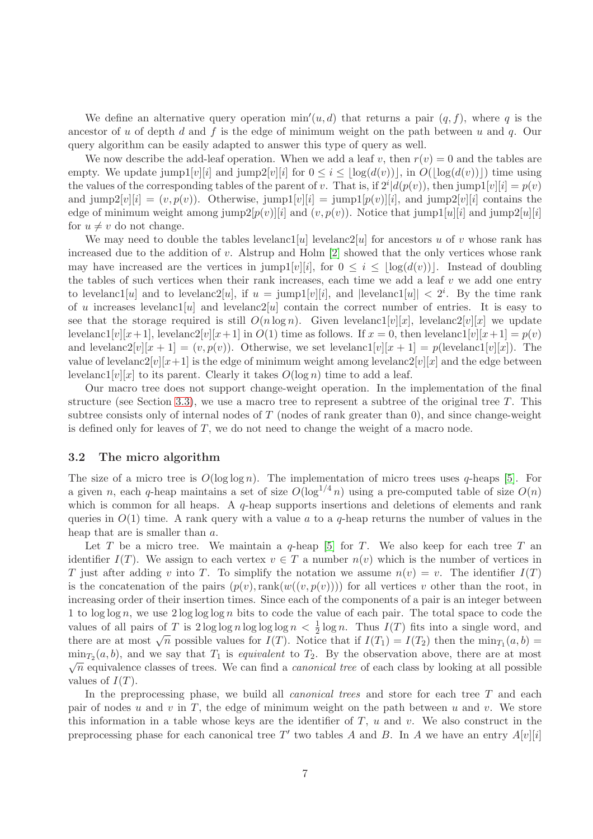We define an alternative query operation  $\min'(u, d)$  that returns a pair  $(q, f)$ , where q is the ancestor of u of depth d and f is the edge of minimum weight on the path between u and q. Our query algorithm can be easily adapted to answer this type of query as well.

We now describe the add-leaf operation. When we add a leaf v, then  $r(v) = 0$  and the tables are empty. We update  $\text{jump1}[v][i]$  and  $\text{jump2}[v][i]$  for  $0 \leq i \leq \lfloor \log(d(v)) \rfloor$ , in  $O(\lfloor \log(d(v)) \rfloor)$  time using the values of the corresponding tables of the parent of v. That is, if  $2^{i}|d(p(v))$ , then jump1[v][i] =  $p(v)$ and jump2[v][i] =  $(v, p(v))$ . Otherwise, jump1[v][i] = jump1[p(v)][i], and jump2[v][i] contains the edge of minimum weight among jump $2[p(v)][i]$  and  $(v, p(v))$ . Notice that jump $1[u][i]$  and jump $2[u][i]$ for  $u \neq v$  do not change.

We may need to double the tables levelanc1[u] levelanc2[u] for ancestors u of v whose rank has increased due to the addition of v. Alstrup and Holm  $[2]$  showed that the only vertices whose rank may have increased are the vertices in jump1[v][i], for  $0 \leq i \leq |\log(d(v))|$ . Instead of doubling the tables of such vertices when their rank increases, each time we add a leaf  $v$  we add one entry to levelanc1[u] and to levelanc2[u], if  $u = \text{jump1}[v][i]$ , and  $|\text{levelanc1}[u]| < 2^i$ . By the time rank of u increases levelanc1[u] and levelanc2[u] contain the correct number of entries. It is easy to see that the storage required is still  $O(n \log n)$ . Given levelanc1[v][x], levelanc2[v][x] we update levelanc1[v][x+1], levelanc2[v][x+1] in  $O(1)$  time as follows. If  $x = 0$ , then levelanc1[v][x+1] =  $p(v)$ ] and levelanc2[v][x + 1] = (v, p(v)). Otherwise, we set levelanc1[v][x + 1] = p(levelanc1[v][x]). The value of levelanc2[v][x+1] is the edge of minimum weight among levelanc2[v][x] and the edge between levelanc1[v][x] to its parent. Clearly it takes  $O(\log n)$  time to add a leaf.

Our macro tree does not support change-weight operation. In the implementation of the final structure (see Section [3.3\)](#page-8-0), we use a macro tree to represent a subtree of the original tree  $T$ . This subtree consists only of internal nodes of  $T$  (nodes of rank greater than 0), and since change-weight is defined only for leaves of  $T$ , we do not need to change the weight of a macro node.

### 3.2 The micro algorithm

The size of a micro tree is  $O(\log \log n)$ . The implementation of micro trees uses q-heaps [\[5\]](#page-31-4). For a given n, each q-heap maintains a set of size  $O(\log^{1/4} n)$  using a pre-computed table of size  $O(n)$ which is common for all heaps. A  $q$ -heap supports insertions and deletions of elements and rank queries in  $O(1)$  time. A rank query with a value a to a q-heap returns the number of values in the heap that are is smaller than a.

Let T be a micro tree. We maintain a  $q$ -heap [\[5\]](#page-31-4) for T. We also keep for each tree T an identifier  $I(T)$ . We assign to each vertex  $v \in T$  a number  $n(v)$  which is the number of vertices in T just after adding v into T. To simplify the notation we assume  $n(v) = v$ . The identifier  $I(T)$ is the concatenation of the pairs  $(p(v), \text{rank}(w((v, p(v))))$  for all vertices v other than the root, in increasing order of their insertion times. Since each of the components of a pair is an integer between 1 to  $\log \log n$ , we use  $2 \log \log \log n$  bits to code the value of each pair. The total space to code the values of all pairs of T is  $2 \log \log n \log \log \log n < \frac{1}{2} \log n$ . Thus  $I(T)$  fits into a single word, and there are at most  $\sqrt{n}$  possible values for  $I(T)$ . Notice that if  $I(T_1) = I(T_2)$  then the  $\min_{T_1}(a, b) =$  $\min_{T_2}(a, b)$ , and we say that  $T_1$  is *equivalent* to  $T_2$ . By the observation above, there are at most  $\sqrt{n}$  equivalence classes of trees. We can find a *canonical tree* of each class by looking at all possible values of  $I(T)$ .

In the preprocessing phase, we build all *canonical trees* and store for each tree  $T$  and each pair of nodes u and v in T, the edge of minimum weight on the path between u and v. We store this information in a table whose keys are the identifier of  $T$ ,  $u$  and  $v$ . We also construct in the preprocessing phase for each canonical tree T' two tables A and B. In A we have an entry  $A[v][i]$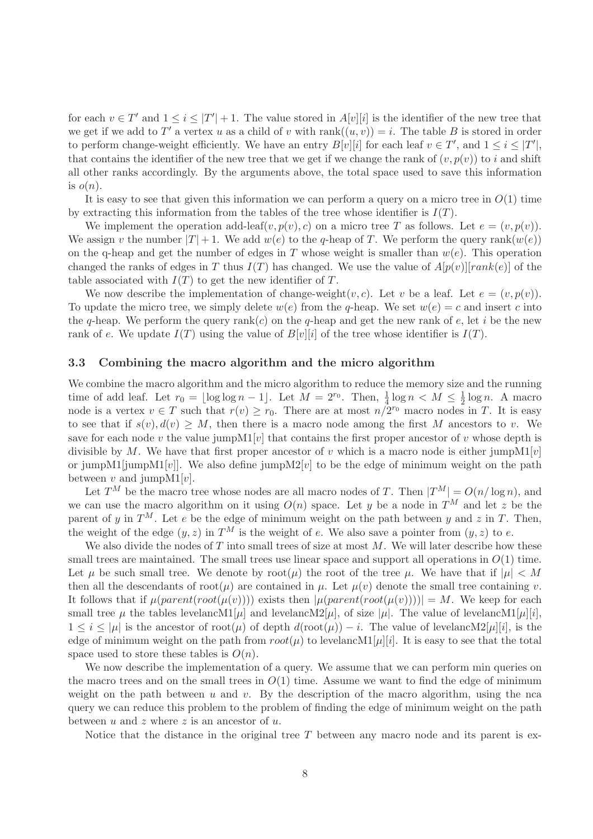for each  $v \in T'$  and  $1 \leq i \leq |T'| + 1$ . The value stored in  $A[v][i]$  is the identifier of the new tree that we get if we add to T' a vertex u as a child of v with  $rank((u, v)) = i$ . The table B is stored in order to perform change-weight efficiently. We have an entry  $B[v][i]$  for each leaf  $v \in T'$ , and  $1 \le i \le |T'|$ , that contains the identifier of the new tree that we get if we change the rank of  $(v, p(v))$  to i and shift all other ranks accordingly. By the arguments above, the total space used to save this information is  $o(n)$ .

It is easy to see that given this information we can perform a query on a micro tree in  $O(1)$  time by extracting this information from the tables of the tree whose identifier is  $I(T)$ .

We implement the operation add-leaf(v,  $p(v)$ , c) on a micro tree T as follows. Let  $e = (v, p(v))$ . We assign v the number  $|T| + 1$ . We add  $w(e)$  to the q-heap of T. We perform the query rank( $w(e)$ ) on the q-heap and get the number of edges in T whose weight is smaller than  $w(e)$ . This operation changed the ranks of edges in T thus  $I(T)$  has changed. We use the value of  $A[p(v)][rank(e)]$  of the table associated with  $I(T)$  to get the new identifier of T.

We now describe the implementation of change-weight $(v, c)$ . Let v be a leaf. Let  $e = (v, p(v))$ . To update the micro tree, we simply delete  $w(e)$  from the q-heap. We set  $w(e) = c$  and insert c into the q-heap. We perform the query rank(c) on the q-heap and get the new rank of  $e$ , let i be the new rank of e. We update  $I(T)$  using the value of  $B[v][i]$  of the tree whose identifier is  $I(T)$ .

#### <span id="page-8-0"></span>3.3 Combining the macro algorithm and the micro algorithm

We combine the macro algorithm and the micro algorithm to reduce the memory size and the running time of add leaf. Let  $r_0 = \lfloor \log \log n - 1 \rfloor$ . Let  $M = 2^{r_0}$ . Then,  $\frac{1}{4} \log n < M \le \frac{1}{2}$  $\frac{1}{2} \log n$ . A macro node is a vertex  $v \in T$  such that  $r(v) \geq r_0$ . There are at most  $n/2^{r_0}$  macro nodes in T. It is easy to see that if  $s(v), d(v) \geq M$ , then there is a macro node among the first M ancestors to v. We save for each node v the value jump $M1[v]$  that contains the first proper ancestor of v whose depth is divisible by M. We have that first proper ancestor of v which is a macro node is either jumpM1[v] or jumpM1[jumpM1[v]]. We also define jumpM2[v] to be the edge of minimum weight on the path between v and jump $M1[v]$ .

Let  $T^M$  be the macro tree whose nodes are all macro nodes of T. Then  $|T^M| = O(n/\log n)$ , and we can use the macro algorithm on it using  $O(n)$  space. Let y be a node in  $T^M$  and let z be the parent of y in  $T^M$ . Let e be the edge of minimum weight on the path between y and z in T. Then, the weight of the edge  $(y, z)$  in  $T^M$  is the weight of e. We also save a pointer from  $(y, z)$  to e.

We also divide the nodes of  $T$  into small trees of size at most  $M$ . We will later describe how these small trees are maintained. The small trees use linear space and support all operations in  $O(1)$  time. Let  $\mu$  be such small tree. We denote by root( $\mu$ ) the root of the tree  $\mu$ . We have that if  $|\mu| < M$ then all the descendants of root $(\mu)$  are contained in  $\mu$ . Let  $\mu(v)$  denote the small tree containing v. It follows that if  $\mu(parent(root(\mu(v))))$  exists then  $|\mu(parent(root(\mu(v))))| = M$ . We keep for each small tree  $\mu$  the tables levelancM1[ $\mu$ ] and levelancM2[ $\mu$ ], of size  $|\mu|$ . The value of levelancM1[ $\mu$ ][i],  $1 \leq i \leq |\mu|$  is the ancestor of root $(\mu)$  of depth  $d(\text{root}(\mu)) - i$ . The value of levelancM2[ $\mu$ ][i], is the edge of minimum weight on the path from  $root(\mu)$  to levelancM1[ $\mu$ ][i]. It is easy to see that the total space used to store these tables is  $O(n)$ .

We now describe the implementation of a query. We assume that we can perform min queries on the macro trees and on the small trees in  $O(1)$  time. Assume we want to find the edge of minimum weight on the path between u and v. By the description of the macro algorithm, using the nca query we can reduce this problem to the problem of finding the edge of minimum weight on the path between  $u$  and  $z$  where  $z$  is an ancestor of  $u$ .

Notice that the distance in the original tree  $T$  between any macro node and its parent is ex-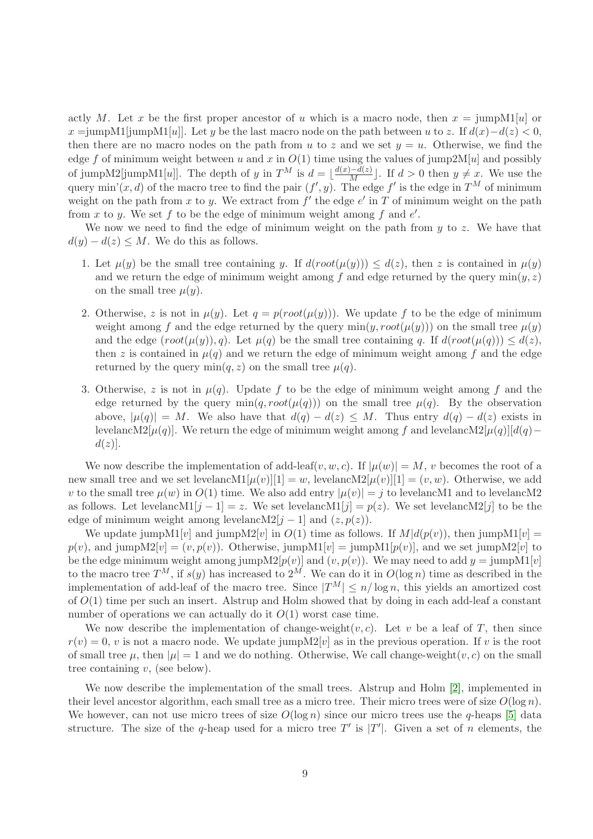actly M. Let x be the first proper ancestor of u which is a macro node, then  $x = \text{jumpM1}[u]$  or  $x = \text{jumpM1}$ [jumpM1[u]]. Let y be the last macro node on the path between u to z. If  $d(x)-d(z) < 0$ , then there are no macro nodes on the path from u to z and we set  $y = u$ . Otherwise, we find the edge f of minimum weight between u and x in  $O(1)$  time using the values of jump2M[u] and possibly of jumpM2[jumpM1[u]]. The depth of y in  $T^M$  is  $d = \lfloor \frac{d(x)-d(z)}{M} \rfloor$ . If  $d > 0$  then  $y \neq x$ . We use the query min'(x, d) of the macro tree to find the pair  $(f', y)$ . The edge  $f'$  is the edge in  $T^M$  of minimum weight on the path from x to y. We extract from  $f'$  the edge  $e'$  in T of minimum weight on the path from x to y. We set f to be the edge of minimum weight among f and  $e'$ .

We now we need to find the edge of minimum weight on the path from  $y$  to  $z$ . We have that  $d(y) - d(z) \leq M$ . We do this as follows.

- 1. Let  $\mu(y)$  be the small tree containing y. If  $d(root(\mu(y))) \leq d(z)$ , then z is contained in  $\mu(y)$ and we return the edge of minimum weight among f and edge returned by the query  $\min(y, z)$ on the small tree  $\mu(y)$ .
- 2. Otherwise, z is not in  $\mu(y)$ . Let  $q = p(root(\mu(y)))$ . We update f to be the edge of minimum weight among f and the edge returned by the query  $\min(y, root(\mu(y)))$  on the small tree  $\mu(y)$ and the edge  $(root(\mu(y)), q)$ . Let  $\mu(q)$  be the small tree containing q. If  $d(root(\mu(q))) \leq d(z)$ , then z is contained in  $\mu(q)$  and we return the edge of minimum weight among f and the edge returned by the query  $\min(q, z)$  on the small tree  $\mu(q)$ .
- 3. Otherwise, z is not in  $\mu(q)$ . Update f to be the edge of minimum weight among f and the edge returned by the query  $\min(q, root(\mu(q)))$  on the small tree  $\mu(q)$ . By the observation above,  $|\mu(q)| = M$ . We also have that  $d(q) - d(z) \leq M$ . Thus entry  $d(q) - d(z)$  exists in levelancM2[ $\mu(q)$ ]. We return the edge of minimum weight among f and levelancM2[ $\mu(q)$ ][d(q)−  $d(z)$ ].

We now describe the implementation of add-leaf(v, w, c). If  $|\mu(w)| = M$ , v becomes the root of a new small tree and we set levelancM1[ $\mu(v)[1] = w$ , levelancM2[ $\mu(v)[1] = (v, w)$ . Otherwise, we add v to the small tree  $\mu(w)$  in  $O(1)$  time. We also add entry  $|\mu(v)| = j$  to levelancM1 and to levelancM2 as follows. Let levelancM1[j - 1] = z. We set levelancM1[j] =  $p(z)$ . We set levelancM2[j] to be the edge of minimum weight among levelancM2[j – 1] and  $(z, p(z))$ .

We update jumpM1[v] and jumpM2[v] in  $O(1)$  time as follows. If  $M|d(p(v))$ , then jumpM1[v] =  $p(v)$ , and jumpM2[v] =  $(v, p(v))$ . Otherwise, jumpM1[v] = jumpM1[p(v)], and we set jumpM2[v] to be the edge minimum weight among jump $M2[p(v)]$  and  $(v, p(v))$ . We may need to add  $y = \text{jumpM1}[v]$ to the macro tree  $T^M$ , if  $s(y)$  has increased to  $2^M$ . We can do it in  $O(\log n)$  time as described in the implementation of add-leaf of the macro tree. Since  $|T^M| \le n/\log n$ , this yields an amortized cost of  $O(1)$  time per such an insert. Alstrup and Holm showed that by doing in each add-leaf a constant number of operations we can actually do it  $O(1)$  worst case time.

We now describe the implementation of change-weight $(v, c)$ . Let v be a leaf of T, then since  $r(v) = 0$ , v is not a macro node. We update jump $M2[v]$  as in the previous operation. If v is the root of small tree  $\mu$ , then  $|\mu|=1$  and we do nothing. Otherwise, We call change-weight(v, c) on the small tree containing  $v$ , (see below).

We now describe the implementation of the small trees. Alstrup and Holm [\[2\]](#page-31-3), implemented in their level ancestor algorithm, each small tree as a micro tree. Their micro trees were of size  $O(\log n)$ . We however, can not use micro trees of size  $O(\log n)$  since our micro trees use the q-heaps [\[5\]](#page-31-4) data structure. The size of the q-heap used for a micro tree  $T'$  is  $|T'|$ . Given a set of n elements, the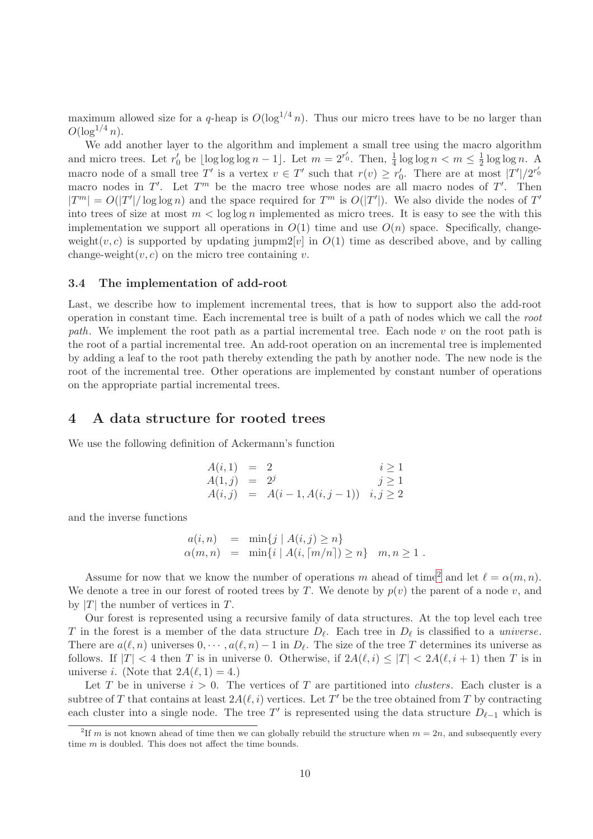maximum allowed size for a q-heap is  $O(\log^{1/4} n)$ . Thus our micro trees have to be no larger than  $O(\log^{1/4} n)$ .

We add another layer to the algorithm and implement a small tree using the macro algorithm and micro trees. Let  $r'_0$  be  $\lfloor \log \log \log n - 1 \rfloor$ . Let  $m = 2^{r'_0}$ . Then,  $\frac{1}{4} \log \log n < m \le \frac{1}{2}$  $\frac{1}{2} \log \log n$ . A macro node of a small tree T' is a vertex  $v \in T'$  such that  $r(v) \geq r'_0$ . There are at most  $|T'|/2^{r'_0}$ macro nodes in  $T'$ . Let  $T^m$  be the macro tree whose nodes are all macro nodes of  $T'$ . Then  $|T^m| = O(|T'|/\log \log n)$  and the space required for  $T^m$  is  $O(|T'|)$ . We also divide the nodes of  $T'$ into trees of size at most  $m < \log \log n$  implemented as micro trees. It is easy to see the with this implementation we support all operations in  $O(1)$  time and use  $O(n)$  space. Specifically, changeweight(v, c) is supported by updating jumpm2[v] in  $O(1)$  time as described above, and by calling change-weight $(v, c)$  on the micro tree containing v.

### <span id="page-10-2"></span>3.4 The implementation of add-root

Last, we describe how to implement incremental trees, that is how to support also the add-root operation in constant time. Each incremental tree is built of a path of nodes which we call the root path. We implement the root path as a partial incremental tree. Each node  $v$  on the root path is the root of a partial incremental tree. An add-root operation on an incremental tree is implemented by adding a leaf to the root path thereby extending the path by another node. The new node is the root of the incremental tree. Other operations are implemented by constant number of operations on the appropriate partial incremental trees.

## <span id="page-10-0"></span>4 A data structure for rooted trees

We use the following definition of Ackermann's function

$$
A(i,1) = 2 \t i \ge 1A(1,j) = 2j \t j \ge 1A(i,j) = A(i-1,A(i,j-1)) \t i, j \ge 2
$$

and the inverse functions

$$
a(i, n) = \min\{j \mid A(i, j) \ge n\}
$$
  
\n
$$
\alpha(m, n) = \min\{i \mid A(i, \lceil m/n \rceil) \ge n\} \quad m, n \ge 1.
$$

Assume for now that we know the number of operations m ahead of time<sup>[2](#page-10-1)</sup> and let  $\ell = \alpha(m, n)$ . We denote a tree in our forest of rooted trees by T. We denote by  $p(v)$  the parent of a node v, and by  $|T|$  the number of vertices in T.

Our forest is represented using a recursive family of data structures. At the top level each tree T in the forest is a member of the data structure  $D_{\ell}$ . Each tree in  $D_{\ell}$  is classified to a *universe*. There are  $a(\ell, n)$  universes  $0, \dots, a(\ell, n) - 1$  in  $D_{\ell}$ . The size of the tree T determines its universe as follows. If  $|T| < 4$  then T is in universe 0. Otherwise, if  $2A(\ell, i) \leq |T| < 2A(\ell, i + 1)$  then T is in universe *i*. (Note that  $2A(\ell, 1) = 4$ .)

Let T be in universe  $i > 0$ . The vertices of T are partitioned into *clusters*. Each cluster is a subtree of T that contains at least  $2A(\ell, i)$  vertices. Let T' be the tree obtained from T by contracting each cluster into a single node. The tree T' is represented using the data structure  $D_{\ell-1}$  which is

<span id="page-10-1"></span><sup>&</sup>lt;sup>2</sup>If m is not known ahead of time then we can globally rebuild the structure when  $m = 2n$ , and subsequently every time *m* is doubled. This does not affect the time bounds.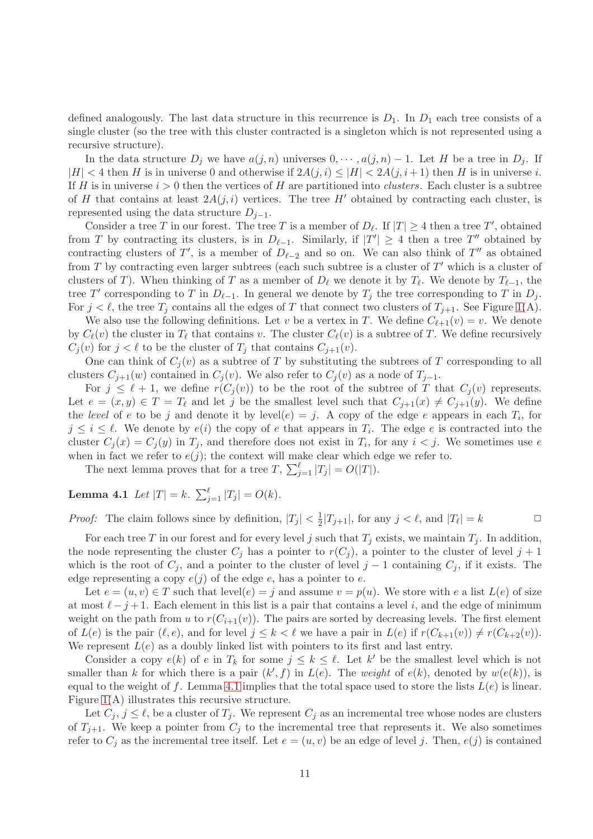defined analogously. The last data structure in this recurrence is  $D_1$ . In  $D_1$  each tree consists of a single cluster (so the tree with this cluster contracted is a singleton which is not represented using a recursive structure).

In the data structure  $D_i$  we have  $a(j, n)$  universes  $0, \dots, a(j, n) - 1$ . Let H be a tree in  $D_i$ . If  $|H| < 4$  then H is in universe 0 and otherwise if  $2A(j, i) \leq |H| < 2A(j, i+1)$  then H is in universe i. If H is in universe  $i > 0$  then the vertices of H are partitioned into *clusters*. Each cluster is a subtree of H that contains at least  $2A(j,i)$  vertices. The tree H' obtained by contracting each cluster, is represented using the data structure  $D_{j-1}$ .

Consider a tree T in our forest. The tree T is a member of  $D_{\ell}$ . If  $|T| \geq 4$  then a tree T', obtained from T by contracting its clusters, is in  $D_{\ell-1}$ . Similarly, if  $|T'| \geq 4$  then a tree T'' obtained by contracting clusters of T', is a member of  $D_{\ell-2}$  and so on. We can also think of T'' as obtained from  $T$  by contracting even larger subtrees (each such subtree is a cluster of  $T'$  which is a cluster of clusters of T). When thinking of T as a member of  $D_{\ell}$  we denote it by  $T_{\ell}$ . We denote by  $T_{\ell-1}$ , the tree T' corresponding to T in  $D_{\ell-1}$ . In general we denote by  $T_j$  the tree corresponding to T in  $D_j$ . For  $j < \ell$ , the tree  $T_j$  contains all the edges of T that connect two clusters of  $T_{j+1}$ . See Figure [1\(](#page-4-0)A).

We also use the following definitions. Let v be a vertex in T. We define  $C_{\ell+1}(v) = v$ . We denote by  $C_{\ell}(v)$  the cluster in  $T_{\ell}$  that contains v. The cluster  $C_{\ell}(v)$  is a subtree of T. We define recursively  $C_i(v)$  for  $j < \ell$  to be the cluster of  $T_j$  that contains  $C_{j+1}(v)$ .

One can think of  $C_i(v)$  as a subtree of T by substituting the subtrees of T corresponding to all clusters  $C_{j+1}(w)$  contained in  $C_j(v)$ . We also refer to  $C_j(v)$  as a node of  $T_{j-1}$ .

For  $j \leq \ell + 1$ , we define  $r(C_j(v))$  to be the root of the subtree of T that  $C_j(v)$  represents. Let  $e = (x, y) \in T = T_\ell$  and let j be the smallest level such that  $C_{j+1}(x) \neq C_{j+1}(y)$ . We define the level of e to be j and denote it by  $level(e) = j$ . A copy of the edge e appears in each  $T_i$ , for  $j \leq i \leq \ell$ . We denote by  $e(i)$  the copy of e that appears in  $T_i$ . The edge e is contracted into the cluster  $C_j(x) = C_j(y)$  in  $T_j$ , and therefore does not exist in  $T_i$ , for any  $i < j$ . We sometimes use e when in fact we refer to  $e(j)$ ; the context will make clear which edge we refer to.

<span id="page-11-0"></span>The next lemma proves that for a tree T,  $\sum_{j=1}^{\ell} |T_j| = O(|T|)$ .

**Lemma 4.1** Let  $|T| = k$ .  $\sum_{j=1}^{\ell} |T_j| = O(k)$ .

*Proof:* The claim follows since by definition,  $|T_j| < \frac{1}{2}$  $\frac{1}{2}|T_{j+1}|$ , for any  $j < \ell$ , and  $|T_{\ell}| = k$ 

For each tree T in our forest and for every level j such that  $T_i$  exists, we maintain  $T_i$ . In addition, the node representing the cluster  $C_i$  has a pointer to  $r(C_i)$ , a pointer to the cluster of level  $j+1$ which is the root of  $C_j$ , and a pointer to the cluster of level j – 1 containing  $C_j$ , if it exists. The edge representing a copy  $e(j)$  of the edge e, has a pointer to e.

Let  $e = (u, v) \in T$  such that level $(e) = i$  and assume  $v = p(u)$ . We store with e a list  $L(e)$  of size at most  $\ell - j + 1$ . Each element in this list is a pair that contains a level i, and the edge of minimum weight on the path from u to  $r(C_{i+1}(v))$ . The pairs are sorted by decreasing levels. The first element of  $L(e)$  is the pair  $(\ell, e)$ , and for level  $j \leq k < \ell$  we have a pair in  $L(e)$  if  $r(C_{k+1}(v)) \neq r(C_{k+2}(v))$ . We represent  $L(e)$  as a doubly linked list with pointers to its first and last entry.

Consider a copy  $e(k)$  of e in  $T_k$  for some  $j \leq k \leq \ell$ . Let k' be the smallest level which is not smaller than k for which there is a pair  $(k', f)$  in  $L(e)$ . The weight of  $e(k)$ , denoted by  $w(e(k))$ , is equal to the weight of f. Lemma [4.1](#page-11-0) implies that the total space used to store the lists  $L(e)$  is linear. Figure [1\(](#page-4-0)A) illustrates this recursive structure.

Let  $C_j$ ,  $j \leq \ell$ , be a cluster of  $T_j$ . We represent  $C_j$  as an incremental tree whose nodes are clusters of  $T_{i+1}$ . We keep a pointer from  $C_i$  to the incremental tree that represents it. We also sometimes refer to  $C_i$  as the incremental tree itself. Let  $e = (u, v)$  be an edge of level j. Then,  $e(j)$  is contained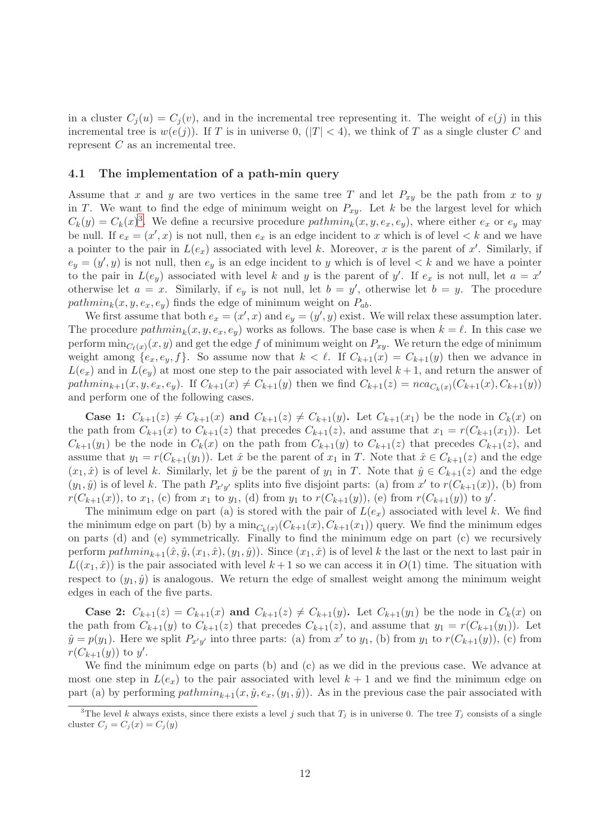in a cluster  $C_j(u) = C_j(v)$ , and in the incremental tree representing it. The weight of  $e(j)$  in this incremental tree is  $w(e(j))$ . If T is in universe 0,  $(|T| < 4)$ , we think of T as a single cluster C and represent  $C$  as an incremental tree.

## <span id="page-12-1"></span>4.1 The implementation of a path-min query

Assume that x and y are two vertices in the same tree T and let  $P_{xy}$  be the path from x to y in T. We want to find the edge of minimum weight on  $P_{xy}$ . Let k be the largest level for which  $C_k(y) = C_k(x)^3$  $C_k(y) = C_k(x)^3$ . We define a recursive procedure  $pathmin_k(x, y, e_x, e_y)$ , where either  $e_x$  or  $e_y$  may be null. If  $e_x = (x', x)$  is not null, then  $e_x$  is an edge incident to x which is of level  $\lt k$  and we have a pointer to the pair in  $L(e_x)$  associated with level k. Moreover, x is the parent of x'. Similarly, if  $e_y = (y', y)$  is not null, then  $e_y$  is an edge incident to y which is of level  $\lt k$  and we have a pointer to the pair in  $L(e_y)$  associated with level k and y is the parent of y'. If  $e_x$  is not null, let  $a = x'$ otherwise let  $a = x$ . Similarly, if  $e_y$  is not null, let  $b = y'$ , otherwise let  $b = y$ . The procedure path $min_k(x, y, e_x, e_y)$  finds the edge of minimum weight on  $P_{ab}$ .

We first assume that both  $e_x = (x', x)$  and  $e_y = (y', y)$  exist. We will relax these assumption later. The procedure  $pathmin_k(x, y, e_x, e_y)$  works as follows. The base case is when  $k = \ell$ . In this case we perform  $\min_{C_\ell(x)}(x,y)$  and get the edge  $f$  of minimum weight on  $P_{xy}$ . We return the edge of minimum weight among  $\{e_x, e_y, f\}$ . So assume now that  $k < \ell$ . If  $C_{k+1}(x) = C_{k+1}(y)$  then we advance in  $L(e_x)$  and in  $L(e_y)$  at most one step to the pair associated with level  $k+1$ , and return the answer of path $min_{k+1}(x, y, e_x, e_y)$ . If  $C_{k+1}(x) \neq C_{k+1}(y)$  then we find  $C_{k+1}(z) = nca_{C_k(x)}(C_{k+1}(x), C_{k+1}(y))$ and perform one of the following cases.

**Case 1:**  $C_{k+1}(z) \neq C_{k+1}(x)$  and  $C_{k+1}(z) \neq C_{k+1}(y)$ . Let  $C_{k+1}(x_1)$  be the node in  $C_k(x)$  on the path from  $C_{k+1}(x)$  to  $C_{k+1}(z)$  that precedes  $C_{k+1}(z)$ , and assume that  $x_1 = r(C_{k+1}(x_1))$ . Let  $C_{k+1}(y_1)$  be the node in  $C_k(x)$  on the path from  $C_{k+1}(y)$  to  $C_{k+1}(z)$  that precedes  $C_{k+1}(z)$ , and assume that  $y_1 = r(C_{k+1}(y_1))$ . Let  $\hat{x}$  be the parent of  $x_1$  in T. Note that  $\hat{x} \in C_{k+1}(z)$  and the edge  $(x_1, \hat{x})$  is of level k. Similarly, let  $\hat{y}$  be the parent of  $y_1$  in T. Note that  $\hat{y} \in C_{k+1}(z)$  and the edge  $(y_1, \hat{y})$  is of level k. The path  $P_{x'y'}$  splits into five disjoint parts: (a) from x' to  $r(C_{k+1}(x))$ , (b) from  $r(C_{k+1}(x))$ , to  $x_1$ , (c) from  $x_1$  to  $y_1$ , (d) from  $y_1$  to  $r(C_{k+1}(y))$ , (e) from  $r(C_{k+1}(y))$  to  $y'$ .

The minimum edge on part (a) is stored with the pair of  $L(e_x)$  associated with level k. We find the minimum edge on part (b) by a  $\min_{C_k(x)} (C_{k+1}(x), C_{k+1}(x_1))$  query. We find the minimum edges on parts (d) and (e) symmetrically. Finally to find the minimum edge on part (c) we recursively perform  $pathmin_{k+1}(\hat{x}, \hat{y}, (x_1, \hat{x}), (y_1, \hat{y}))$ . Since  $(x_1, \hat{x})$  is of level k the last or the next to last pair in  $L((x_1, \hat{x}))$  is the pair associated with level  $k+1$  so we can access it in  $O(1)$  time. The situation with respect to  $(y_1, \hat{y})$  is analogous. We return the edge of smallest weight among the minimum weight edges in each of the five parts.

**Case 2:**  $C_{k+1}(z) = C_{k+1}(x)$  and  $C_{k+1}(z) \neq C_{k+1}(y)$ . Let  $C_{k+1}(y_1)$  be the node in  $C_k(x)$  on the path from  $C_{k+1}(y)$  to  $C_{k+1}(z)$  that precedes  $C_{k+1}(z)$ , and assume that  $y_1 = r(C_{k+1}(y_1))$ . Let  $\hat{y} = p(y_1)$ . Here we split  $P_{x'y'}$  into three parts: (a) from  $x'$  to  $y_1$ , (b) from  $y_1$  to  $r(C_{k+1}(y))$ , (c) from  $r(C_{k+1}(y))$  to  $y'$ .

We find the minimum edge on parts (b) and (c) as we did in the previous case. We advance at most one step in  $L(e_x)$  to the pair associated with level  $k + 1$  and we find the minimum edge on part (a) by performing  $pathmin_{k+1}(x, \hat{y}, e_x, (y_1, \hat{y}))$ . As in the previous case the pair associated with

<span id="page-12-0"></span><sup>&</sup>lt;sup>3</sup>The level k always exists, since there exists a level j such that  $T_j$  is in universe 0. The tree  $T_j$  consists of a single cluster  $C_j = C_j(x) = C_j(y)$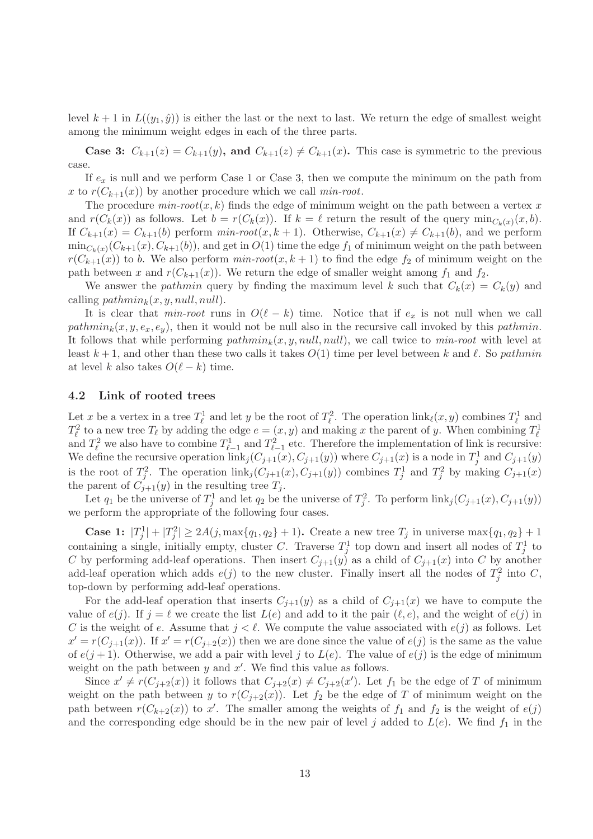level  $k + 1$  in  $L((y_1, \hat{y}))$  is either the last or the next to last. We return the edge of smallest weight among the minimum weight edges in each of the three parts.

**Case 3:**  $C_{k+1}(z) = C_{k+1}(y)$ , and  $C_{k+1}(z) \neq C_{k+1}(x)$ . This case is symmetric to the previous case.

If  $e_x$  is null and we perform Case 1 or Case 3, then we compute the minimum on the path from x to  $r(C_{k+1}(x))$  by another procedure which we call min-root.

The procedure  $min-root(x, k)$  finds the edge of minimum weight on the path between a vertex x and  $r(C_k(x))$  as follows. Let  $b = r(C_k(x))$ . If  $k = \ell$  return the result of the query  $min_{C_k(x)}(x, b)$ . If  $C_{k+1}(x) = C_{k+1}(b)$  perform  $min-root(x, k+1)$ . Otherwise,  $C_{k+1}(x) \neq C_{k+1}(b)$ , and we perform  $\min_{C_k(x)} (C_{k+1}(x), C_{k+1}(b))$ , and get in  $O(1)$  time the edge  $f_1$  of minimum weight on the path between  $r(C_{k+1}(x))$  to b. We also perform  $min-root(x, k+1)$  to find the edge  $f_2$  of minimum weight on the path between x and  $r(C_{k+1}(x))$ . We return the edge of smaller weight among  $f_1$  and  $f_2$ .

We answer the *pathmin* query by finding the maximum level k such that  $C_k(x) = C_k(y)$  and calling  $pathmin_k(x, y, null, null)$ .

It is clear that min-root runs in  $O(\ell - k)$  time. Notice that if  $e_x$  is not null when we call pathmin<sub>k</sub> $(x, y, e_x, e_y)$ , then it would not be null also in the recursive call invoked by this pathmin. It follows that while performing  $pathmin_k(x, y, null, null)$ , we call twice to min-root with level at least  $k+1$ , and other than these two calls it takes  $O(1)$  time per level between k and  $\ell$ . So pathmin at level k also takes  $O(\ell - k)$  time.

#### <span id="page-13-0"></span>4.2 Link of rooted trees

Let x be a vertex in a tree  $T_{\ell}^1$  and let y be the root of  $T_{\ell}^2$ . The operation  $\text{link}_{\ell}(x, y)$  combines  $T_{\ell}^1$  and  $T_{\ell}^2$  to a new tree  $T_{\ell}$  by adding the edge  $e = (x, y)$  and making x the parent of y. When combining  $T_{\ell}^1$ and  $T_{\ell}^2$  we also have to combine  $T_{\ell-1}^1$  and  $T_{\ell-1}^2$  etc. Therefore the implementation of link is recursive: We define the recursive operation  $\text{link}_j(C_{j+1}(x), C_{j+1}(y))$  where  $C_{j+1}(x)$  is a node in  $T_j^1$  and  $C_{j+1}(y)$ is the root of  $T_j^2$ . The operation  $\text{link}_j(C_{j+1}(x), C_{j+1}(y))$  combines  $T_j^1$  and  $T_j^2$  by making  $C_{j+1}(x)$ the parent of  $C_{j+1}(y)$  in the resulting tree  $T_j$ .

Let  $q_1$  be the universe of  $T_j^1$  and let  $q_2$  be the universe of  $T_j^2$ . To perform  $\text{link}_j(C_{j+1}(x), C_{j+1}(y))$ we perform the appropriate of the following four cases.

**Case 1:**  $|T_j^1| + |T_j^2| \ge 2A(j, \max\{q_1, q_2\} + 1)$ . Create a new tree  $T_j$  in universe  $\max\{q_1, q_2\} + 1$ containing a single, initially empty, cluster C. Traverse  $T_j^1$  top down and insert all nodes of  $T_j^1$  to C by performing add-leaf operations. Then insert  $C_{j+1}(y)$  as a child of  $C_{j+1}(x)$  into C by another add-leaf operation which adds  $e(j)$  to the new cluster. Finally insert all the nodes of  $T_j^2$  into C, top-down by performing add-leaf operations.

For the add-leaf operation that inserts  $C_{j+1}(y)$  as a child of  $C_{j+1}(x)$  we have to compute the value of  $e(j)$ . If  $j = \ell$  we create the list  $L(e)$  and add to it the pair  $(\ell, e)$ , and the weight of  $e(j)$  in C is the weight of e. Assume that  $j < \ell$ . We compute the value associated with  $e(j)$  as follows. Let  $x' = r(C_{j+1}(x))$ . If  $x' = r(C_{j+2}(x))$  then we are done since the value of  $e(j)$  is the same as the value of  $e(j + 1)$ . Otherwise, we add a pair with level j to  $L(e)$ . The value of  $e(j)$  is the edge of minimum weight on the path between  $y$  and  $x'$ . We find this value as follows.

Since  $x' \neq r(C_{j+2}(x))$  it follows that  $C_{j+2}(x) \neq C_{j+2}(x')$ . Let  $f_1$  be the edge of T of minimum weight on the path between y to  $r(C_{j+2}(x))$ . Let  $f_2$  be the edge of T of minimum weight on the path between  $r(C_{k+2}(x))$  to x'. The smaller among the weights of  $f_1$  and  $f_2$  is the weight of  $e(j)$ and the corresponding edge should be in the new pair of level j added to  $L(e)$ . We find  $f_1$  in the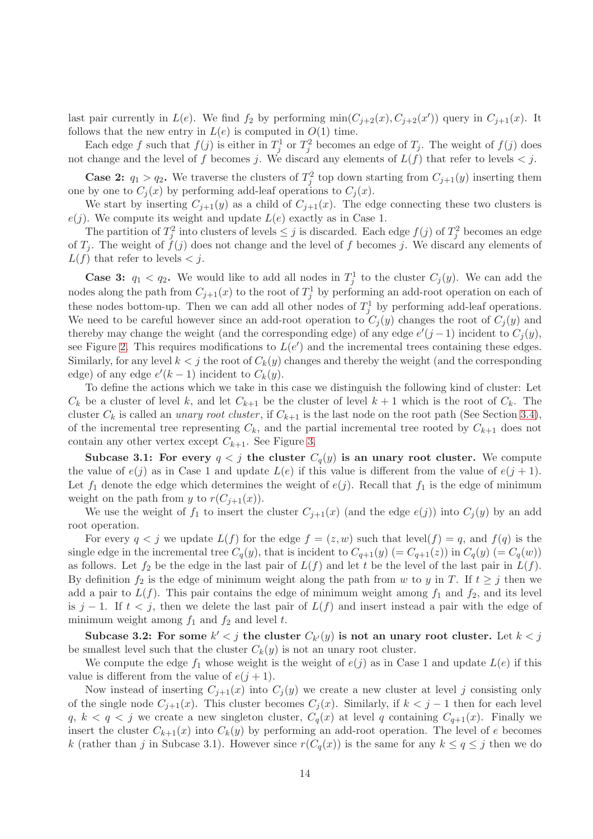last pair currently in  $L(e)$ . We find  $f_2$  by performing  $min(C_{j+2}(x), C_{j+2}(x'))$  query in  $C_{j+1}(x)$ . It follows that the new entry in  $L(e)$  is computed in  $O(1)$  time.

Each edge f such that  $f(j)$  is either in  $T_j^1$  or  $T_j^2$  becomes an edge of  $T_j$ . The weight of  $f(j)$  does not change and the level of f becomes j. We discard any elements of  $L(f)$  that refer to levels  $\lt j$ .

**Case 2:**  $q_1 > q_2$ . We traverse the clusters of  $T_j^2$  top down starting from  $C_{j+1}(y)$  inserting them one by one to  $C_i(x)$  by performing add-leaf operations to  $C_i(x)$ .

We start by inserting  $C_{j+1}(y)$  as a child of  $C_{j+1}(x)$ . The edge connecting these two clusters is  $e(j)$ . We compute its weight and update  $L(e)$  exactly as in Case 1.

The partition of  $T_j^2$  into clusters of levels  $\leq j$  is discarded. Each edge  $f(j)$  of  $T_j^2$  becomes an edge of  $T_j$ . The weight of  $\ddot{f}(j)$  does not change and the level of f becomes j. We discard any elements of  $L(f)$  that refer to levels  $\lt j$ .

**Case 3:**  $q_1 < q_2$ . We would like to add all nodes in  $T_j^1$  to the cluster  $C_j(y)$ . We can add the nodes along the path from  $C_{j+1}(x)$  to the root of  $T_j^1$  by performing an add-root operation on each of these nodes bottom-up. Then we can add all other nodes of  $T_j^1$  by performing add-leaf operations. We need to be careful however since an add-root operation to  $C_i(y)$  changes the root of  $C_i(y)$  and thereby may change the weight (and the corresponding edge) of any edge  $e'(j-1)$  incident to  $C_j(y)$ , see Figure [2.](#page-15-0) This requires modifications to  $L(e')$  and the incremental trees containing these edges. Similarly, for any level  $k < j$  the root of  $C_k(y)$  changes and thereby the weight (and the corresponding edge) of any edge  $e'(k-1)$  incident to  $C_k(y)$ .

To define the actions which we take in this case we distinguish the following kind of cluster: Let  $C_k$  be a cluster of level k, and let  $C_{k+1}$  be the cluster of level  $k+1$  which is the root of  $C_k$ . The cluster  $C_k$  is called an *unary root cluster*, if  $C_{k+1}$  is the last node on the root path (See Section [3.4\)](#page-10-2), of the incremental tree representing  $C_k$ , and the partial incremental tree rooted by  $C_{k+1}$  does not contain any other vertex except  $C_{k+1}$ . See Figure [3.](#page-15-1)

Subcase 3.1: For every  $q < j$  the cluster  $C_q(y)$  is an unary root cluster. We compute the value of  $e(j)$  as in Case 1 and update  $L(e)$  if this value is different from the value of  $e(j + 1)$ . Let  $f_1$  denote the edge which determines the weight of  $e(j)$ . Recall that  $f_1$  is the edge of minimum weight on the path from y to  $r(C_{j+1}(x))$ .

We use the weight of  $f_1$  to insert the cluster  $C_{i+1}(x)$  (and the edge  $e(j)$ ) into  $C_i(y)$  by an add root operation.

For every  $q < j$  we update  $L(f)$  for the edge  $f = (z, w)$  such that level $(f) = q$ , and  $f(q)$  is the single edge in the incremental tree  $C_q(y)$ , that is incident to  $C_{q+1}(y) (= C_{q+1}(z))$  in  $C_q(y) (= C_q(w))$ as follows. Let  $f_2$  be the edge in the last pair of  $L(f)$  and let t be the level of the last pair in  $L(f)$ . By definition  $f_2$  is the edge of minimum weight along the path from w to y in T. If  $t \geq j$  then we add a pair to  $L(f)$ . This pair contains the edge of minimum weight among  $f_1$  and  $f_2$ , and its level is j − 1. If  $t < j$ , then we delete the last pair of  $L(f)$  and insert instead a pair with the edge of minimum weight among  $f_1$  and  $f_2$  and level t.

Subcase 3.2: For some  $k' < j$  the cluster  $C_{k'}(y)$  is not an unary root cluster. Let  $k < j$ be smallest level such that the cluster  $C_k(y)$  is not an unary root cluster.

We compute the edge  $f_1$  whose weight is the weight of  $e(j)$  as in Case 1 and update  $L(e)$  if this value is different from the value of  $e(j + 1)$ .

Now instead of inserting  $C_{j+1}(x)$  into  $C_j(y)$  we create a new cluster at level j consisting only of the single node  $C_{j+1}(x)$ . This cluster becomes  $C_j(x)$ . Similarly, if  $k < j-1$  then for each level  $q, k < q < j$  we create a new singleton cluster,  $C_q(x)$  at level q containing  $C_{q+1}(x)$ . Finally we insert the cluster  $C_{k+1}(x)$  into  $C_k(y)$  by performing an add-root operation. The level of e becomes k (rather than j in Subcase 3.1). However since  $r(C_q(x))$  is the same for any  $k \le q \le j$  then we do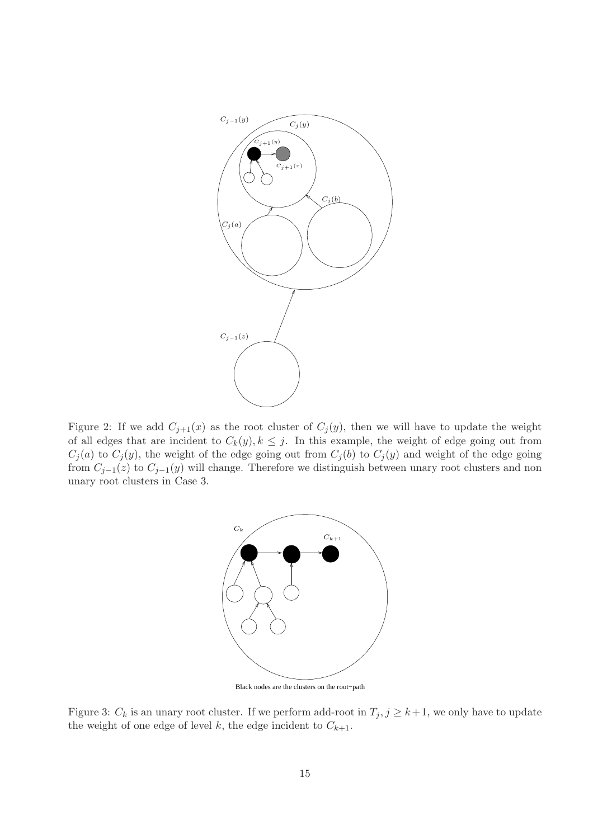

<span id="page-15-0"></span>Figure 2: If we add  $C_{j+1}(x)$  as the root cluster of  $C_j(y)$ , then we will have to update the weight of all edges that are incident to  $C_k(y), k \leq j$ . In this example, the weight of edge going out from  $C_j(a)$  to  $C_j(y)$ , the weight of the edge going out from  $C_j(b)$  to  $C_j(y)$  and weight of the edge going from  $C_{j-1}(z)$  to  $C_{j-1}(y)$  will change. Therefore we distinguish between unary root clusters and non unary root clusters in Case 3.



Black nodes are the clusters on the root−path

<span id="page-15-1"></span>Figure 3:  $C_k$  is an unary root cluster. If we perform add-root in  $T_j$ ,  $j \geq k+1$ , we only have to update the weight of one edge of level k, the edge incident to  $C_{k+1}$ .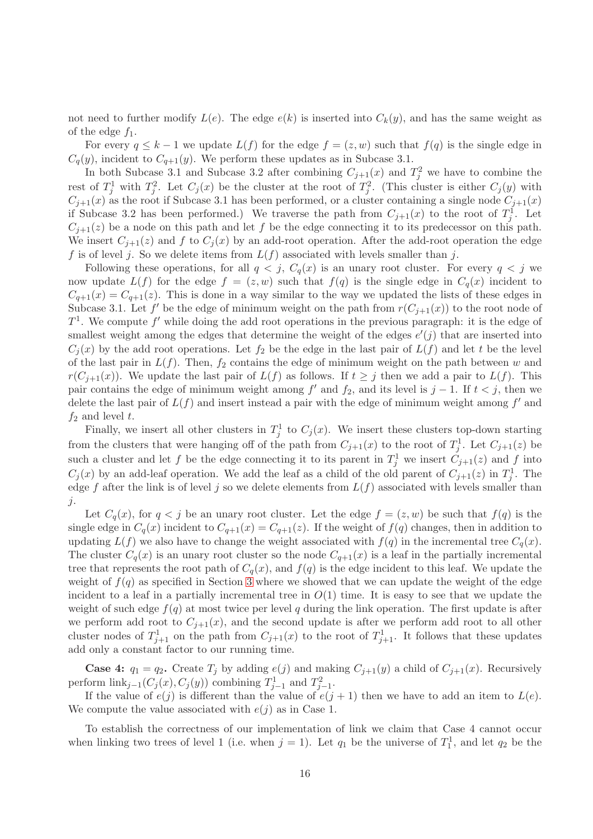not need to further modify  $L(e)$ . The edge  $e(k)$  is inserted into  $C_k(y)$ , and has the same weight as of the edge  $f_1$ .

For every  $q \leq k-1$  we update  $L(f)$  for the edge  $f = (z, w)$  such that  $f(q)$  is the single edge in  $C_q(y)$ , incident to  $C_{q+1}(y)$ . We perform these updates as in Subcase 3.1.

In both Subcase 3.1 and Subcase 3.2 after combining  $C_{j+1}(x)$  and  $T_j^2$  we have to combine the rest of  $T_j^1$  with  $T_j^2$ . Let  $C_j(x)$  be the cluster at the root of  $T_j^2$ . (This cluster is either  $C_j(y)$  with  $C_{j+1}(x)$  as the root if Subcase 3.1 has been performed, or a cluster containing a single node  $C_{j+1}(x)$ if Subcase 3.2 has been performed.) We traverse the path from  $C_{j+1}(x)$  to the root of  $T_j^1$ . Let  $C_{j+1}(z)$  be a node on this path and let f be the edge connecting it to its predecessor on this path. We insert  $C_{j+1}(z)$  and f to  $C_j(x)$  by an add-root operation. After the add-root operation the edge f is of level j. So we delete items from  $L(f)$  associated with levels smaller than j.

Following these operations, for all  $q < j$ ,  $C_q(x)$  is an unary root cluster. For every  $q < j$  we now update  $L(f)$  for the edge  $f = (z, w)$  such that  $f(q)$  is the single edge in  $C_q(x)$  incident to  $C_{q+1}(x) = C_{q+1}(z)$ . This is done in a way similar to the way we updated the lists of these edges in Subcase 3.1. Let f' be the edge of minimum weight on the path from  $r(C_{j+1}(x))$  to the root node of  $T<sup>1</sup>$ . We compute f' while doing the add root operations in the previous paragraph: it is the edge of smallest weight among the edges that determine the weight of the edges  $e'(j)$  that are inserted into  $C_i(x)$  by the add root operations. Let  $f_2$  be the edge in the last pair of  $L(f)$  and let t be the level of the last pair in  $L(f)$ . Then,  $f_2$  contains the edge of minimum weight on the path between w and  $r(C_{i+1}(x))$ . We update the last pair of  $L(f)$  as follows. If  $t \geq j$  then we add a pair to  $L(f)$ . This pair contains the edge of minimum weight among  $f'$  and  $f_2$ , and its level is  $j-1$ . If  $t < j$ , then we delete the last pair of  $L(f)$  and insert instead a pair with the edge of minimum weight among  $f'$  and  $f_2$  and level t.

Finally, we insert all other clusters in  $T_j^1$  to  $C_j(x)$ . We insert these clusters top-down starting from the clusters that were hanging off of the path from  $C_{j+1}(x)$  to the root of  $T_j^1$ . Let  $C_{j+1}(z)$  be such a cluster and let f be the edge connecting it to its parent in  $T_j^1$  we insert  $C_{j+1}(z)$  and f into  $C_j(x)$  by an add-leaf operation. We add the leaf as a child of the old parent of  $C_{j+1}(z)$  in  $T_j^1$ . The edge f after the link is of level j so we delete elements from  $L(f)$  associated with levels smaller than j.

Let  $C_q(x)$ , for  $q < j$  be an unary root cluster. Let the edge  $f = (z, w)$  be such that  $f(q)$  is the single edge in  $C_q(x)$  incident to  $C_{q+1}(x) = C_{q+1}(z)$ . If the weight of  $f(q)$  changes, then in addition to updating  $L(f)$  we also have to change the weight associated with  $f(q)$  in the incremental tree  $C_q(x)$ . The cluster  $C_q(x)$  is an unary root cluster so the node  $C_{q+1}(x)$  is a leaf in the partially incremental tree that represents the root path of  $C_q(x)$ , and  $f(q)$  is the edge incident to this leaf. We update the weight of  $f(q)$  as specified in Section [3](#page-5-0) where we showed that we can update the weight of the edge incident to a leaf in a partially incremental tree in  $O(1)$  time. It is easy to see that we update the weight of such edge  $f(q)$  at most twice per level q during the link operation. The first update is after we perform add root to  $C_{j+1}(x)$ , and the second update is after we perform add root to all other cluster nodes of  $T_{j+1}^1$  on the path from  $C_{j+1}(x)$  to the root of  $T_{j+1}^1$ . It follows that these updates add only a constant factor to our running time.

**Case 4:**  $q_1 = q_2$ . Create  $T_j$  by adding  $e(j)$  and making  $C_{j+1}(y)$  a child of  $C_{j+1}(x)$ . Recursively perform  $\text{link}_{j-1}(C_j(x), C_j(y))$  combining  $T_{j-1}^1$  and  $T_{j-1}^2$ .

If the value of  $e(j)$  is different than the value of  $e(j + 1)$  then we have to add an item to  $L(e)$ . We compute the value associated with  $e(j)$  as in Case 1.

To establish the correctness of our implementation of link we claim that Case 4 cannot occur when linking two trees of level 1 (i.e. when  $j = 1$ ). Let  $q_1$  be the universe of  $T_1^1$ , and let  $q_2$  be the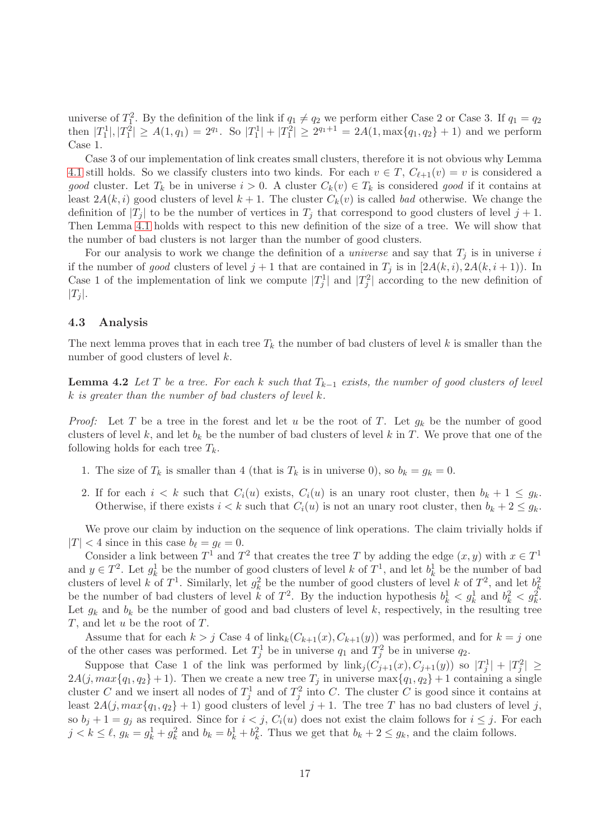universe of  $T_1^2$ . By the definition of the link if  $q_1 \neq q_2$  we perform either Case 2 or Case 3. If  $q_1 = q_2$ then  $|T_1^1|, |T_1^2| \ge A(1, q_1) = 2^{q_1}$ . So  $|T_1^1| + |T_1^2| \ge 2^{q_1+1} = 2A(1, \max\{q_1, q_2\} + 1)$  and we perform Case 1.

Case 3 of our implementation of link creates small clusters, therefore it is not obvious why Lemma [4.1](#page-11-0) still holds. So we classify clusters into two kinds. For each  $v \in T$ ,  $C_{\ell+1}(v) = v$  is considered a good cluster. Let  $T_k$  be in universe  $i > 0$ . A cluster  $C_k(v) \in T_k$  is considered good if it contains at least  $2A(k, i)$  good clusters of level  $k + 1$ . The cluster  $C_k(v)$  is called bad otherwise. We change the definition of  $|T_j|$  to be the number of vertices in  $T_j$  that correspond to good clusters of level  $j + 1$ . Then Lemma [4.1](#page-11-0) holds with respect to this new definition of the size of a tree. We will show that the number of bad clusters is not larger than the number of good clusters.

For our analysis to work we change the definition of a *universe* and say that  $T_i$  is in universe i if the number of good clusters of level  $j + 1$  that are contained in  $T_j$  is in  $[2A(k, i), 2A(k, i + 1)]$ . In Case 1 of the implementation of link we compute  $|T_j^1|$  and  $|T_j^2|$  according to the new definition of  $|T_j|$ .

## 4.3 Analysis

<span id="page-17-0"></span>The next lemma proves that in each tree  $T_k$  the number of bad clusters of level k is smaller than the number of good clusters of level k.

**Lemma 4.2** Let T be a tree. For each k such that  $T_{k-1}$  exists, the number of good clusters of level k is greater than the number of bad clusters of level k.

*Proof:* Let T be a tree in the forest and let u be the root of T. Let  $g_k$  be the number of good clusters of level k, and let  $b_k$  be the number of bad clusters of level k in T. We prove that one of the following holds for each tree  $T_k$ .

- 1. The size of  $T_k$  is smaller than 4 (that is  $T_k$  is in universe 0), so  $b_k = g_k = 0$ .
- 2. If for each  $i < k$  such that  $C_i(u)$  exists,  $C_i(u)$  is an unary root cluster, then  $b_k + 1 \leq g_k$ . Otherwise, if there exists  $i < k$  such that  $C_i(u)$  is not an unary root cluster, then  $b_k + 2 \leq g_k$ .

We prove our claim by induction on the sequence of link operations. The claim trivially holds if  $|T| < 4$  since in this case  $b_{\ell} = g_{\ell} = 0$ .

Consider a link between  $T^1$  and  $T^2$  that creates the tree T by adding the edge  $(x, y)$  with  $x \in T^1$ and  $y \in T^2$ . Let  $g_k^1$  be the number of good clusters of level k of  $T^1$ , and let  $b_k^1$  be the number of bad clusters of level k of  $T^1$ . Similarly, let  $g_k^2$  be the number of good clusters of level k of  $T^2$ , and let  $b_k^2$ be the number of bad clusters of level k of  $T^2$ . By the induction hypothesis  $b_k^1 < g_k^1$  and  $b_k^2 < g_k^2$ . Let  $g_k$  and  $b_k$  be the number of good and bad clusters of level k, respectively, in the resulting tree T, and let u be the root of T.

Assume that for each  $k > j$  Case 4 of  $\operatorname{link}_k(C_{k+1}(x), C_{k+1}(y))$  was performed, and for  $k = j$  one of the other cases was performed. Let  $T_j^1$  be in universe  $q_1$  and  $T_j^2$  be in universe  $q_2$ .

Suppose that Case 1 of the link was performed by  $\text{link}_j(C_{j+1}(x), C_{j+1}(y))$  so  $|T_j^1| + |T_j^2| \ge$  $2A(j, max{q_1, q_2} + 1)$ . Then we create a new tree  $T_j$  in universe max ${q_1, q_2} + 1$  containing a single cluster C and we insert all nodes of  $T_j^1$  and of  $T_j^2$  into C. The cluster C is good since it contains at least  $2A(j, max{q_1, q_2} + 1)$  good clusters of level  $j + 1$ . The tree T has no bad clusters of level j, so  $b_j + 1 = g_j$  as required. Since for  $i < j$ ,  $C_i(u)$  does not exist the claim follows for  $i \leq j$ . For each  $j < k \leq \ell$ ,  $g_k = g_k^1 + g_k^2$  and  $b_k = b_k^1 + b_k^2$ . Thus we get that  $b_k + 2 \leq g_k$ , and the claim follows.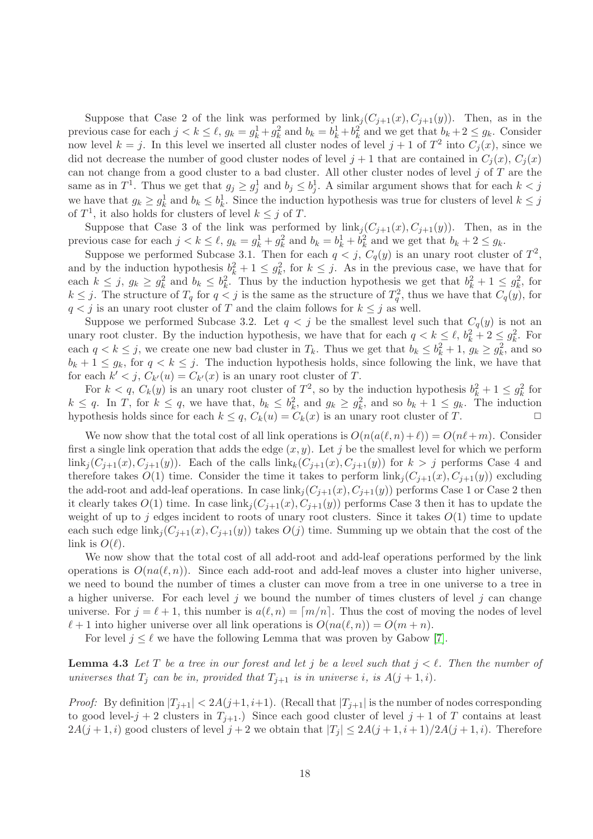Suppose that Case 2 of the link was performed by  $\text{link}_i(C_{i+1}(x), C_{i+1}(y))$ . Then, as in the previous case for each  $j < k \leq \ell$ ,  $g_k = g_k^1 + g_k^2$  and  $b_k = b_k^1 + b_k^2$  and we get that  $b_k + 2 \leq g_k$ . Consider now level  $k = j$ . In this level we inserted all cluster nodes of level  $j + 1$  of  $T^2$  into  $C_j(x)$ , since we did not decrease the number of good cluster nodes of level  $j + 1$  that are contained in  $C_i(x)$ ,  $C_i(x)$ can not change from a good cluster to a bad cluster. All other cluster nodes of level  $j$  of  $T$  are the same as in  $T^1$ . Thus we get that  $g_j \ge g_j^1$  and  $b_j \le b_j^1$ . A similar argument shows that for each  $k < j$ we have that  $g_k \ge g_k^1$  and  $b_k \le b_k^1$ . Since the induction hypothesis was true for clusters of level  $k \le j$ of  $T^1$ , it also holds for clusters of level  $k \leq j$  of T.

Suppose that Case 3 of the link was performed by  $\text{link}_i(C_{j+1}(x), C_{j+1}(y))$ . Then, as in the previous case for each  $j < k \leq \ell$ ,  $g_k = g_k^1 + g_k^2$  and  $b_k = b_k^1 + b_k^2$  and we get that  $b_k + 2 \leq g_k$ .

Suppose we performed Subcase 3.1. Then for each  $q < j$ ,  $C_q(y)$  is an unary root cluster of  $T^2$ , and by the induction hypothesis  $b_k^2 + 1 \leq g_k^2$ , for  $k \leq j$ . As in the previous case, we have that for each  $k \leq j$ ,  $g_k \geq g_k^2$  and  $b_k \leq b_k^2$ . Thus by the induction hypothesis we get that  $b_k^2 + 1 \leq g_k^2$ , for  $k \leq j$ . The structure of  $T_q$  for  $q < j$  is the same as the structure of  $T_q^2$ , thus we have that  $C_q(y)$ , for  $q < j$  is an unary root cluster of T and the claim follows for  $k \leq j$  as well.

Suppose we performed Subcase 3.2. Let  $q < j$  be the smallest level such that  $C_q(y)$  is not an unary root cluster. By the induction hypothesis, we have that for each  $q < k \leq \ell$ ,  $b_k^2 + 2 \leq g_k^2$ . For each  $q < k \leq j$ , we create one new bad cluster in  $T_k$ . Thus we get that  $b_k \leq b_k^2 + 1$ ,  $g_k \geq g_k^2$ , and so  $b_k + 1 \leq g_k$ , for  $q < k \leq j$ . The induction hypothesis holds, since following the link, we have that for each  $k' < j$ ,  $C_{k'}(u) = C_{k'}(x)$  is an unary root cluster of T.

For  $k < q$ ,  $C_k(y)$  is an unary root cluster of  $T^2$ , so by the induction hypothesis  $b_k^2 + 1 \leq g_k^2$  for  $k \leq q$ . In T, for  $k \leq q$ , we have that,  $b_k \leq b_k^2$ , and  $g_k \geq g_k^2$ , and so  $b_k + 1 \leq g_k$ . The induction hypothesis holds since for each  $k \leq q$ ,  $C_k(u) = C_k(x)$  is an unary root cluster of T.

We now show that the total cost of all link operations is  $O(n(a(\ell,n)+\ell)) = O(n\ell+m)$ . Consider first a single link operation that adds the edge  $(x, y)$ . Let j be the smallest level for which we perform  $\lim k_i(C_{i+1}(x), C_{i+1}(y))$ . Each of the calls  $\lim k_k(C_{i+1}(x), C_{i+1}(y))$  for  $k > j$  performs Case 4 and therefore takes  $O(1)$  time. Consider the time it takes to perform  $\text{link}_i(C_{i+1}(x), C_{i+1}(y))$  excluding the add-root and add-leaf operations. In case  $\text{link}_j(C_{j+1}(x), C_{j+1}(y))$  performs Case 1 or Case 2 then it clearly takes  $O(1)$  time. In case  $\text{link}_j(C_{j+1}(x), C_{j+1}(y))$  performs Case 3 then it has to update the weight of up to j edges incident to roots of unary root clusters. Since it takes  $O(1)$  time to update each such edge  $\text{link}_j(C_{j+1}(x), C_{j+1}(y))$  takes  $O(j)$  time. Summing up we obtain that the cost of the link is  $O(\ell)$ .

We now show that the total cost of all add-root and add-leaf operations performed by the link operations is  $O(na(\ell,n))$ . Since each add-root and add-leaf moves a cluster into higher universe, we need to bound the number of times a cluster can move from a tree in one universe to a tree in a higher universe. For each level j we bound the number of times clusters of level j can change universe. For  $j = \ell + 1$ , this number is  $a(\ell, n) = \lceil m/n \rceil$ . Thus the cost of moving the nodes of level  $\ell+1$  into higher universe over all link operations is  $O(na(\ell,n)) = O(m+n)$ .

For level  $j \leq \ell$  we have the following Lemma that was proven by Gabow [\[7\]](#page-31-5).

<span id="page-18-0"></span>**Lemma 4.3** Let T be a tree in our forest and let j be a level such that  $j < \ell$ . Then the number of universes that  $T_j$  can be in, provided that  $T_{j+1}$  is in universe i, is  $A(j+1,i)$ .

*Proof:* By definition  $|T_{i+1}| < 2A(j+1, i+1)$ . (Recall that  $|T_{i+1}|$  is the number of nodes corresponding to good level-j + 2 clusters in  $T_{i+1}$ .) Since each good cluster of level j + 1 of T contains at least  $2A(j+1,i)$  good clusters of level  $j+2$  we obtain that  $|T_j| \leq 2A(j+1,i+1)/2A(j+1,i)$ . Therefore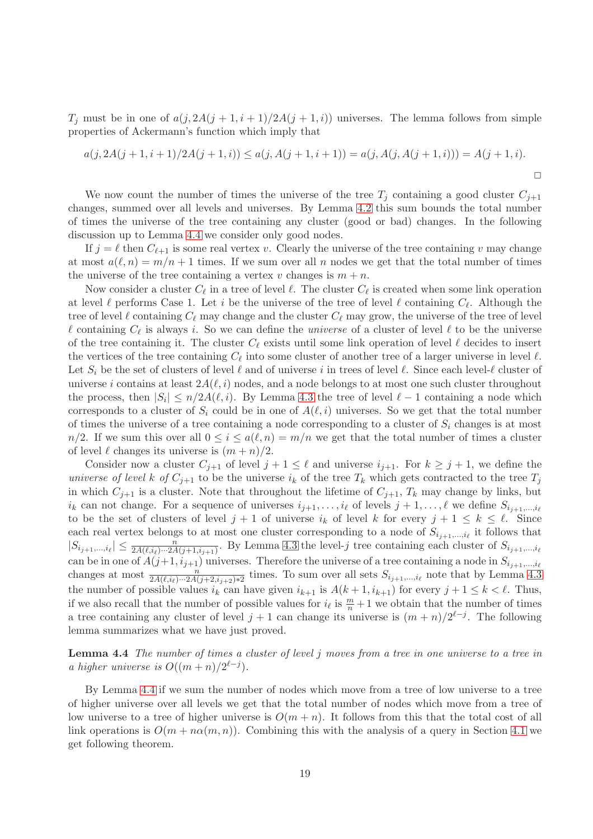$T_j$  must be in one of  $a(j, 2A(j + 1, i + 1)/2A(j + 1, i))$  universes. The lemma follows from simple properties of Ackermann's function which imply that

$$
a(j, 2A(j+1, i+1)/2A(j+1, i)) \le a(j, A(j+1, i+1)) = a(j, A(j, A(j+1, i))) = A(j+1, i).
$$

We now count the number of times the universe of the tree  $T_i$  containing a good cluster  $C_{i+1}$ changes, summed over all levels and universes. By Lemma [4.2](#page-17-0) this sum bounds the total number of times the universe of the tree containing any cluster (good or bad) changes. In the following discussion up to Lemma [4.4](#page-19-0) we consider only good nodes.

If  $j = \ell$  then  $C_{\ell+1}$  is some real vertex v. Clearly the universe of the tree containing v may change at most  $a(\ell,n) = m/n + 1$  times. If we sum over all n nodes we get that the total number of times the universe of the tree containing a vertex v changes is  $m + n$ .

Now consider a cluster  $C_{\ell}$  in a tree of level  $\ell$ . The cluster  $C_{\ell}$  is created when some link operation at level  $\ell$  performs Case 1. Let i be the universe of the tree of level  $\ell$  containing  $C_{\ell}$ . Although the tree of level  $\ell$  containing  $C_{\ell}$  may change and the cluster  $C_{\ell}$  may grow, the universe of the tree of level  $\ell$  containing  $C_{\ell}$  is always i. So we can define the *universe* of a cluster of level  $\ell$  to be the universe of the tree containing it. The cluster  $C_{\ell}$  exists until some link operation of level  $\ell$  decides to insert the vertices of the tree containing  $C_{\ell}$  into some cluster of another tree of a larger universe in level  $\ell$ . Let  $S_i$  be the set of clusters of level  $\ell$  and of universe i in trees of level  $\ell$ . Since each level- $\ell$  cluster of universe i contains at least  $2A(\ell, i)$  nodes, and a node belongs to at most one such cluster throughout the process, then  $|S_i| \le n/2A(\ell, i)$ . By Lemma [4.3](#page-18-0) the tree of level  $\ell - 1$  containing a node which corresponds to a cluster of  $S_i$  could be in one of  $A(\ell, i)$  universes. So we get that the total number of times the universe of a tree containing a node corresponding to a cluster of  $S_i$  changes is at most  $n/2$ . If we sum this over all  $0 \leq i \leq a(\ell,n) = m/n$  we get that the total number of times a cluster of level  $\ell$  changes its universe is  $(m+n)/2$ .

Consider now a cluster  $C_{j+1}$  of level  $j+1 \leq \ell$  and universe  $i_{j+1}$ . For  $k \geq j+1$ , we define the universe of level k of  $C_{i+1}$  to be the universe  $i_k$  of the tree  $T_k$  which gets contracted to the tree  $T_j$ in which  $C_{j+1}$  is a cluster. Note that throughout the lifetime of  $C_{j+1}$ ,  $T_k$  may change by links, but  $i_k$  can not change. For a sequence of universes  $i_{j+1}, \ldots, i_\ell$  of levels  $j+1, \ldots, \ell$  we define  $S_{i_{j+1}, \ldots, i_\ell}$ to be the set of clusters of level  $j + 1$  of universe  $i_k$  of level k for every  $j + 1 \leq k \leq \ell$ . Since each real vertex belongs to at most one cluster corresponding to a node of  $S_{i_{j+1},...,i_{\ell}}$  it follows that  $|S_{i_{j+1},...,i_{\ell}}| \leq \frac{n}{2A(\ell,i_{\ell})\cdots 2A(j+1,i_{j+1})}$ . By Lemma [4.3](#page-18-0) the level-j tree containing each cluster of  $S_{i_{j+1},...,i_{\ell}}$ can be in one of  $A(j+1, i_{j+1})$  universes. Therefore the universe of a tree containing a node in  $S_{i_{j+1},...,i_{\ell}}$ changes at most  $\frac{n}{2A(\ell,i_{\ell})\cdots 2A(j+2,i_{j+2})*2}$  times. To sum over all sets  $S_{i_{j+1},...,i_{\ell}}$  note that by Lemma [4.3](#page-18-0) the number of possible values  $i_k$  can have given  $i_{k+1}$  is  $A(k+1, i_{k+1})$  for every  $j+1 \leq k < \ell$ . Thus, if we also recall that the number of possible values for  $i_\ell$  is  $\frac{m}{n}+1$  we obtain that the number of times a tree containing any cluster of level  $j + 1$  can change its universe is  $(m + n)/2^{\ell-j}$ . The following lemma summarizes what we have just proved.

<span id="page-19-0"></span>Lemma 4.4 The number of times a cluster of level j moves from a tree in one universe to a tree in a higher universe is  $O((m+n)/2^{\ell-j}).$ 

By Lemma [4.4](#page-19-0) if we sum the number of nodes which move from a tree of low universe to a tree of higher universe over all levels we get that the total number of nodes which move from a tree of low universe to a tree of higher universe is  $O(m + n)$ . It follows from this that the total cost of all link operations is  $O(m + n\alpha(m, n))$ . Combining this with the analysis of a query in Section [4.1](#page-12-1) we get following theorem.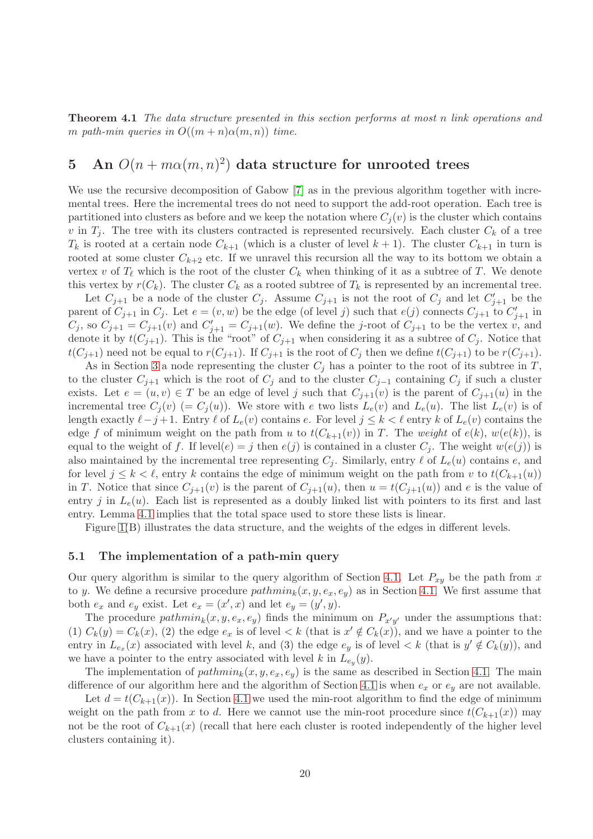Theorem 4.1 The data structure presented in this section performs at most n link operations and m path-min queries in  $O((m+n)\alpha(m,n))$  time.

# <span id="page-20-0"></span>5 An  $O(n + m\alpha(m, n)^2)$  data structure for unrooted trees

We use the recursive decomposition of Gabow [\[7\]](#page-31-5) as in the previous algorithm together with incremental trees. Here the incremental trees do not need to support the add-root operation. Each tree is partitioned into clusters as before and we keep the notation where  $C_i(v)$  is the cluster which contains v in  $T_i$ . The tree with its clusters contracted is represented recursively. Each cluster  $C_k$  of a tree  $T_k$  is rooted at a certain node  $C_{k+1}$  (which is a cluster of level  $k+1$ ). The cluster  $C_{k+1}$  in turn is rooted at some cluster  $C_{k+2}$  etc. If we unravel this recursion all the way to its bottom we obtain a vertex v of  $T_{\ell}$  which is the root of the cluster  $C_k$  when thinking of it as a subtree of T. We denote this vertex by  $r(C_k)$ . The cluster  $C_k$  as a rooted subtree of  $T_k$  is represented by an incremental tree.

Let  $C_{j+1}$  be a node of the cluster  $C_j$ . Assume  $C_{j+1}$  is not the root of  $C_j$  and let  $C'_{j+1}$  be the parent of  $C_{j+1}$  in  $C_j$ . Let  $e = (v, w)$  be the edge (of level j) such that  $e(j)$  connects  $C_{j+1}$  to  $C'_{j+1}$  in  $C_j$ , so  $C_{j+1} = C_{j+1}(v)$  and  $C'_{j+1} = C_{j+1}(w)$ . We define the j-root of  $C_{j+1}$  to be the vertex v, and denote it by  $t(C_{j+1})$ . This is the "root" of  $C_{j+1}$  when considering it as a subtree of  $C_j$ . Notice that  $t(C_{j+1})$  need not be equal to  $r(C_{j+1})$ . If  $C_{j+1}$  is the root of  $C_j$  then we define  $t(C_{j+1})$  to be  $r(C_{j+1})$ .

As in Section [3](#page-5-0) a node representing the cluster  $C_i$  has a pointer to the root of its subtree in T, to the cluster  $C_{j+1}$  which is the root of  $C_j$  and to the cluster  $C_{j-1}$  containing  $C_j$  if such a cluster exists. Let  $e = (u, v) \in T$  be an edge of level j such that  $C_{j+1}(v)$  is the parent of  $C_{j+1}(u)$  in the incremental tree  $C_i(v)$  (=  $C_i(u)$ ). We store with e two lists  $L_e(v)$  and  $L_e(u)$ . The list  $L_e(v)$  is of length exactly  $\ell - j + 1$ . Entry  $\ell$  of  $L_e(v)$  contains e. For level  $j \leq k < \ell$  entry k of  $L_e(v)$  contains the edge f of minimum weight on the path from u to  $t(C_{k+1}(v))$  in T. The weight of  $e(k)$ ,  $w(e(k))$ , is equal to the weight of f. If level $(e) = j$  then  $e(j)$  is contained in a cluster  $C_j$ . The weight  $w(e(j))$  is also maintained by the incremental tree representing  $C_i$ . Similarly, entry  $\ell$  of  $L_{\epsilon}(u)$  contains e, and for level  $j \leq k \leq \ell$ , entry k contains the edge of minimum weight on the path from v to  $t(C_{k+1}(u))$ in T. Notice that since  $C_{i+1}(v)$  is the parent of  $C_{i+1}(u)$ , then  $u = t(C_{i+1}(u))$  and e is the value of entry j in  $L_e(u)$ . Each list is represented as a doubly linked list with pointers to its first and last entry. Lemma [4.1](#page-11-0) implies that the total space used to store these lists is linear.

Figure [1\(](#page-4-0)B) illustrates the data structure, and the weights of the edges in different levels.

## <span id="page-20-1"></span>5.1 The implementation of a path-min query

Our query algorithm is similar to the query algorithm of Section [4.1.](#page-12-1) Let  $P_{xy}$  be the path from x to y. We define a recursive procedure  $pathmin_k(x, y, e_x, e_y)$  as in Section [4.1.](#page-12-1) We first assume that both  $e_x$  and  $e_y$  exist. Let  $e_x = (x', x)$  and let  $e_y = (y', y)$ .

The procedure  $pathmin_k(x, y, e_x, e_y)$  finds the minimum on  $P_{x'y'}$  under the assumptions that: (1)  $C_k(y) = C_k(x)$ , (2) the edge  $e_x$  is of level  $\lt k$  (that is  $x' \notin C_k(x)$ ), and we have a pointer to the entry in  $L_{e_x}(x)$  associated with level k, and (3) the edge  $e_y$  is of level  $\lt k$  (that is  $y' \notin C_k(y)$ ), and we have a pointer to the entry associated with level k in  $L_{e_y}(y)$ .

The implementation of  $pathmin_k(x, y, e_x, e_y)$  is the same as described in Section [4.1.](#page-12-1) The main difference of our algorithm here and the algorithm of Section [4.1](#page-12-1) is when  $e_x$  or  $e_y$  are not available.

Let  $d = t(C_{k+1}(x))$ . In Section [4.1](#page-12-1) we used the min-root algorithm to find the edge of minimum weight on the path from x to d. Here we cannot use the min-root procedure since  $t(C_{k+1}(x))$  may not be the root of  $C_{k+1}(x)$  (recall that here each cluster is rooted independently of the higher level clusters containing it).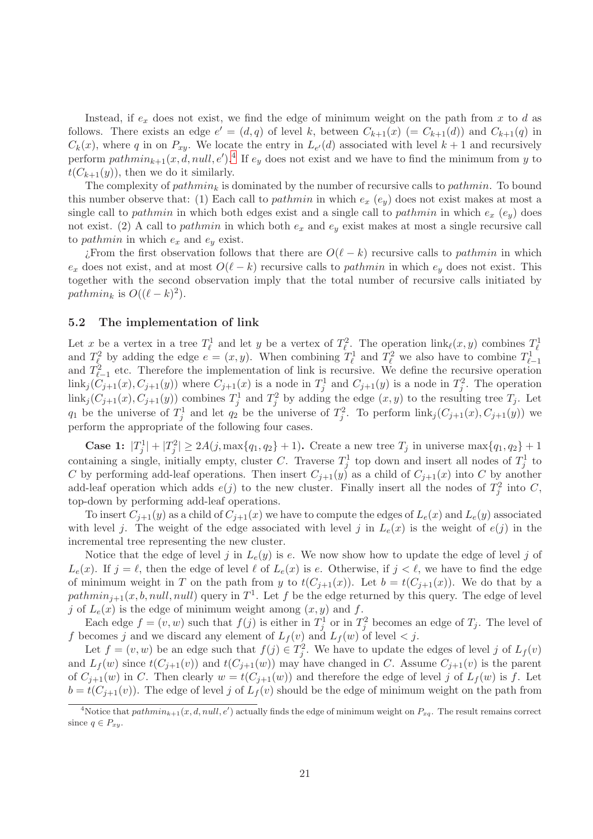Instead, if  $e_x$  does not exist, we find the edge of minimum weight on the path from x to d as follows. There exists an edge  $e' = (d, q)$  of level k, between  $C_{k+1}(x) (= C_{k+1}(d))$  and  $C_{k+1}(q)$  in  $C_k(x)$ , where q in on  $P_{xy}$ . We locate the entry in  $L_{e'}(d)$  associated with level  $k+1$  and recursively perform  $pathmin_{k+1}(x, d, null, e')$ .<sup>[4](#page-21-0)</sup> If  $e_y$  does not exist and we have to find the minimum from y to  $t(C_{k+1}(y))$ , then we do it similarly.

The complexity of  $pathmin_k$  is dominated by the number of recursive calls to *pathmin*. To bound this number observe that: (1) Each call to *pathmin* in which  $e_x$  ( $e_y$ ) does not exist makes at most a single call to pathmin in which both edges exist and a single call to pathmin in which  $e_x$  ( $e_y$ ) does not exist. (2) A call to *pathmin* in which both  $e_x$  and  $e_y$  exist makes at most a single recursive call to *pathmin* in which  $e_x$  and  $e_y$  exist.

¿From the first observation follows that there are  $O(\ell - k)$  recursive calls to *pathmin* in which  $e_x$  does not exist, and at most  $O(\ell - k)$  recursive calls to *pathmin* in which  $e_y$  does not exist. This together with the second observation imply that the total number of recursive calls initiated by pathmin<sub>k</sub> is  $O((\ell - k)^2)$ .

## <span id="page-21-1"></span>5.2 The implementation of link

Let x be a vertex in a tree  $T_{\ell}^1$  and let y be a vertex of  $T_{\ell}^2$ . The operation  $\text{link}_{\ell}(x, y)$  combines  $T_{\ell}^1$ and  $T_{\ell}^2$  by adding the edge  $e = (x, y)$ . When combining  $T_{\ell}^1$  and  $T_{\ell}^2$  we also have to combine  $T_{\ell-1}^1$ and  $T_{\ell-1}^2$  etc. Therefore the implementation of link is recursive. We define the recursive operation  $\text{link}_j(C_{j+1}(x), C_{j+1}(y))$  where  $C_{j+1}(x)$  is a node in  $T_j^1$  and  $C_{j+1}(y)$  is a node in  $T_j^2$ . The operation  $\text{link}_j(C_{j+1}(x), C_{j+1}(y))$  combines  $T_j^1$  and  $T_j^2$  by adding the edge  $(x, y)$  to the resulting tree  $T_j$ . Let  $q_1$  be the universe of  $T_j^1$  and let  $q_2$  be the universe of  $T_j^2$ . To perform  $\text{link}_j(C_{j+1}(x), C_{j+1}(y))$  we perform the appropriate of the following four cases.

**Case 1:**  $|T_j^1| + |T_j^2| \ge 2A(j, \max\{q_1, q_2\} + 1)$ . Create a new tree  $T_j$  in universe  $\max\{q_1, q_2\} + 1$ containing a single, initially empty, cluster C. Traverse  $T_j^1$  top down and insert all nodes of  $T_j^1$  to C by performing add-leaf operations. Then insert  $C_{j+1}(y)$  as a child of  $C_{j+1}(x)$  into C by another add-leaf operation which adds  $e(j)$  to the new cluster. Finally insert all the nodes of  $T_j^2$  into C, top-down by performing add-leaf operations.

To insert  $C_{j+1}(y)$  as a child of  $C_{j+1}(x)$  we have to compute the edges of  $L_e(x)$  and  $L_e(y)$  associated with level j. The weight of the edge associated with level j in  $L_e(x)$  is the weight of  $e(j)$  in the incremental tree representing the new cluster.

Notice that the edge of level j in  $L_e(y)$  is e. We now show how to update the edge of level j of  $L_e(x)$ . If  $j = \ell$ , then the edge of level  $\ell$  of  $L_e(x)$  is e. Otherwise, if  $j < \ell$ , we have to find the edge of minimum weight in T on the path from y to  $t(C_{j+1}(x))$ . Let  $b = t(C_{j+1}(x))$ . We do that by a path $min_{j+1}(x, b, null, null)$  query in  $T^1$ . Let f be the edge returned by this query. The edge of level j of  $L_e(x)$  is the edge of minimum weight among  $(x, y)$  and f.

Each edge  $f = (v, w)$  such that  $f(j)$  is either in  $T_j^1$  or in  $T_j^2$  becomes an edge of  $T_j$ . The level of f becomes j and we discard any element of  $L_f(v)$  and  $L_f(w)$  of level  $\lt j$ .

Let  $f = (v, w)$  be an edge such that  $f(j) \in T_j^2$ . We have to update the edges of level j of  $L_f(v)$ and  $L_f(w)$  since  $t(C_{j+1}(v))$  and  $t(C_{j+1}(w))$  may have changed in C. Assume  $C_{j+1}(v)$  is the parent of  $C_{j+1}(w)$  in C. Then clearly  $w = t(C_{j+1}(w))$  and therefore the edge of level j of  $L_f(w)$  is f. Let  $b = t(C_{j+1}(v))$ . The edge of level j of  $L_f(v)$  should be the edge of minimum weight on the path from

<span id="page-21-0"></span><sup>&</sup>lt;sup>4</sup>Notice that  $pathmin_{k+1}(x, d, null, e')$  actually finds the edge of minimum weight on  $P_{xq}$ . The result remains correct since  $q \in P_{xy}$ .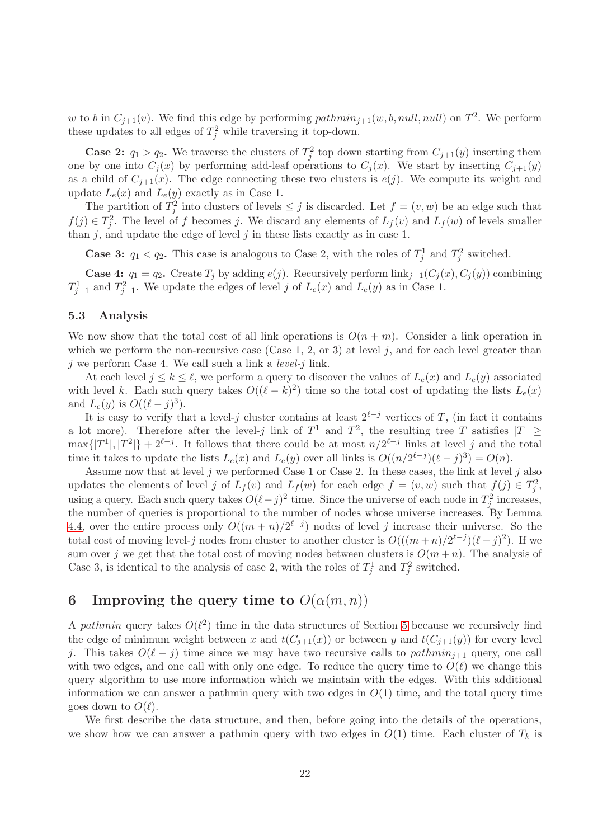w to b in  $C_{j+1}(v)$ . We find this edge by performing  $pathmin_{j+1}(w, b, null, null)$  on  $T^2$ . We perform these updates to all edges of  $T_j^2$  while traversing it top-down.

**Case 2:**  $q_1 > q_2$ . We traverse the clusters of  $T_j^2$  top down starting from  $C_{j+1}(y)$  inserting them one by one into  $C_j(x)$  by performing add-leaf operations to  $C_j(x)$ . We start by inserting  $C_{j+1}(y)$ as a child of  $C_{j+1}(x)$ . The edge connecting these two clusters is  $e(j)$ . We compute its weight and update  $L_e(x)$  and  $L_e(y)$  exactly as in Case 1.

The partition of  $T_j^2$  into clusters of levels  $\leq j$  is discarded. Let  $f = (v, w)$  be an edge such that  $f(j) \in T_j^2$ . The level of f becomes j. We discard any elements of  $L_f(v)$  and  $L_f(w)$  of levels smaller than  $j$ , and update the edge of level  $j$  in these lists exactly as in case 1.

**Case 3:**  $q_1 < q_2$ . This case is analogous to Case 2, with the roles of  $T_j^1$  and  $T_j^2$  switched.

**Case 4:**  $q_1 = q_2$ . Create  $T_j$  by adding  $e(j)$ . Recursively perform  $\text{link}_{j-1}(C_j(x), C_j(y))$  combining  $T_{j-1}^1$  and  $T_{j-1}^2$ . We update the edges of level j of  $L_e(x)$  and  $L_e(y)$  as in Case 1.

### 5.3 Analysis

We now show that the total cost of all link operations is  $O(n + m)$ . Consider a link operation in which we perform the non-recursive case (Case 1, 2, or 3) at level j, and for each level greater than  $i$  we perform Case 4. We call such a link a *level-* $i$  link.

At each level  $j \leq k \leq \ell$ , we perform a query to discover the values of  $L_e(x)$  and  $L_e(y)$  associated with level k. Each such query takes  $O((\ell - k)^2)$  time so the total cost of updating the lists  $L_e(x)$ and  $L_e(y)$  is  $O((\ell - j)^3)$ .

It is easy to verify that a level-j cluster contains at least  $2^{\ell-j}$  vertices of T, (in fact it contains a lot more). Therefore after the level-j link of  $T^1$  and  $T^2$ , the resulting tree T satisfies  $|T| \ge$  $\max\{|T^1|, |T^2|\} + 2^{\ell-j}$ . It follows that there could be at most  $n/2^{\ell-j}$  links at level j and the total time it takes to update the lists  $L_e(x)$  and  $L_e(y)$  over all links is  $O((n/2^{\ell-j})(\ell-j)^3) = O(n)$ .

Assume now that at level  $j$  we performed Case 1 or Case 2. In these cases, the link at level  $j$  also updates the elements of level j of  $L_f(v)$  and  $L_f(w)$  for each edge  $f = (v, w)$  such that  $f(j) \in T_j^2$ , using a query. Each such query takes  $O(\ell - j)^2$  time. Since the universe of each node in  $T_j^2$  increases, the number of queries is proportional to the number of nodes whose universe increases. By Lemma [4.4,](#page-19-0) over the entire process only  $O((m+n)/2^{\ell-j})$  nodes of level j increase their universe. So the total cost of moving level-j nodes from cluster to another cluster is  $O(((m+n)/2^{\ell-j})(\ell-j)^2)$ . If we sum over j we get that the total cost of moving nodes between clusters is  $O(m+n)$ . The analysis of Case 3, is identical to the analysis of case 2, with the roles of  $T_j^1$  and  $T_j^2$  switched.

# <span id="page-22-0"></span>6 Improving the query time to  $O(\alpha(m, n))$

A pathmin query takes  $O(\ell^2)$  time in the data structures of Section [5](#page-20-0) because we recursively find the edge of minimum weight between x and  $t(C_{i+1}(x))$  or between y and  $t(C_{i+1}(y))$  for every level j. This takes  $O(\ell - j)$  time since we may have two recursive calls to pathmin<sub>j+1</sub> query, one call with two edges, and one call with only one edge. To reduce the query time to  $O(\ell)$  we change this query algorithm to use more information which we maintain with the edges. With this additional information we can answer a pathmin query with two edges in  $O(1)$  time, and the total query time goes down to  $O(\ell)$ .

We first describe the data structure, and then, before going into the details of the operations, we show how we can answer a pathmin query with two edges in  $O(1)$  time. Each cluster of  $T_k$  is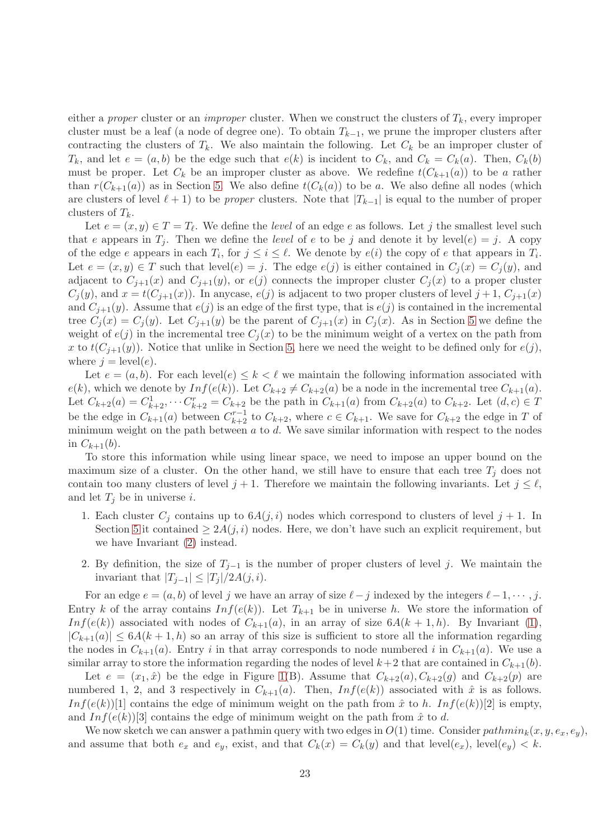either a proper cluster or an *improper* cluster. When we construct the clusters of  $T_k$ , every improper cluster must be a leaf (a node of degree one). To obtain  $T_{k-1}$ , we prune the improper clusters after contracting the clusters of  $T_k$ . We also maintain the following. Let  $C_k$  be an improper cluster of  $T_k$ , and let  $e = (a, b)$  be the edge such that  $e(k)$  is incident to  $C_k$ , and  $C_k = C_k(a)$ . Then,  $C_k(b)$ must be proper. Let  $C_k$  be an improper cluster as above. We redefine  $t(C_{k+1}(a))$  to be a rather than  $r(C_{k+1}(a))$  as in Section [5.](#page-20-0) We also define  $t(C_k(a))$  to be a. We also define all nodes (which are clusters of level  $\ell + 1$ ) to be proper clusters. Note that  $|T_{k-1}|$  is equal to the number of proper clusters of  $T_k$ .

Let  $e = (x, y) \in T = T_{\ell}$ . We define the *level* of an edge e as follows. Let j the smallest level such that e appears in  $T_i$ . Then we define the level of e to be j and denote it by level(e) = j. A copy of the edge e appears in each  $T_i$ , for  $j \leq i \leq \ell$ . We denote by  $e(i)$  the copy of e that appears in  $T_i$ . Let  $e = (x, y) \in T$  such that level $(e) = j$ . The edge  $e(j)$  is either contained in  $C_i(x) = C_i(y)$ , and adjacent to  $C_{i+1}(x)$  and  $C_{i+1}(y)$ , or  $e(j)$  connects the improper cluster  $C_i(x)$  to a proper cluster  $C_j(y)$ , and  $x = t(C_{j+1}(x))$ . In any case,  $e(j)$  is adjacent to two proper clusters of level  $j+1$ ,  $C_{j+1}(x)$ and  $C_{j+1}(y)$ . Assume that  $e(j)$  is an edge of the first type, that is  $e(j)$  is contained in the incremental tree  $C_i(x) = C_i(y)$ . Let  $C_{i+1}(y)$  be the parent of  $C_{i+1}(x)$  in  $C_i(x)$ . As in Section [5](#page-20-0) we define the weight of  $e(j)$  in the incremental tree  $C_i(x)$  to be the minimum weight of a vertex on the path from x to  $t(C_{i+1}(y))$ . Notice that unlike in Section [5,](#page-20-0) here we need the weight to be defined only for  $e(j)$ , where  $j = \text{level}(e)$ .

Let  $e = (a, b)$ . For each level $(e) \leq k < \ell$  we maintain the following information associated with  $e(k)$ , which we denote by  $Inf(e(k))$ . Let  $C_{k+2} \neq C_{k+2}(a)$  be a node in the incremental tree  $C_{k+1}(a)$ . Let  $C_{k+2}(a) = C_{k+2}^1, \dots, C_{k+2}^r = C_{k+2}$  be the path in  $C_{k+1}(a)$  from  $C_{k+2}(a)$  to  $C_{k+2}$ . Let  $(d, c) \in T$ be the edge in  $C_{k+1}(a)$  between  $C_{k+2}^{r-1}$  to  $C_{k+2}$ , where  $c \in C_{k+1}$ . We save for  $C_{k+2}$  the edge in T of minimum weight on the path between  $a$  to  $d$ . We save similar information with respect to the nodes in  $C_{k+1}(b)$ .

<span id="page-23-1"></span>To store this information while using linear space, we need to impose an upper bound on the maximum size of a cluster. On the other hand, we still have to ensure that each tree  $T_i$  does not contain too many clusters of level  $j + 1$ . Therefore we maintain the following invariants. Let  $j \leq \ell$ , and let  $T_j$  be in universe i.

- 1. Each cluster  $C_i$  contains up to  $6A(j,i)$  nodes which correspond to clusters of level  $j+1$ . In Section [5](#page-20-0) it contained  $\geq 2A(j,i)$  nodes. Here, we don't have such an explicit requirement, but we have Invariant [\(2\)](#page-23-0) instead.
- 2. By definition, the size of  $T_{i-1}$  is the number of proper clusters of level j. We maintain the invariant that  $|T_{i-1}| \leq |T_i|/2A(j,i)$ .

<span id="page-23-0"></span>For an edge  $e = (a, b)$  of level j we have an array of size  $\ell - j$  indexed by the integers  $\ell - 1, \dots, j$ . Entry k of the array contains  $Inf(e(k))$ . Let  $T_{k+1}$  be in universe h. We store the information of Inf(e(k)) associated with nodes of  $C_{k+1}(a)$ , in an array of size  $6A(k+1,h)$ . By Invariant [\(1\)](#page-23-1),  $|C_{k+1}(a)| \leq 6A(k+1,h)$  so an array of this size is sufficient to store all the information regarding the nodes in  $C_{k+1}(a)$ . Entry i in that array corresponds to node numbered i in  $C_{k+1}(a)$ . We use a similar array to store the information regarding the nodes of level  $k+2$  that are contained in  $C_{k+1}(b)$ .

Let  $e = (x_1, \hat{x})$  be the edge in Figure [1\(](#page-4-0)B). Assume that  $C_{k+2}(a), C_{k+2}(g)$  and  $C_{k+2}(p)$  are numbered 1, 2, and 3 respectively in  $C_{k+1}(a)$ . Then,  $Inf(e(k))$  associated with  $\hat{x}$  is as follows. Inf(e(k))[1] contains the edge of minimum weight on the path from  $\hat{x}$  to h. Inf(e(k))[2] is empty, and  $Inf(e(k))[3]$  contains the edge of minimum weight on the path from  $\hat{x}$  to d.

We now sketch we can answer a pathmin query with two edges in  $O(1)$  time. Consider pathmin<sub>k</sub> $(x, y, e_x, e_y)$ , and assume that both  $e_x$  and  $e_y$ , exist, and that  $C_k(x) = C_k(y)$  and that level $(e_x)$ , level $(e_y) < k$ .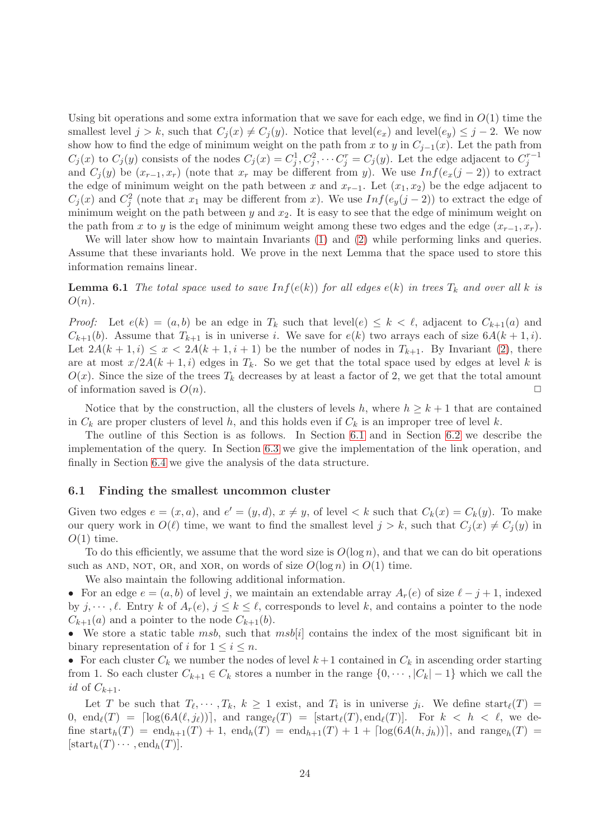Using bit operations and some extra information that we save for each edge, we find in  $O(1)$  time the smallest level  $j > k$ , such that  $C_j(x) \neq C_j(y)$ . Notice that level $(e_x)$  and level $(e_y) \leq j - 2$ . We now show how to find the edge of minimum weight on the path from x to y in  $C_{j-1}(x)$ . Let the path from  $C_j(x)$  to  $C_j(y)$  consists of the nodes  $C_j(x) = C_j^1, C_j^2, \cdots C_j^r = C_j(y)$ . Let the edge adjacent to  $C_j^{r-1}$ and  $C_i(y)$  be  $(x_{r-1}, x_r)$  (note that  $x_r$  may be different from y). We use  $Inf(e_x(j-2))$  to extract the edge of minimum weight on the path between x and  $x_{r-1}$ . Let  $(x_1, x_2)$  be the edge adjacent to  $C_j(x)$  and  $C_j^2$  (note that  $x_1$  may be different from x). We use  $Inf(e_y(j-2))$  to extract the edge of minimum weight on the path between y and  $x_2$ . It is easy to see that the edge of minimum weight on the path from x to y is the edge of minimum weight among these two edges and the edge  $(x_{r-1}, x_r)$ .

We will later show how to maintain Invariants [\(1\)](#page-23-1) and [\(2\)](#page-23-0) while performing links and queries. Assume that these invariants hold. We prove in the next Lemma that the space used to store this information remains linear.

**Lemma 6.1** The total space used to save  $Inf(e(k))$  for all edges  $e(k)$  in trees  $T_k$  and over all k is  $O(n)$ .

*Proof:* Let  $e(k) = (a, b)$  be an edge in  $T_k$  such that level( $e \leq k \leq \ell$ , adjacent to  $C_{k+1}(a)$  and  $C_{k+1}(b)$ . Assume that  $T_{k+1}$  is in universe i. We save for  $e(k)$  two arrays each of size  $6A(k+1, i)$ . Let  $2A(k+1,i) \leq x < 2A(k+1,i+1)$  be the number of nodes in  $T_{k+1}$ . By Invariant [\(2\)](#page-23-0), there are at most  $x/2A(k+1, i)$  edges in  $T_k$ . So we get that the total space used by edges at level k is  $O(x)$ . Since the size of the trees  $T_k$  decreases by at least a factor of 2, we get that the total amount of information saved is  $O(n)$ .

Notice that by the construction, all the clusters of levels h, where  $h \geq k+1$  that are contained in  $C_k$  are proper clusters of level h, and this holds even if  $C_k$  is an improper tree of level k.

The outline of this Section is as follows. In Section [6.1](#page-24-0) and in Section [6.2](#page-25-0) we describe the implementation of the query. In Section [6.3](#page-27-0) we give the implementation of the link operation, and finally in Section [6.4](#page-30-0) we give the analysis of the data structure.

#### <span id="page-24-0"></span>6.1 Finding the smallest uncommon cluster

Given two edges  $e = (x, a)$ , and  $e' = (y, d)$ ,  $x \neq y$ , of level  $\lt k$  such that  $C_k(x) = C_k(y)$ . To make our query work in  $O(\ell)$  time, we want to find the smallest level  $j > k$ , such that  $C_i(x) \neq C_i(y)$  in  $O(1)$  time.

To do this efficiently, we assume that the word size is  $O(\log n)$ , and that we can do bit operations such as AND, NOT, OR, and XOR, on words of size  $O(\log n)$  in  $O(1)$  time.

We also maintain the following additional information.

• For an edge  $e = (a, b)$  of level j, we maintain an extendable array  $A_r(e)$  of size  $\ell - j + 1$ , indexed by  $j, \dots, \ell$ . Entry k of  $A_r(e), j \leq k \leq \ell$ , corresponds to level k, and contains a pointer to the node  $C_{k+1}(a)$  and a pointer to the node  $C_{k+1}(b)$ .

• We store a static table msb, such that msb[i] contains the index of the most significant bit in binary representation of i for  $1 \leq i \leq n$ .

• For each cluster  $C_k$  we number the nodes of level  $k+1$  contained in  $C_k$  in ascending order starting from 1. So each cluster  $C_{k+1} \in C_k$  stores a number in the range  $\{0, \dots, |C_k| - 1\}$  which we call the id of  $C_{k+1}$ .

Let T be such that  $T_{\ell}, \dots, T_k, k \ge 1$  exist, and  $T_i$  is in universe  $j_i$ . We define start $\ell(T)$  =  $0, \text{ end}_{\ell}(T) = \lceil \log(6A(\ell, j_{\ell})) \rceil$ , and  $\text{range}_{\ell}(T) = \lceil \text{start}_{\ell}(T), \text{end}_{\ell}(T) \rceil$ . For  $k < h < \ell$ , we define  $\text{start}_h(T) = \text{end}_{h+1}(T) + 1$ ,  $\text{end}_h(T) = \text{end}_{h+1}(T) + 1 + \lceil \log(6A(h, j_h)) \rceil$ , and  $\text{range}_h(T) =$  $[\text{start}_h(T) \cdots, \text{end}_h(T)].$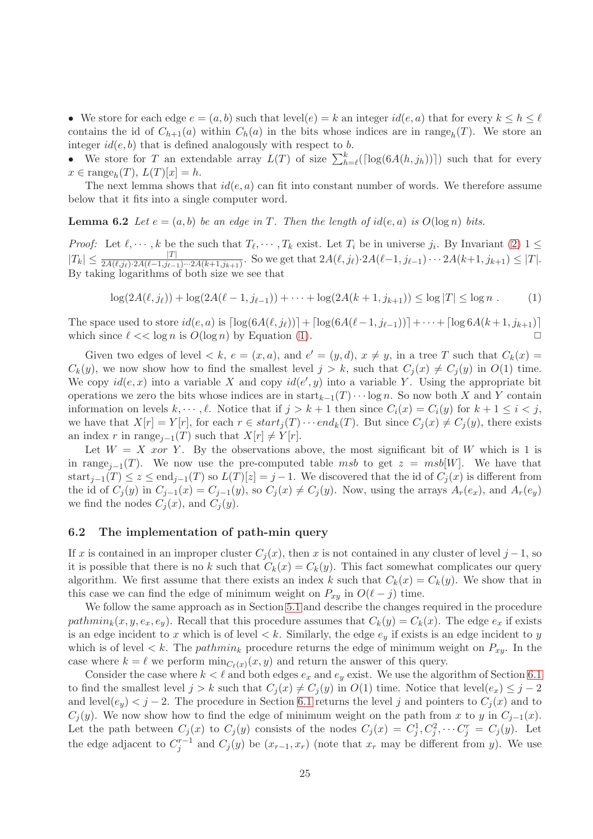• We store for each edge  $e = (a, b)$  such that level $(e) = k$  an integer  $id(e, a)$  that for every  $k \leq h \leq \ell$ contains the id of  $C_{h+1}(a)$  within  $C_h(a)$  in the bits whose indices are in range $h(T)$ . We store an integer  $id(e, b)$  that is defined analogously with respect to b.

• We store for T an extendable array  $L(T)$  of size  $\sum_{h=\ell}^{k}(\lceil \log(6A(h, j_h)) \rceil)$  such that for every  $x \in \text{range}_h(T), L(T)[x] = h.$ 

The next lemma shows that  $id(e, a)$  can fit into constant number of words. We therefore assume below that it fits into a single computer word.

**Lemma 6.2** Let  $e = (a, b)$  be an edge in T. Then the length of id(e, a) is  $O(\log n)$  bits.

*Proof:* Let  $\ell, \dots, k$  be the such that  $T_{\ell}, \dots, T_k$  exist. Let  $T_i$  be in universe  $j_i$ . By Invariant [\(2\)](#page-23-0)  $1 \leq$  $|T_k| \leq \frac{|T|}{2A(\ell,j_\ell)\cdot 2A(\ell-1,j_{\ell-1})\cdots 2A(k+1,j_{k+1})}$ . So we get that  $2A(\ell,j_\ell)\cdot 2A(\ell-1,j_{\ell-1})\cdots 2A(k+1,j_{k+1}) \leq |T|$ . By taking logarithms of both size we see that

<span id="page-25-1"></span>
$$
\log(2A(\ell, j_{\ell})) + \log(2A(\ell - 1, j_{\ell - 1})) + \dots + \log(2A(k + 1, j_{k+1})) \le \log |T| \le \log n \tag{1}
$$

The space used to store  $id(e, a)$  is  $\lceil \log(6A(\ell, j_\ell)) \rceil + \lceil \log(6A(\ell-1, j_{\ell-1})) \rceil + \cdots + \lceil \log 6A(k+1, j_{k+1}) \rceil$ <br>which since  $\ell \ll \log n$  is  $O(\log n)$  by Equation (1) which since  $\ell \ll \log n$  is  $O(\log n)$  by Equation [\(1\)](#page-25-1).

Given two edges of level  $\langle k, e = (x, a), \text{ and } e' = (y, d), x \neq y, \text{ in a tree } T \text{ such that } C_k(x) =$  $C_k(y)$ , we now show how to find the smallest level  $j > k$ , such that  $C_i(x) \neq C_i(y)$  in  $O(1)$  time. We copy  $id(e, x)$  into a variable X and copy  $id(e', y)$  into a variable Y. Using the appropriate bit operations we zero the bits whose indices are in start $k-1(T) \cdots \log n$ . So now both X and Y contain information on levels  $k, \dots, \ell$ . Notice that if  $j > k+1$  then since  $C_i(x) = C_i(y)$  for  $k+1 \leq i \leq j$ , we have that  $X[r] = Y[r]$ , for each  $r \in start_j(T) \cdots end_k(T)$ . But since  $C_j(x) \neq C_j(y)$ , there exists an index r in range<sub>j-1</sub>(T) such that  $X[r] \neq Y[r]$ .

Let  $W = X$  *xor* Y. By the observations above, the most significant bit of W which is 1 is in range<sub>j−1</sub>(T). We now use the pre-computed table msb to get  $z = msb[W]$ . We have that start<sub>j−1</sub>(T) ≤ z ≤ end<sub>j−1</sub>(T) so  $L(T)[z] = j-1$ . We discovered that the id of  $C_i(x)$  is different from the id of  $C_j(y)$  in  $C_{j-1}(x) = C_{j-1}(y)$ , so  $C_j(x) \neq C_j(y)$ . Now, using the arrays  $A_r(e_x)$ , and  $A_r(e_y)$ we find the nodes  $C_j(x)$ , and  $C_j(y)$ .

## <span id="page-25-0"></span>6.2 The implementation of path-min query

If x is contained in an improper cluster  $C_i(x)$ , then x is not contained in any cluster of level j – 1, so it is possible that there is no k such that  $C_k(x) = C_k(y)$ . This fact somewhat complicates our query algorithm. We first assume that there exists an index k such that  $C_k(x) = C_k(y)$ . We show that in this case we can find the edge of minimum weight on  $P_{xy}$  in  $O(\ell - j)$  time.

We follow the same approach as in Section [5.1](#page-20-1) and describe the changes required in the procedure pathmin<sub>k</sub> $(x, y, e_x, e_y)$ . Recall that this procedure assumes that  $C_k(y) = C_k(x)$ . The edge  $e_x$  if exists is an edge incident to x which is of level  $\lt k$ . Similarly, the edge  $e_y$  if exists is an edge incident to y which is of level  $\lt k$ . The *pathmin<sub>k</sub>* procedure returns the edge of minimum weight on  $P_{xy}$ . In the case where  $k = \ell$  we perform  $\min_{C_{\ell}(x)} (x, y)$  and return the answer of this query.

Consider the case where  $k < \ell$  and both edges  $e_x$  and  $e_y$  exist. We use the algorithm of Section [6.1](#page-24-0) to find the smallest level  $j > k$  such that  $C_j(x) \neq C_j(y)$  in  $O(1)$  time. Notice that level $(e_x) \leq j - 2$ and level $(e_y) < j - 2$ . The procedure in Section [6.1](#page-24-0) returns the level j and pointers to  $C_i(x)$  and to  $C_i(y)$ . We now show how to find the edge of minimum weight on the path from x to y in  $C_{i-1}(x)$ . Let the path between  $C_j(x)$  to  $C_j(y)$  consists of the nodes  $C_j(x) = C_j^1, C_j^2, \cdots C_j^r = C_j(y)$ . Let the edge adjacent to  $C_j^{r-1}$  and  $C_j(y)$  be  $(x_{r-1}, x_r)$  (note that  $x_r$  may be different from y). We use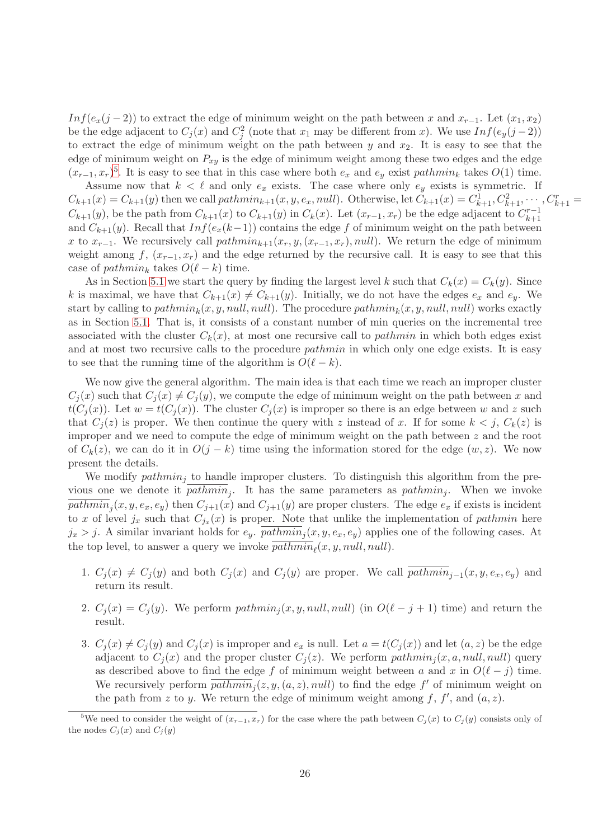Inf(e<sub>x</sub>(j − 2)) to extract the edge of minimum weight on the path between x and  $x_{r-1}$ . Let  $(x_1, x_2)$ be the edge adjacent to  $C_j(x)$  and  $C_j^2$  (note that  $x_1$  may be different from x). We use  $Inf(e_y(j-2))$ to extract the edge of minimum weight on the path between  $y$  and  $x_2$ . It is easy to see that the edge of minimum weight on  $P_{xy}$  is the edge of minimum weight among these two edges and the edge  $(x_{r-1}, x_r)^5$  $(x_{r-1}, x_r)^5$ . It is easy to see that in this case where both  $e_x$  and  $e_y$  exist pathmin<sub>k</sub> takes  $O(1)$  time.

Assume now that  $k < \ell$  and only  $e_x$  exists. The case where only  $e_y$  exists is symmetric. If  $C_{k+1}(x) = C_{k+1}(y)$  then we call  $pathmin_{k+1}(x, y, e_x, null)$ . Otherwise, let  $C_{k+1}(x) = C_{k+1}^1, C_{k+1}^2, \cdots, C_{k+1}^r = C_{k+1}^r$  $C_{k+1}(y)$ , be the path from  $C_{k+1}(x)$  to  $C_{k+1}(y)$  in  $C_k(x)$ . Let  $(x_{r-1},x_r)$  be the edge adjacent to  $C_{k+1}^{r-1}$  $k+1$ and  $C_{k+1}(y)$ . Recall that  $Inf(e_x(k-1))$  contains the edge f of minimum weight on the path between x to  $x_{r-1}$ . We recursively call  $pathmin_{k+1}(x_r, y, (x_{r-1}, x_r), null)$ . We return the edge of minimum weight among f,  $(x_{r-1}, x_r)$  and the edge returned by the recursive call. It is easy to see that this case of pathmin<sub>k</sub> takes  $O(\ell - k)$  time.

As in Section [5.1](#page-20-1) we start the query by finding the largest level k such that  $C_k(x) = C_k(y)$ . Since k is maximal, we have that  $C_{k+1}(x) \neq C_{k+1}(y)$ . Initially, we do not have the edges  $e_x$  and  $e_y$ . We start by calling to  $pathmin_k(x, y, null, null)$ . The procedure  $pathmin_k(x, y, null, null)$  works exactly as in Section [5.1.](#page-20-1) That is, it consists of a constant number of min queries on the incremental tree associated with the cluster  $C_k(x)$ , at most one recursive call to *pathmin* in which both edges exist and at most two recursive calls to the procedure *pathmin* in which only one edge exists. It is easy to see that the running time of the algorithm is  $O(\ell - k)$ .

We now give the general algorithm. The main idea is that each time we reach an improper cluster  $C_i(x)$  such that  $C_i(x) \neq C_i(y)$ , we compute the edge of minimum weight on the path between x and  $t(C_i(x))$ . Let  $w = t(C_i(x))$ . The cluster  $C_i(x)$  is improper so there is an edge between w and z such that  $C_i(z)$  is proper. We then continue the query with z instead of x. If for some  $k < j$ ,  $C_k(z)$  is improper and we need to compute the edge of minimum weight on the path between z and the root of  $C_k(z)$ , we can do it in  $O(j-k)$  time using the information stored for the edge  $(w, z)$ . We now present the details.

We modify  $pathmin_i$  to handle improper clusters. To distinguish this algorithm from the previous one we denote it  $pathmin_j$ . It has the same parameters as  $pathmin_j$ . When we invoke  $pathmin_j(x, y, e_x, e_y)$  then  $C_{j+1}(x)$  and  $C_{j+1}(y)$  are proper clusters. The edge  $e_x$  if exists is incident to x of level  $j_x$  such that  $C_{j_x}(x)$  is proper. Note that unlike the implementation of pathmin here  $j_x > j$ . A similar invariant holds for  $e_y$ .  $pathmin_j(x, y, e_x, e_y)$  applies one of the following cases. At the top level, to answer a query we invoke  $pathmin_{\ell}(x, y, null, null)$ .

- <span id="page-26-3"></span>1.  $C_j(x) \neq C_j(y)$  and both  $C_j(x)$  and  $C_j(y)$  are proper. We call  $pathmin_{j-1}(x, y, e_x, e_y)$  and return its result.
- <span id="page-26-2"></span><span id="page-26-1"></span>2.  $C_j(x) = C_j(y)$ . We perform pathmin<sub>j</sub> $(x, y, null, null)$  (in  $O(\ell - j + 1)$  time) and return the result.
- 3.  $C_i(x) \neq C_i(y)$  and  $C_i(x)$  is improper and  $e_x$  is null. Let  $a = t(C_i(x))$  and let  $(a, z)$  be the edge adjacent to  $C_j(x)$  and the proper cluster  $C_j(z)$ . We perform  $pathmin_j(x, a, null, null)$  query as described above to find the edge f of minimum weight between a and x in  $O(\ell - j)$  time. We recursively perform  $\overline{pathmin}_j(z, y, (a, z), null)$  to find the edge  $f'$  of minimum weight on the path from z to y. We return the edge of minimum weight among f, f', and  $(a, z)$ .

<span id="page-26-0"></span><sup>&</sup>lt;sup>5</sup>We need to consider the weight of  $(x_{r-1}, x_r)$  for the case where the path between  $C_i(x)$  to  $C_i(y)$  consists only of the nodes  $C_i(x)$  and  $C_i(y)$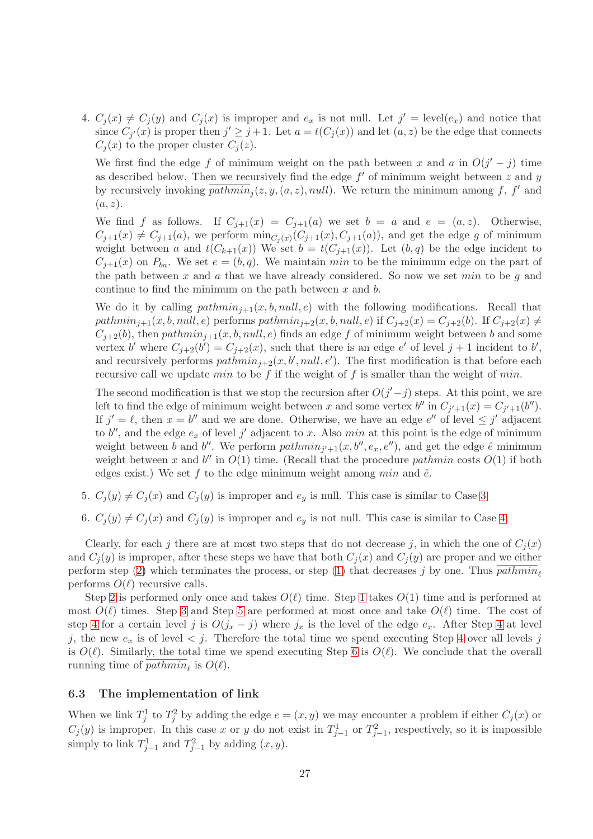<span id="page-27-1"></span>4.  $C_j(x) \neq C_j(y)$  and  $C_j(x)$  is improper and  $e_x$  is not null. Let  $j' = \text{level}(e_x)$  and notice that since  $C_{j'}(x)$  is proper then  $j' \geq j+1$ . Let  $a = t(C_j(x))$  and let  $(a, z)$  be the edge that connects  $C_i(x)$  to the proper cluster  $C_i(z)$ .

We first find the edge f of minimum weight on the path between x and a in  $O(j'-j)$  time as described below. Then we recursively find the edge  $f'$  of minimum weight between  $z$  and  $y$ by recursively invoking  $\overline{pathmin}_j(z, y, (a, z), null)$ . We return the minimum among f, f' and  $(a, z)$ .

We find f as follows. If  $C_{j+1}(x) = C_{j+1}(a)$  we set  $b = a$  and  $e = (a, z)$ . Otherwise,  $C_{j+1}(x) \neq C_{j+1}(a)$ , we perform  $\min_{C_j(x)} (C_{j+1}(x), C_{j+1}(a))$ , and get the edge g of minimum weight between a and  $t(C_{k+1}(x))$  We set  $b = t(C_{j+1}(x))$ . Let  $(b, q)$  be the edge incident to  $C_{j+1}(x)$  on  $P_{ba}$ . We set  $e = (b, q)$ . We maintain min to be the minimum edge on the part of the path between x and a that we have already considered. So now we set  $min$  to be g and continue to find the minimum on the path between  $x$  and  $b$ .

We do it by calling  $pathmin_{j+1}(x, b, null, e)$  with the following modifications. Recall that pathmin<sub>j+1</sub>(x, b, null, e) performs pathmin<sub>j+2</sub>(x, b, null, e) if  $C_{j+2}(x) = C_{j+2}(b)$ . If  $C_{j+2}(x) \neq$  $C_{i+2}(b)$ , then  $pathmin_{i+1}(x, b, null, e)$  finds an edge f of minimum weight between b and some vertex b' where  $C_{j+2}(b') = C_{j+2}(x)$ , such that there is an edge e' of level  $j+1$  incident to b', and recursively performs  $pathmin_{j+2}(x, b', null, e')$ . The first modification is that before each recursive call we update min to be f if the weight of f is smaller than the weight of min.

The second modification is that we stop the recursion after  $O(j'-j)$  steps. At this point, we are left to find the edge of minimum weight between x and some vertex  $b''$  in  $C_{j'+1}(x) = C_{j'+1}(b'')$ . If  $j' = \ell$ , then  $x = b''$  and we are done. Otherwise, we have an edge  $e''$  of level  $\leq j'$  adjacent to  $b''$ , and the edge  $e_x$  of level j' adjacent to x. Also min at this point is the edge of minimum weight between b and b''. We perform  $pathmin_{j'+1}(x, b'', e_x, e'')$ , and get the edge  $\hat{e}$  minimum weight between x and  $b''$  in  $O(1)$  time. (Recall that the procedure pathmin costs  $O(1)$  if both edges exist.) We set f to the edge minimum weight among  $min$  and  $\hat{e}$ .

- <span id="page-27-2"></span>5.  $C_i(y) \neq C_i(x)$  and  $C_i(y)$  is improper and  $e_y$  is null. This case is similar to Case [3.](#page-26-1)
- 6.  $C_i(y) \neq C_i(x)$  and  $C_i(y)$  is improper and  $e_y$  is not null. This case is similar to Case [4.](#page-27-1)

<span id="page-27-3"></span>Clearly, for each j there are at most two steps that do not decrease j, in which the one of  $C_i(x)$ and  $C_i(y)$  is improper, after these steps we have that both  $C_i(x)$  and  $C_i(y)$  are proper and we either perform step [\(2\)](#page-26-2) which terminates the process, or step [\(1\)](#page-26-3) that decreases j by one. Thus  $pathmin_{\ell}$ performs  $O(\ell)$  recursive calls.

Step [2](#page-26-2) is performed only once and takes  $O(\ell)$  time. Step [1](#page-26-3) takes  $O(1)$  time and is performed at most  $O(\ell)$  times. Step [3](#page-26-1) and Step [5](#page-27-2) are performed at most once and take  $O(\ell)$  time. The cost of step [4](#page-27-1) for a certain level j is  $O(j_x - j)$  where  $j_x$  is the level of the edge  $e_x$ . After Step 4 at level j, the new  $e_x$  is of level  $\lt j$ . Therefore the total time we spend executing Step [4](#page-27-1) over all levels j is  $O(\ell)$ . Similarly, the total time we spend executing Step [6](#page-27-3) is  $O(\ell)$ . We conclude that the overall running time of  $pathmin_{\ell}$  is  $O(\ell)$ .

## <span id="page-27-0"></span>6.3 The implementation of link

When we link  $T_j^1$  to  $T_j^2$  by adding the edge  $e = (x, y)$  we may encounter a problem if either  $C_j(x)$  or  $C_j(y)$  is improper. In this case x or y do not exist in  $T_{j-1}^1$  or  $T_{j-1}^2$ , respectively, so it is impossible simply to link  $T_{j-1}^1$  and  $T_{j-1}^2$  by adding  $(x, y)$ .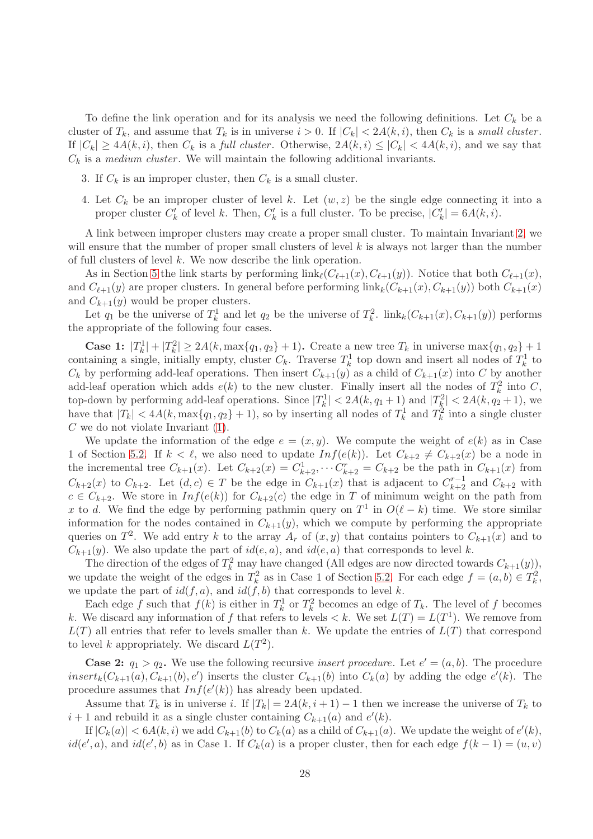<span id="page-28-0"></span>To define the link operation and for its analysis we need the following definitions. Let  $C_k$  be a cluster of  $T_k$ , and assume that  $T_k$  is in universe  $i > 0$ . If  $|C_k| < 2A(k, i)$ , then  $C_k$  is a small cluster. If  $|C_k| \geq 4A(k, i)$ , then  $C_k$  is a full cluster. Otherwise,  $2A(k, i) \leq |C_k| < 4A(k, i)$ , and we say that  $C_k$  is a medium cluster. We will maintain the following additional invariants.

- <span id="page-28-1"></span>3. If  $C_k$  is an improper cluster, then  $C_k$  is a small cluster.
- 4. Let  $C_k$  be an improper cluster of level k. Let  $(w, z)$  be the single edge connecting it into a proper cluster  $C'_{k}$  of level k. Then,  $C'_{k}$  is a full cluster. To be precise,  $|C'_{k}| = 6A(k, i)$ .

A link between improper clusters may create a proper small cluster. To maintain Invariant [2,](#page-23-0) we will ensure that the number of proper small clusters of level  $k$  is always not larger than the number of full clusters of level k. We now describe the link operation.

As in Section [5](#page-20-0) the link starts by performing  $\text{link}_{\ell}(C_{\ell+1}(x), C_{\ell+1}(y))$ . Notice that both  $C_{\ell+1}(x)$ , and  $C_{\ell+1}(y)$  are proper clusters. In general before performing  $\text{link}_k(C_{k+1}(x), C_{k+1}(y))$  both  $C_{k+1}(x)$ and  $C_{k+1}(y)$  would be proper clusters.

Let  $q_1$  be the universe of  $T_k^1$  and let  $q_2$  be the universe of  $T_k^2$ .  $\text{link}_k(C_{k+1}(x), C_{k+1}(y))$  performs the appropriate of the following four cases.

**Case 1:**  $|T_k^1| + |T_k^2| \ge 2A(k, \max\{q_1, q_2\} + 1)$ . Create a new tree  $T_k$  in universe  $\max\{q_1, q_2\} + 1$ containing a single, initially empty, cluster  $C_k$ . Traverse  $T_k^1$  top down and insert all nodes of  $T_k^1$  to  $C_k$  by performing add-leaf operations. Then insert  $C_{k+1}(y)$  as a child of  $C_{k+1}(x)$  into C by another add-leaf operation which adds  $e(k)$  to the new cluster. Finally insert all the nodes of  $T_k^2$  into C, k top-down by performing add-leaf operations. Since  $|T_k^1| < 2A(k, q_1 + 1)$  and  $|T_k^2| < 2A(k, q_2 + 1)$ , we have that  $|T_k| < 4A(k, \max\{q_1, q_2\} + 1)$ , so by inserting all nodes of  $T_k^1$  and  $T_k^2$  into a single cluster  $C$  we do not violate Invariant  $(1)$ .

We update the information of the edge  $e = (x, y)$ . We compute the weight of  $e(k)$  as in Case 1 of Section [5.2.](#page-21-1) If  $k < \ell$ , we also need to update  $Inf(e(k))$ . Let  $C_{k+2} \neq C_{k+2}(x)$  be a node in the incremental tree  $C_{k+1}(x)$ . Let  $C_{k+2}(x) = C_{k+2}^1, \dots C_{k+2}^r = C_{k+2}$  be the path in  $C_{k+1}(x)$  from  $C_{k+2}(x)$  to  $C_{k+2}$ . Let  $(d, c) \in T$  be the edge in  $C_{k+1}(x)$  that is adjacent to  $C_{k+2}^{r-1}$  and  $C_{k+2}$  with  $c \in C_{k+2}$ . We store in  $Inf(e(k))$  for  $C_{k+2}(c)$  the edge in T of minimum weight on the path from x to d. We find the edge by performing pathmin query on  $T^1$  in  $O(\ell - k)$  time. We store similar information for the nodes contained in  $C_{k+1}(y)$ , which we compute by performing the appropriate queries on  $T^2$ . We add entry k to the array  $A_r$  of  $(x, y)$  that contains pointers to  $C_{k+1}(x)$  and to  $C_{k+1}(y)$ . We also update the part of  $id(e, a)$ , and  $id(e, a)$  that corresponds to level k.

The direction of the edges of  $T_k^2$  may have changed (All edges are now directed towards  $C_{k+1}(y)$ ), we update the weight of the edges in  $T_k^2$  as in Case 1 of Section [5.2.](#page-21-1) For each edge  $f = (a, b) \in T_k^2$ , we update the part of  $id(f, a)$ , and  $id(f, b)$  that corresponds to level k.

Each edge f such that  $f(k)$  is either in  $T_k^1$  or  $T_k^2$  becomes an edge of  $T_k$ . The level of f becomes k. We discard any information of f that refers to levels  $\lt k$ . We set  $L(T) = L(T^1)$ . We remove from  $L(T)$  all entries that refer to levels smaller than k. We update the entries of  $L(T)$  that correspond to level k appropriately. We discard  $L(T^2)$ .

**Case 2:**  $q_1 > q_2$ . We use the following recursive *insert procedure*. Let  $e' = (a, b)$ . The procedure  $insert_k(C_{k+1}(a), C_{k+1}(b), e')$  inserts the cluster  $C_{k+1}(b)$  into  $C_k(a)$  by adding the edge  $e'(k)$ . The procedure assumes that  $Inf(e'(k))$  has already been updated.

Assume that  $T_k$  is in universe i. If  $|T_k| = 2A(k, i + 1) - 1$  then we increase the universe of  $T_k$  to  $i+1$  and rebuild it as a single cluster containing  $C_{k+1}(a)$  and  $e'(k)$ .

If  $|C_k(a)| < 6A(k, i)$  we add  $C_{k+1}(b)$  to  $C_k(a)$  as a child of  $C_{k+1}(a)$ . We update the weight of  $e'(k)$ ,  $id(e', a)$ , and  $id(e', b)$  as in Case 1. If  $C_k(a)$  is a proper cluster, then for each edge  $f(k-1) = (u, v)$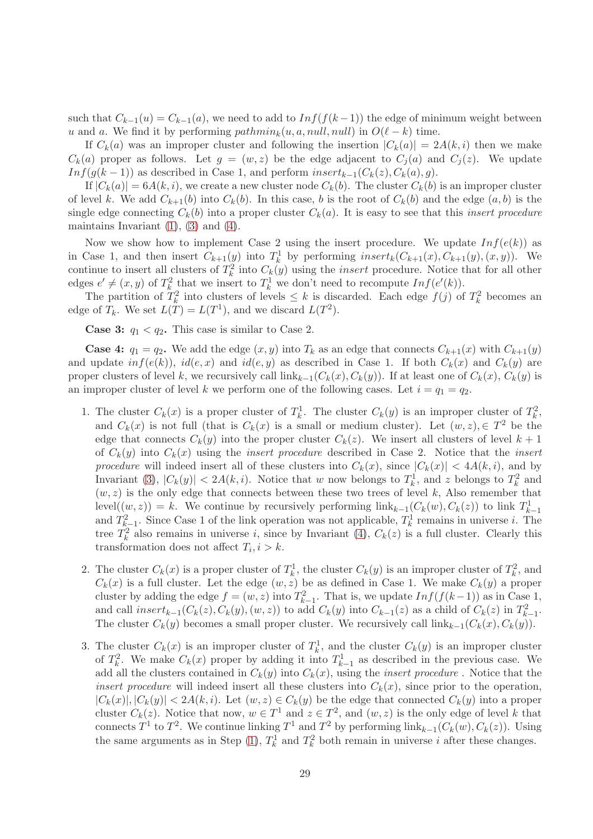such that  $C_{k-1}(u) = C_{k-1}(a)$ , we need to add to  $Inf(f(k-1))$  the edge of minimum weight between u and a. We find it by performing  $pathmin_k(u, a, null, null)$  in  $O(\ell - k)$  time.

If  $C_k(a)$  was an improper cluster and following the insertion  $|C_k(a)| = 2A(k, i)$  then we make  $C_k(a)$  proper as follows. Let  $g = (w, z)$  be the edge adjacent to  $C_i(a)$  and  $C_i(z)$ . We update Inf(g(k − 1)) as described in Case 1, and perform  $insert_{k-1}(C_k(z), C_k(a), g)$ .

If  $|C_k(a)| = 6A(k, i)$ , we create a new cluster node  $C_k(b)$ . The cluster  $C_k(b)$  is an improper cluster of level k. We add  $C_{k+1}(b)$  into  $C_k(b)$ . In this case, b is the root of  $C_k(b)$  and the edge  $(a, b)$  is the single edge connecting  $C_k(b)$  into a proper cluster  $C_k(a)$ . It is easy to see that this *insert procedure* maintains Invariant  $(1)$ ,  $(3)$  and  $(4)$ .

Now we show how to implement Case 2 using the insert procedure. We update  $Inf(e(k))$  as in Case 1, and then insert  $C_{k+1}(y)$  into  $T_k^1$  by performing  $insert_k(C_{k+1}(x), C_{k+1}(y), (x, y))$ . We continue to insert all clusters of  $T_k^2$  into  $C_k(y)$  using the *insert* procedure. Notice that for all other edges  $e' \neq (x, y)$  of  $T_k^2$  that we insert to  $T_k^1$  we don't need to recompute  $Inf(e'(k))$ .

The partition of  $T_k^2$  into clusters of levels  $\leq k$  is discarded. Each edge  $f(j)$  of  $T_k^2$  becomes an edge of  $T_k$ . We set  $L(T) = L(T^1)$ , and we discard  $L(T^2)$ .

**Case 3:**  $q_1 < q_2$ . This case is similar to Case 2.

<span id="page-29-0"></span>**Case 4:**  $q_1 = q_2$ . We add the edge  $(x, y)$  into  $T_k$  as an edge that connects  $C_{k+1}(x)$  with  $C_{k+1}(y)$ and update  $inf(e(k))$ ,  $id(e, x)$  and  $id(e, y)$  as described in Case 1. If both  $C_k(x)$  and  $C_k(y)$  are proper clusters of level k, we recursively call  $\lim_{k=1}(C_k(x), C_k(y))$ . If at least one of  $C_k(x), C_k(y)$  is an improper cluster of level k we perform one of the following cases. Let  $i = q_1 = q_2$ .

- 1. The cluster  $C_k(x)$  is a proper cluster of  $T_k^1$ . The cluster  $C_k(y)$  is an improper cluster of  $T_k^2$ , and  $C_k(x)$  is not full (that is  $C_k(x)$  is a small or medium cluster). Let  $(w, z) \in T^2$  be the edge that connects  $C_k(y)$  into the proper cluster  $C_k(z)$ . We insert all clusters of level  $k+1$ of  $C_k(y)$  into  $C_k(x)$  using the *insert procedure* described in Case 2. Notice that the *insert* procedure will indeed insert all of these clusters into  $C_k(x)$ , since  $|C_k(x)| < 4A(k, i)$ , and by Invariant [\(3\)](#page-28-0),  $|C_k(y)| < 2A(k, i)$ . Notice that w now belongs to  $T_k^1$ , and z belongs to  $T_k^2$  and  $(w, z)$  is the only edge that connects between these two trees of level k, Also remember that level $((w, z)) = k$ . We continue by recursively performing  $\text{link}_{k-1}(C_k(w), C_k(z))$  to link  $T^1_{k-1}$ and  $T_{k-1}^2$ . Since Case 1 of the link operation was not applicable,  $T_k^1$  remains in universe *i*. The tree  $T_k^2$  also remains in universe *i*, since by Invariant [\(4\)](#page-28-1),  $C_k(z)$  is a full cluster. Clearly this transformation does not affect  $T_i, i > k$ .
- 2. The cluster  $C_k(x)$  is a proper cluster of  $T_k^1$ , the cluster  $C_k(y)$  is an improper cluster of  $T_k^2$ , and  $C_k(x)$  is a full cluster. Let the edge  $(w, z)$  be as defined in Case 1. We make  $C_k(y)$  a proper cluster by adding the edge  $f = (w, z)$  into  $T_{k-1}^2$ . That is, we update  $Inf(f(k-1))$  as in Case 1, and call  $insert_{k-1}(C_k(z), C_k(y), (w, z))$  to add  $C_k(y)$  into  $C_{k-1}(z)$  as a child of  $C_k(z)$  in  $T_{k-1}^2$ . The cluster  $C_k(y)$  becomes a small proper cluster. We recursively call  $\text{link}_{k-1}(C_k(x), C_k(y)).$
- <span id="page-29-1"></span>3. The cluster  $C_k(x)$  is an improper cluster of  $T_k^1$ , and the cluster  $C_k(y)$  is an improper cluster of  $T_k^2$ . We make  $C_k(x)$  proper by adding it into  $T_{k-1}^1$  as described in the previous case. We add all the clusters contained in  $C_k(y)$  into  $C_k(x)$ , using the *insert procedure*. Notice that the insert procedure will indeed insert all these clusters into  $C_k(x)$ , since prior to the operation,  $|C_k(x)|, |C_k(y)| < 2A(k, i)$ . Let  $(w, z) \in C_k(y)$  be the edge that connected  $C_k(y)$  into a proper cluster  $C_k(z)$ . Notice that now,  $w \in T^1$  and  $z \in T^2$ , and  $(w, z)$  is the only edge of level k that connects  $T^1$  to  $T^2$ . We continue linking  $T^1$  and  $T^2$  by performing link<sub>k-1</sub>( $C_k(w)$ ,  $C_k(z)$ ). Using the same arguments as in Step [\(1\)](#page-29-0),  $T_k^1$  and  $T_k^2$  both remain in universe *i* after these changes.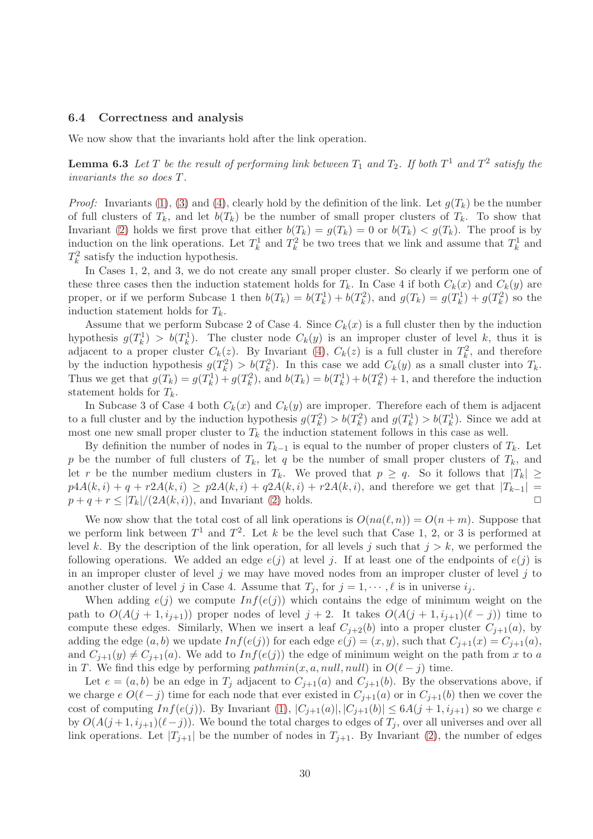### <span id="page-30-0"></span>6.4 Correctness and analysis

We now show that the invariants hold after the link operation.

**Lemma 6.3** Let T be the result of performing link between  $T_1$  and  $T_2$ . If both  $T^1$  and  $T^2$  satisfy the invariants the so does T.

*Proof:* Invariants [\(1\)](#page-23-1), [\(3\)](#page-28-0) and [\(4\)](#page-28-1), clearly hold by the definition of the link. Let  $q(T_k)$  be the number of full clusters of  $T_k$ , and let  $b(T_k)$  be the number of small proper clusters of  $T_k$ . To show that Invariant [\(2\)](#page-23-0) holds we first prove that either  $b(T_k) = g(T_k) = 0$  or  $b(T_k) < g(T_k)$ . The proof is by induction on the link operations. Let  $T_k^1$  and  $T_k^2$  be two trees that we link and assume that  $T_k^1$  and  $T_k^2$  satisfy the induction hypothesis.

In Cases 1, 2, and 3, we do not create any small proper cluster. So clearly if we perform one of these three cases then the induction statement holds for  $T_k$ . In Case 4 if both  $C_k(x)$  and  $C_k(y)$  are proper, or if we perform Subcase 1 then  $b(T_k) = b(T_k^1) + b(T_k^2)$ , and  $g(T_k) = g(T_k^1) + g(T_k^2)$  so the induction statement holds for  $T_k$ .

Assume that we perform Subcase 2 of Case 4. Since  $C_k(x)$  is a full cluster then by the induction hypothesis  $g(T_k^1) > b(T_k^1)$ . The cluster node  $C_k(y)$  is an improper cluster of level k, thus it is adjacent to a proper cluster  $C_k(z)$ . By Invariant [\(4\)](#page-28-1),  $C_k(z)$  is a full cluster in  $T_k^2$ , and therefore k by the induction hypothesis  $g(T_k^2) > b(T_k^2)$ . In this case we add  $C_k(y)$  as a small cluster into  $T_k$ . Thus we get that  $g(T_k) = g(T_k^1) + g(T_k^2)$ , and  $b(T_k) = b(T_k^1) + b(T_k^2) + 1$ , and therefore the induction statement holds for  $T_k$ .

In Subcase 3 of Case 4 both  $C_k(x)$  and  $C_k(y)$  are improper. Therefore each of them is adjacent to a full cluster and by the induction hypothesis  $g(T_k^2) > b(T_k^2)$  and  $g(T_k^1) > b(T_k^1)$ . Since we add at most one new small proper cluster to  $T_k$  the induction statement follows in this case as well.

By definition the number of nodes in  $T_{k-1}$  is equal to the number of proper clusters of  $T_k$ . Let p be the number of full clusters of  $T_k$ , let q be the number of small proper clusters of  $T_k$ , and let r be the number medium clusters in  $T_k$ . We proved that  $p \ge q$ . So it follows that  $|T_k| \ge$  $p4A(k, i) + q + r2A(k, i) \geq p2A(k, i) + q2A(k, i) + r2A(k, i)$ , and therefore we get that  $|T_{k-1}| =$ <br> $p + q + r \leq |T_k|/(2A(k, i))$  and Invariant (2) holds  $p+q+r \leq |T_k|/(2A(k,i))$ , and Invariant [\(2\)](#page-23-0) holds.

We now show that the total cost of all link operations is  $O(na(\ell,n)) = O(n+m)$ . Suppose that we perform link between  $T^1$  and  $T^2$ . Let k be the level such that Case 1, 2, or 3 is performed at level k. By the description of the link operation, for all levels j such that  $j > k$ , we performed the following operations. We added an edge  $e(j)$  at level j. If at least one of the endpoints of  $e(j)$  is in an improper cluster of level  $j$  we may have moved nodes from an improper cluster of level  $j$  to another cluster of level j in Case 4. Assume that  $T_j$ , for  $j = 1, \dots, \ell$  is in universe  $i_j$ .

When adding  $e(j)$  we compute  $Inf(e(j))$  which contains the edge of minimum weight on the path to  $O(A(j+1,i_{j+1}))$  proper nodes of level  $j+2$ . It takes  $O(A(j+1,i_{j+1})(\ell - j))$  time to compute these edges. Similarly, When we insert a leaf  $C_{i+2}(b)$  into a proper cluster  $C_{i+1}(a)$ , by adding the edge  $(a, b)$  we update  $Inf(e(j))$  for each edge  $e(j) = (x, y)$ , such that  $C_{j+1}(x) = C_{j+1}(a)$ , and  $C_{j+1}(y) \neq C_{j+1}(a)$ . We add to  $Inf(e(j))$  the edge of minimum weight on the path from x to a in T. We find this edge by performing  $pathmin(x, a, null, null)$  in  $O(\ell - j)$  time.

Let  $e = (a, b)$  be an edge in  $T_j$  adjacent to  $C_{j+1}(a)$  and  $C_{j+1}(b)$ . By the observations above, if we charge  $e O(\ell - j)$  time for each node that ever existed in  $C_{j+1}(a)$  or in  $C_{j+1}(b)$  then we cover the cost of computing  $Inf(e(j))$ . By Invariant  $(1), |C_{j+1}(a)|, |C_{j+1}(b)| \leq 6A(j+1, i_{j+1})$  so we charge e by  $O(A(j+1,i_{j+1})(\ell-j))$ . We bound the total charges to edges of  $T_j$ , over all universes and over all link operations. Let  $|T_{j+1}|$  be the number of nodes in  $T_{j+1}$ . By Invariant [\(2\)](#page-23-0), the number of edges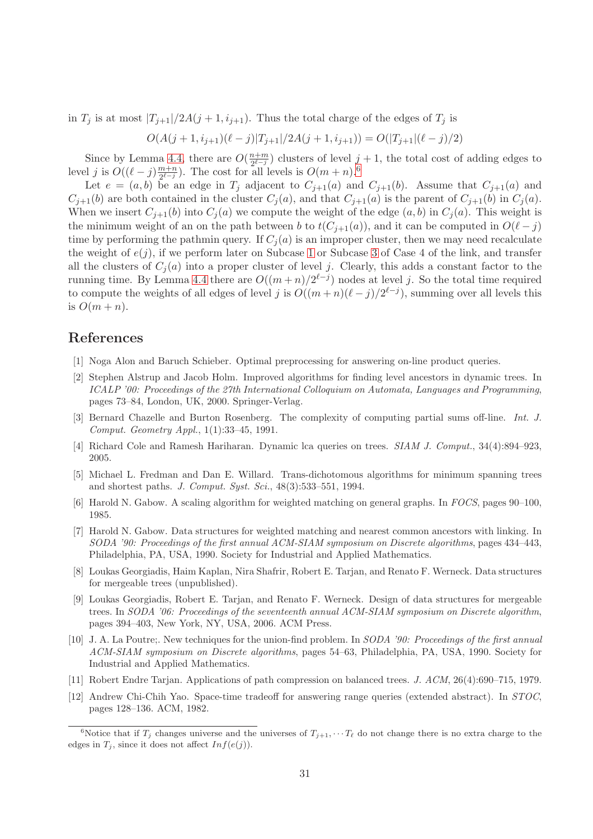in  $T_j$  is at most  $|T_{j+1}|/2A(j+1,i_{j+1})$ . Thus the total charge of the edges of  $T_j$  is

$$
O(A(j+1,i_{j+1})(\ell-j)|T_{j+1}|/2A(j+1,i_{j+1})) = O(|T_{j+1}|(\ell-j)/2)
$$

Since by Lemma [4.4,](#page-19-0) there are  $O(\frac{n+m}{2^{e-j}})$  $\frac{n+m}{2^{\ell-j}}$  clusters of level  $j+1$ , the total cost of adding edges to level *j* is  $O((\ell - j)\frac{m+n}{2^{\ell-j}})$  $\frac{m+n}{2^{\ell-j}}$ ). The cost for all levels is  $O(m+n)$ .<sup>[6](#page-31-12)</sup>

Let  $e = (a, b)$  be an edge in  $T_j$  adjacent to  $C_{j+1}(a)$  and  $C_{j+1}(b)$ . Assume that  $C_{j+1}(a)$  and  $C_{j+1}(b)$  are both contained in the cluster  $C_j(a)$ , and that  $C_{j+1}(a)$  is the parent of  $C_{j+1}(b)$  in  $C_j(a)$ . When we insert  $C_{i+1}(b)$  into  $C_i(a)$  we compute the weight of the edge  $(a, b)$  in  $C_i(a)$ . This weight is the minimum weight of an on the path between b to  $t(C_{j+1}(a))$ , and it can be computed in  $O(\ell - j)$ time by performing the pathmin query. If  $C_i(a)$  is an improper cluster, then we may need recalculate the weight of  $e(j)$ , if we perform later on Subcase [1](#page-29-0) or Subcase [3](#page-29-1) of Case 4 of the link, and transfer all the clusters of  $C_j(a)$  into a proper cluster of level j. Clearly, this adds a constant factor to the running time. By Lemma [4.4](#page-19-0) there are  $O((m+n)/2^{\ell-j})$  nodes at level j. So the total time required to compute the weights of all edges of level j is  $O((m+n)(\ell-j)/2^{\ell-j})$ , summing over all levels this is  $O(m+n)$ .

# <span id="page-31-9"></span>References

- <span id="page-31-3"></span>[1] Noga Alon and Baruch Schieber. Optimal preprocessing for answering on-line product queries.
- [2] Stephen Alstrup and Jacob Holm. Improved algorithms for finding level ancestors in dynamic trees. In ICALP '00: Proceedings of the 27th International Colloquium on Automata, Languages and Programming, pages 73–84, London, UK, 2000. Springer-Verlag.
- <span id="page-31-10"></span>[3] Bernard Chazelle and Burton Rosenberg. The complexity of computing partial sums off-line. Int. J. Comput. Geometry Appl., 1(1):33–45, 1991.
- <span id="page-31-11"></span><span id="page-31-4"></span>[4] Richard Cole and Ramesh Hariharan. Dynamic lca queries on trees. SIAM J. Comput., 34(4):894–923, 2005.
- [5] Michael L. Fredman and Dan E. Willard. Trans-dichotomous algorithms for minimum spanning trees and shortest paths. *J. Comput. Sust. Sci.*, 48(3):533–551, 1994.
- <span id="page-31-6"></span>[6] Harold N. Gabow. A scaling algorithm for weighted matching on general graphs. In FOCS, pages 90–100, 1985.
- <span id="page-31-5"></span>[7] Harold N. Gabow. Data structures for weighted matching and nearest common ancestors with linking. In SODA '90: Proceedings of the first annual ACM-SIAM symposium on Discrete algorithms, pages 434–443, Philadelphia, PA, USA, 1990. Society for Industrial and Applied Mathematics.
- <span id="page-31-8"></span>[8] Loukas Georgiadis, Haim Kaplan, Nira Shafrir, Robert E. Tarjan, and Renato F. Werneck. Data structures for mergeable trees (unpublished).
- <span id="page-31-2"></span>[9] Loukas Georgiadis, Robert E. Tarjan, and Renato F. Werneck. Design of data structures for mergeable trees. In SODA '06: Proceedings of the seventeenth annual ACM-SIAM symposium on Discrete algorithm, pages 394–403, New York, NY, USA, 2006. ACM Press.
- <span id="page-31-7"></span>[10] J. A. La Poutre;. New techniques for the union-find problem. In SODA '90: Proceedings of the first annual ACM-SIAM symposium on Discrete algorithms, pages 54–63, Philadelphia, PA, USA, 1990. Society for Industrial and Applied Mathematics.
- <span id="page-31-1"></span><span id="page-31-0"></span>[11] Robert Endre Tarjan. Applications of path compression on balanced trees. J. ACM, 26(4):690–715, 1979.
- [12] Andrew Chi-Chih Yao. Space-time tradeoff for answering range queries (extended abstract). In STOC, pages 128–136. ACM, 1982.

<span id="page-31-12"></span><sup>&</sup>lt;sup>6</sup>Notice that if  $T_j$  changes universe and the universes of  $T_{j+1}, \cdots T_{\ell}$  do not change there is no extra charge to the edges in  $T_j$ , since it does not affect  $Inf(e(j))$ .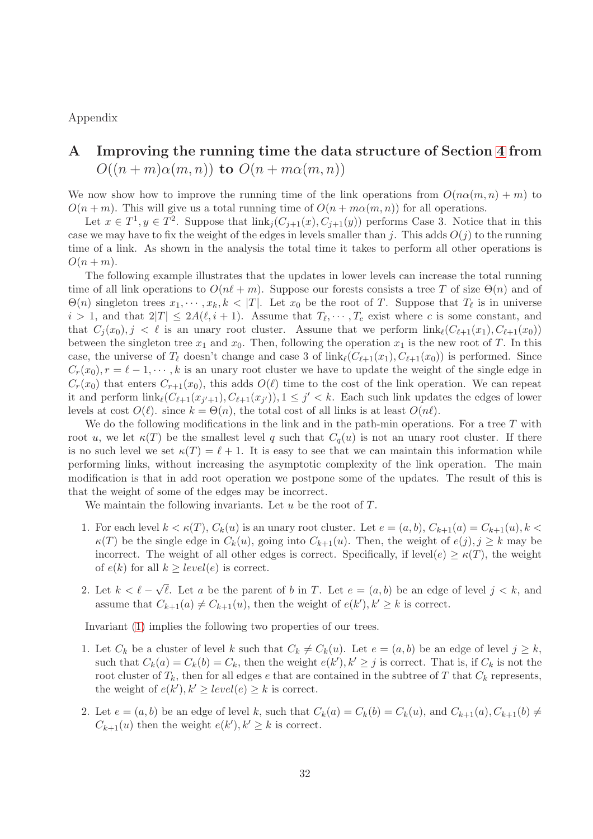<span id="page-32-0"></span>Appendix

# A Improving the running time the data structure of Section [4](#page-10-0) from  $O((n+m)\alpha(m,n))$  to  $O(n+m\alpha(m,n))$

We now show how to improve the running time of the link operations from  $O(n\alpha(m,n)+m)$  to  $O(n+m)$ . This will give us a total running time of  $O(n+m\alpha(m,n))$  for all operations.

Let  $x \in T^1, y \in T^2$ . Suppose that  $\text{link}_j(C_{j+1}(x), C_{j+1}(y))$  performs Case 3. Notice that in this case we may have to fix the weight of the edges in levels smaller than j. This adds  $O(j)$  to the running time of a link. As shown in the analysis the total time it takes to perform all other operations is  $O(n+m)$ .

The following example illustrates that the updates in lower levels can increase the total running time of all link operations to  $O(n\ell+m)$ . Suppose our forests consists a tree T of size  $\Theta(n)$  and of  $\Theta(n)$  singleton trees  $x_1, \dots, x_k, k < |T|$ . Let  $x_0$  be the root of T. Suppose that  $T_\ell$  is in universe  $i > 1$ , and that  $2|T| \le 2A(\ell, i + 1)$ . Assume that  $T_{\ell}, \dots, T_{c}$  exist where c is some constant, and that  $C_i(x_0), j < \ell$  is an unary root cluster. Assume that we perform  $\text{link}_{\ell}(C_{\ell+1}(x_1), C_{\ell+1}(x_0))$ between the singleton tree  $x_1$  and  $x_0$ . Then, following the operation  $x_1$  is the new root of T. In this case, the universe of  $T_{\ell}$  doesn't change and case 3 of  $\lim_{\ell} (C_{\ell+1}(x_1), C_{\ell+1}(x_0))$  is performed. Since  $C_r(x_0), r = \ell - 1, \dots, k$  is an unary root cluster we have to update the weight of the single edge in  $C_r(x_0)$  that enters  $C_{r+1}(x_0)$ , this adds  $O(\ell)$  time to the cost of the link operation. We can repeat it and perform  $\text{link}_{\ell}(C_{\ell+1}(x_{j'+1}), C_{\ell+1}(x_{j'})), 1 \leq j' < k$ . Each such link updates the edges of lower levels at cost  $O(\ell)$ . since  $k = \Theta(n)$ , the total cost of all links is at least  $O(n\ell)$ .

We do the following modifications in the link and in the path-min operations. For a tree  $T$  with root u, we let  $\kappa(T)$  be the smallest level q such that  $C_q(u)$  is not an unary root cluster. If there is no such level we set  $\kappa(T) = \ell + 1$ . It is easy to see that we can maintain this information while performing links, without increasing the asymptotic complexity of the link operation. The main modification is that in add root operation we postpone some of the updates. The result of this is that the weight of some of the edges may be incorrect.

We maintain the following invariants. Let  $u$  be the root of  $T$ .

- <span id="page-32-1"></span>1. For each level  $k < \kappa(T)$ ,  $C_k(u)$  is an unary root cluster. Let  $e = (a, b)$ ,  $C_{k+1}(a) = C_{k+1}(u)$ ,  $k <$  $\kappa(T)$  be the single edge in  $C_k(u)$ , going into  $C_{k+1}(u)$ . Then, the weight of  $e(j), j \geq k$  may be incorrect. The weight of all other edges is correct. Specifically, if level(e)  $\geq \kappa(T)$ , the weight of  $e(k)$  for all  $k \ge level(e)$  is correct.
- <span id="page-32-2"></span>2. Let  $k < \ell - \sqrt{\ell}$ . Let a be the parent of b in T. Let  $e = (a, b)$  be an edge of level  $j < k$ , and assume that  $C_{k+1}(a) \neq C_{k+1}(u)$ , then the weight of  $e(k')$ ,  $k' \geq k$  is correct.

Invariant [\(1\)](#page-32-1) implies the following two properties of our trees.

- <span id="page-32-3"></span>1. Let  $C_k$  be a cluster of level k such that  $C_k \neq C_k(u)$ . Let  $e = (a, b)$  be an edge of level  $j \geq k$ , such that  $C_k(a) = C_k(b) = C_k$ , then the weight  $e(k')$ ,  $k' \geq j$  is correct. That is, if  $C_k$  is not the root cluster of  $T_k$ , then for all edges e that are contained in the subtree of T that  $C_k$  represents, the weight of  $e(k')$ ,  $k' \ge level(e) \ge k$  is correct.
- <span id="page-32-4"></span>2. Let  $e = (a, b)$  be an edge of level k, such that  $C_k(a) = C_k(b) = C_k(u)$ , and  $C_{k+1}(a), C_{k+1}(b) \neq 0$  $C_{k+1}(u)$  then the weight  $e(k'), k' \geq k$  is correct.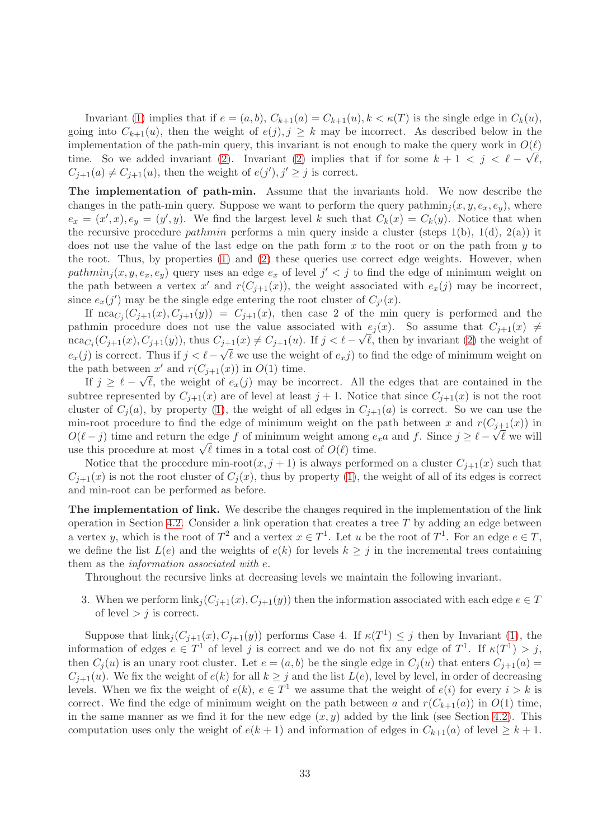Invariant [\(1\)](#page-32-1) implies that if  $e = (a, b), C_{k+1}(a) = C_{k+1}(u), k < \kappa(T)$  is the single edge in  $C_k(u)$ , going into  $C_{k+1}(u)$ , then the weight of  $e(j), j \geq k$  may be incorrect. As described below in the implementation of the path-min query, this invariant is not enough to make the query work in  $O(\ell)$ time. So we added invariant [\(2\)](#page-32-2). Invariant (2) implies that if for some  $k + 1 < j < \ell - \sqrt{\ell}$ ,  $C_{j+1}(a) \neq C_{j+1}(u)$ , then the weight of  $e(j')$ ,  $j' \geq j$  is correct.

The implementation of path-min. Assume that the invariants hold. We now describe the changes in the path-min query. Suppose we want to perform the query path $\min_i (x, y, e_x, e_y)$ , where  $e_x = (x', x), e_y = (y', y)$ . We find the largest level k such that  $C_k(x) = C_k(y)$ . Notice that when the recursive procedure *pathmin* performs a min query inside a cluster (steps 1(b), 1(d), 2(a)) it does not use the value of the last edge on the path form  $x$  to the root or on the path from  $y$  to the root. Thus, by properties [\(1\)](#page-32-3) and [\(2\)](#page-32-4) these queries use correct edge weights. However, when path $min_j(x, y, e_x, e_y)$  query uses an edge  $e_x$  of level  $j' < j$  to find the edge of minimum weight on the path between a vertex x' and  $r(C_{j+1}(x))$ , the weight associated with  $e_x(j)$  may be incorrect, since  $e_x(j')$  may be the single edge entering the root cluster of  $C_{j'}(x)$ .

If  $nca_{C_j}(C_{j+1}(x), C_{j+1}(y)) = C_{j+1}(x)$ , then case 2 of the min query is performed and the pathmin procedure does not use the value associated with  $e_j(x)$ . So assume that  $C_{j+1}(x) \neq$  $nca_{C_j}(C_{j+1}(x), C_{j+1}(y))$ , thus  $C_{j+1}(x) \neq C_{j+1}(u)$ . If  $j < \ell - \sqrt{\ell}$ , then by invariant [\(2\)](#page-32-2) the weight of  $e_x(j)$  is correct. Thus if  $j < \ell - \sqrt{\ell}$  we use the weight of  $e_xj$ ) to find the edge of minimum weight on the path between  $x'$  and  $r(C_{j+1}(x))$  in  $O(1)$  time.

If  $j \geq \ell - \sqrt{\ell}$ , the weight of  $e_x(j)$  may be incorrect. All the edges that are contained in the subtree represented by  $C_{j+1}(x)$  are of level at least  $j+1$ . Notice that since  $C_{j+1}(x)$  is not the root cluster of  $C_i(a)$ , by property [\(1\)](#page-32-3), the weight of all edges in  $C_{i+1}(a)$  is correct. So we can use the min-root procedure to find the edge of minimum weight on the path between x and  $r(C_{j+1}(x))$  in  $O(\ell - j)$  time and return the edge f of minimum weight among  $e_x a$  and f. Since  $j \geq \ell - \sqrt{\ell}$  we will use this procedure at most  $\sqrt{\ell}$  times in a total cost of  $O(\ell)$  time.

Notice that the procedure min-root $(x, j + 1)$  is always performed on a cluster  $C_{j+1}(x)$  such that  $C_{i+1}(x)$  is not the root cluster of  $C_i(x)$ , thus by property [\(1\)](#page-32-3), the weight of all of its edges is correct and min-root can be performed as before.

The implementation of link. We describe the changes required in the implementation of the link operation in Section [4.2.](#page-13-0) Consider a link operation that creates a tree  $T$  by adding an edge between a vertex y, which is the root of  $T^2$  and a vertex  $x \in T^1$ . Let u be the root of  $T^1$ . For an edge  $e \in T$ , we define the list  $L(e)$  and the weights of  $e(k)$  for levels  $k > i$  in the incremental trees containing them as the information associated with e.

Throughout the recursive links at decreasing levels we maintain the following invariant.

<span id="page-33-0"></span>3. When we perform  $\text{link}_j(C_{j+1}(x), C_{j+1}(y))$  then the information associated with each edge  $e \in T$ of level  $> j$  is correct.

Suppose that  $\text{link}_j(C_{j+1}(x), C_{j+1}(y))$  performs Case 4. If  $\kappa(T^1) \leq j$  then by Invariant [\(1\)](#page-32-1), the information of edges  $e \in T^1$  of level j is correct and we do not fix any edge of  $T^1$ . If  $\kappa(T^1) > j$ , then  $C_i(u)$  is an unary root cluster. Let  $e = (a, b)$  be the single edge in  $C_i(u)$  that enters  $C_{i+1}(a)$  $C_{j+1}(u)$ . We fix the weight of  $e(k)$  for all  $k \geq j$  and the list  $L(e)$ , level by level, in order of decreasing levels. When we fix the weight of  $e(k)$ ,  $e \in T^1$  we assume that the weight of  $e(i)$  for every  $i > k$  is correct. We find the edge of minimum weight on the path between a and  $r(C_{k+1}(a))$  in  $O(1)$  time, in the same manner as we find it for the new edge  $(x, y)$  added by the link (see Section [4.2\)](#page-13-0). This computation uses only the weight of  $e(k + 1)$  and information of edges in  $C_{k+1}(a)$  of level  $\geq k+1$ .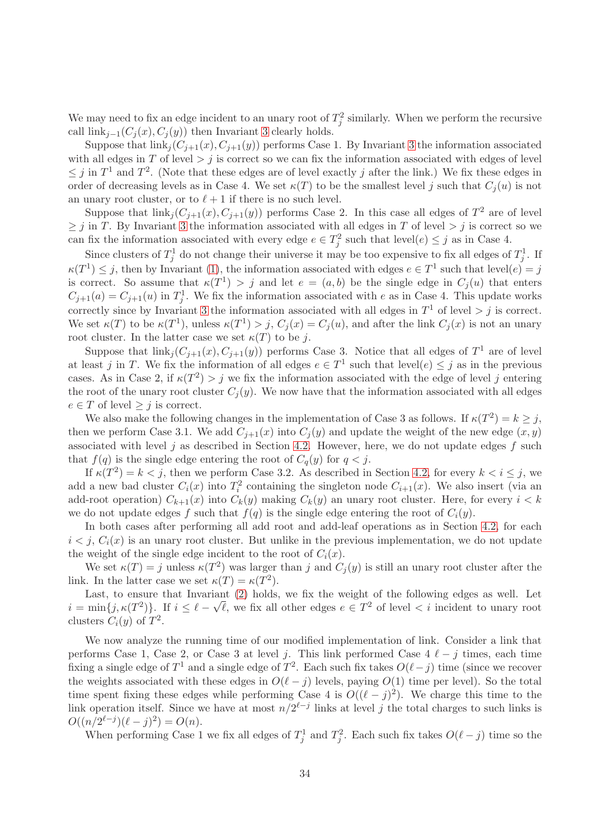We may need to fix an edge incident to an unary root of  $T_j^2$  similarly. When we perform the recursive call  $\text{link}_{i-1}(C_i(x), C_i(y))$  then Invariant [3](#page-33-0) clearly holds.

Suppose that  $\text{link}_j(C_{j+1}(x), C_{j+1}(y))$  performs Case 1. By Invariant [3](#page-33-0) the information associated with all edges in T of level  $> j$  is correct so we can fix the information associated with edges of level  $\leq j$  in  $T^1$  and  $T^2$ . (Note that these edges are of level exactly j after the link.) We fix these edges in order of decreasing levels as in Case 4. We set  $\kappa(T)$  to be the smallest level j such that  $C_i(u)$  is not an unary root cluster, or to  $\ell + 1$  if there is no such level.

Suppose that  $\text{link}_j(C_{j+1}(x), C_{j+1}(y))$  performs Case 2. In this case all edges of  $T^2$  are of level  $\geq j$  in T. By Invariant [3](#page-33-0) the information associated with all edges in T of level  $> j$  is correct so we can fix the information associated with every edge  $e \in T_j^2$  such that  $level(e) \leq j$  as in Case 4.

Since clusters of  $T_j^1$  do not change their universe it may be too expensive to fix all edges of  $T_j^1$ . If  $\kappa(T^1) \leq j$ , then by Invariant [\(1\)](#page-32-1), the information associated with edges  $e \in T^1$  such that level $(e) = j$ is correct. So assume that  $\kappa(T^1) > j$  and let  $e = (a, b)$  be the single edge in  $C_j(u)$  that enters  $C_{j+1}(a) = C_{j+1}(u)$  in  $T_j^1$ . We fix the information associated with e as in Case 4. This update works correctly since by Invariant [3](#page-33-0) the information associated with all edges in  $T<sup>1</sup>$  of level  $> j$  is correct. We set  $\kappa(T)$  to be  $\kappa(T^1)$ , unless  $\kappa(T^1) > j$ ,  $C_j(x) = C_j(u)$ , and after the link  $C_j(x)$  is not an unary root cluster. In the latter case we set  $\kappa(T)$  to be j.

Suppose that  $\text{link}_j(C_{j+1}(x), C_{j+1}(y))$  performs Case 3. Notice that all edges of  $T^1$  are of level at least j in T. We fix the information of all edges  $e \in T^1$  such that level $(e) \leq j$  as in the previous cases. As in Case 2, if  $\kappa(T^2) > j$  we fix the information associated with the edge of level j entering the root of the unary root cluster  $C_i(y)$ . We now have that the information associated with all edges  $e \in T$  of level  $\geq j$  is correct.

We also make the following changes in the implementation of Case 3 as follows. If  $\kappa(T^2) = k \geq j$ , then we perform Case 3.1. We add  $C_{i+1}(x)$  into  $C_i(y)$  and update the weight of the new edge  $(x, y)$ associated with level j as described in Section [4.2.](#page-13-0) However, here, we do not update edges  $f$  such that  $f(q)$  is the single edge entering the root of  $C_q(y)$  for  $q < j$ .

If  $\kappa(T^2) = k < j$ , then we perform Case 3.2. As described in Section [4.2,](#page-13-0) for every  $k < i \leq j$ , we add a new bad cluster  $C_i(x)$  into  $T_i^2$  containing the singleton node  $C_{i+1}(x)$ . We also insert (via an add-root operation)  $C_{k+1}(x)$  into  $C_k(y)$  making  $C_k(y)$  an unary root cluster. Here, for every  $i < k$ we do not update edges f such that  $f(q)$  is the single edge entering the root of  $C_i(y)$ .

In both cases after performing all add root and add-leaf operations as in Section [4.2,](#page-13-0) for each  $i < j$ ,  $C_i(x)$  is an unary root cluster. But unlike in the previous implementation, we do not update the weight of the single edge incident to the root of  $C_i(x)$ .

We set  $\kappa(T) = j$  unless  $\kappa(T^2)$  was larger than j and  $C_j(y)$  is still an unary root cluster after the link. In the latter case we set  $\kappa(T) = \kappa(T^2)$ .

Last, to ensure that Invariant [\(2\)](#page-32-2) holds, we fix the weight of the following edges as well. Let  $i = \min\{j, \kappa(T^2)\}\$ . If  $i \leq \ell - \sqrt{\ell}$ , we fix all other edges  $e \in T^2$  of level  $\lt i$  incident to unary root clusters  $C_i(y)$  of  $T^2$ .

We now analyze the running time of our modified implementation of link. Consider a link that performs Case 1, Case 2, or Case 3 at level j. This link performed Case  $4\ell - j$  times, each time fixing a single edge of  $T^1$  and a single edge of  $T^2$ . Each such fix takes  $O(\ell - j)$  time (since we recover the weights associated with these edges in  $O(\ell - j)$  levels, paying  $O(1)$  time per level). So the total time spent fixing these edges while performing Case 4 is  $O((\ell - j)^2)$ . We charge this time to the link operation itself. Since we have at most  $n/2^{\ell-j}$  links at level j the total charges to such links is  $O((n/2^{\ell-j})(\ell-j)^2) = O(n).$ 

When performing Case 1 we fix all edges of  $T_j^1$  and  $T_j^2$ . Each such fix takes  $O(\ell - j)$  time so the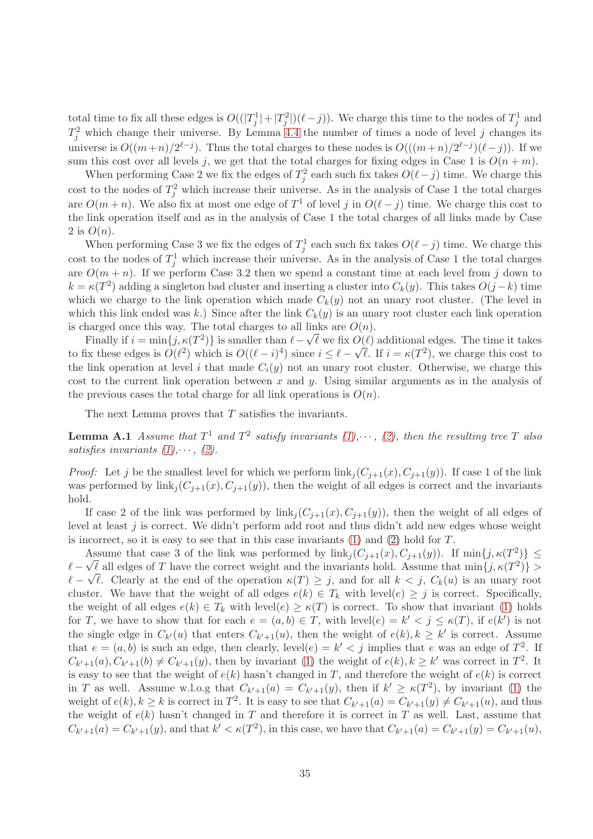total time to fix all these edges is  $O((|T_j^1|+|T_j^2|)(\ell-j))$ . We charge this time to the nodes of  $T_j^1$  and  $T_j^2$  which change their universe. By Lemma [4.4](#page-19-0) the number of times a node of level j changes its universe is  $O((m+n)/2^{\ell-j})$ . Thus the total charges to these nodes is  $O(((m+n)/2^{\ell-j})(\ell-j))$ . If we sum this cost over all levels j, we get that the total charges for fixing edges in Case 1 is  $O(n+m)$ .

When performing Case 2 we fix the edges of  $T_j^2$  each such fix takes  $O(\ell - j)$  time. We charge this cost to the nodes of  $T_j^2$  which increase their universe. As in the analysis of Case 1 the total charges are  $O(m+n)$ . We also fix at most one edge of  $T^1$  of level j in  $O(\ell - j)$  time. We charge this cost to the link operation itself and as in the analysis of Case 1 the total charges of all links made by Case 2 is  $O(n)$ .

When performing Case 3 we fix the edges of  $T_j^1$  each such fix takes  $O(\ell - j)$  time. We charge this cost to the nodes of  $T_j^1$  which increase their universe. As in the analysis of Case 1 the total charges are  $O(m + n)$ . If we perform Case 3.2 then we spend a constant time at each level from j down to  $k = \kappa(T^2)$  adding a singleton bad cluster and inserting a cluster into  $C_k(y)$ . This takes  $O(j-k)$  time which we charge to the link operation which made  $C_k(y)$  not an unary root cluster. (The level in which this link ended was k.) Since after the link  $C_k(y)$  is an unary root cluster each link operation is charged once this way. The total charges to all links are  $O(n)$ .

Finally if  $i = \min\{j, \kappa(T^2)\}$  is smaller than  $\ell - \sqrt{\ell}$  we fix  $O(\ell)$  additional edges. The time it takes to fix these edges is  $O(\ell^2)$  which is  $O((\ell - i)^4)$  since  $i \leq \ell - \sqrt{\ell}$ . If  $i = \kappa(T^2)$ , we charge this cost to the link operation at level i that made  $C_i(y)$  not an unary root cluster. Otherwise, we charge this cost to the current link operation between  $x$  and  $y$ . Using similar arguments as in the analysis of the previous cases the total charge for all link operations is  $O(n)$ .

The next Lemma proves that  $T$  satisfies the invariants.

**Lemma A.1** Assume that  $T^1$  and  $T^2$  satisfy invariants  $(1), \dots, (2)$  $(1), \dots, (2)$ , then the resulting tree T also satisfies invariants  $(1), \cdots, (2)$  $(1), \cdots, (2)$ .

*Proof:* Let j be the smallest level for which we perform  $\text{link}_j(C_{j+1}(x), C_{j+1}(y))$ . If case 1 of the link was performed by  $\text{link}_i(C_{i+1}(x), C_{i+1}(y))$ , then the weight of all edges is correct and the invariants hold.

If case 2 of the link was performed by  $\text{link}_j(C_{j+1}(x), C_{j+1}(y))$ , then the weight of all edges of level at least j is correct. We didn't perform add root and thus didn't add new edges whose weight is incorrect, so it is easy to see that in this case invariants  $(1)$  and  $(2)$  hold for T.

Assume that case 3 of the link was performed by  $\text{link}_j(C_{j+1}(x), C_{j+1}(y))$ . If  $\min\{j, \kappa(T^2)\}\leq$  $\ell - \sqrt{\ell}$  all edges of T have the correct weight and the invariants hold. Assume that  $\min\{j, \kappa(T^2)\}$  $\ell - \sqrt{\ell}$ . Clearly at the end of the operation  $\kappa(T) \geq j$ , and for all  $k < j$ ,  $C_k(u)$  is an unary root cluster. We have that the weight of all edges  $e(k) \in T_k$  with level(e)  $\geq j$  is correct. Specifically, the weight of all edges  $e(k) \in T_k$  with level $(e) \geq \kappa(T)$  is correct. To show that invariant [\(1\)](#page-32-1) holds for T, we have to show that for each  $e = (a, b) \in T$ , with  $level(e) = k' < j \leq \kappa(T)$ , if  $e(k')$  is not the single edge in  $C_{k'}(u)$  that enters  $C_{k'+1}(u)$ , then the weight of  $e(k)$ ,  $k \geq k'$  is correct. Assume that  $e = (a, b)$  is such an edge, then clearly, level $(e) = k' < j$  implies that e was an edge of  $T<sup>2</sup>$ . If  $C_{k'+1}(a)$ ,  $C_{k'+1}(b) \neq C_{k'+1}(y)$ , then by invariant [\(1\)](#page-32-1) the weight of  $e(k)$ ,  $k \geq k'$  was correct in  $T^2$ . It is easy to see that the weight of  $e(k)$  hasn't changed in T, and therefore the weight of  $e(k)$  is correct in T as well. Assume w.l.o.g that  $C_{k'+1}(a) = C_{k'+1}(y)$ , then if  $k' \geq \kappa(T^2)$ , by invariant [\(1\)](#page-32-1) the weight of  $e(k)$ ,  $k \geq k$  is correct in  $T^2$ . It is easy to see that  $C_{k'+1}(a) = C_{k'+1}(y) \neq C_{k'+1}(u)$ , and thus the weight of  $e(k)$  hasn't changed in T and therefore it is correct in T as well. Last, assume that  $C_{k'+1}(a) = C_{k'+1}(y)$ , and that  $k' < \kappa(T^2)$ , in this case, we have that  $C_{k'+1}(a) = C_{k'+1}(y) = C_{k'+1}(u)$ ,